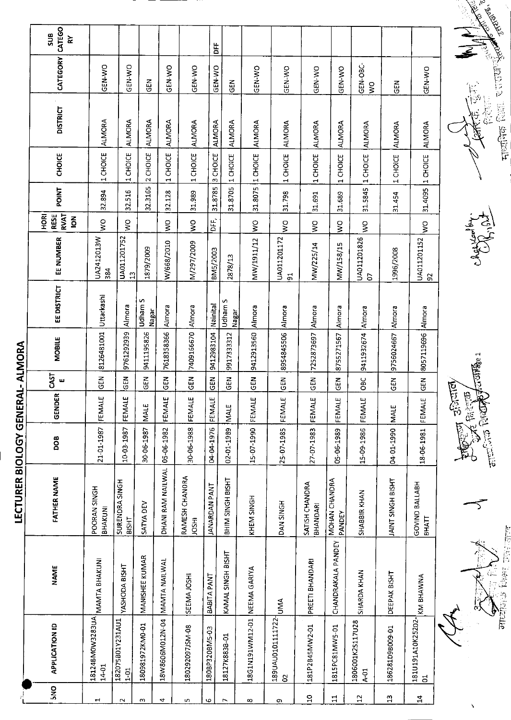|                       |                                        |                    | <b>LECTURER BIOLOGY GENE</b>   |            |        |                 | RAL-ALMORA        |                  |                               |                                                     |              |                  |                 |               |                            |
|-----------------------|----------------------------------------|--------------------|--------------------------------|------------|--------|-----------------|-------------------|------------------|-------------------------------|-----------------------------------------------------|--------------|------------------|-----------------|---------------|----------------------------|
| $\frac{1}{2}$         | <b>APPLICATION ID</b>                  | <b>NAME</b>        | <b>FATHER NAME</b>             | <b>BOD</b> | GENDER | CAST<br>ш       | <b>MOBILE</b>     | EE DISTRICT      | EE NUMBER                     | <b>RVAT</b><br><b>RESE</b><br>HORI<br>$\frac{2}{5}$ | <b>TNIC4</b> | <b>CHOICE</b>    | <b>DISTRICT</b> | CATEGORY      | CATEGO<br>SUB<br>$\approx$ |
|                       | 18124BM0W3283UA MANTA BHAKUNI<br>14-01 |                    | POORAN SINGH<br>BHAKUNI        | 21-01-1987 | FEMALE | $\overline{65}$ | 8126481001        | Uttarkashi       | UA2412013W<br>384             | $\frac{0}{5}$                                       | 32.894       | 1 CHOICE         | <b>ALMORA</b>   | GEN-WO        |                            |
|                       | 182075B01Y231AU1<br>$1 - 01$           | YASHODA BISHT      | SURENDRA SINGH<br><b>BISHT</b> | 10-03-1987 | FEMALE | <b>R</b>        | 9761292939        | Almora           | UA011201752<br>$\mathfrak{a}$ | $\frac{1}{2}$                                       | 32.516       | 1 CHOICE         | <b>ALMORA</b>   | GEN-WO        |                            |
|                       | 180981972KM0-01                        | MANISHEE KUMAR     | SATYA DEV                      | 30-06-1987 | MALE   | ER<br>55        | 9411195826        | Udham S<br>Nagar | 1879/2009                     |                                                     | 32.3165      | 2 CHOICE         | <b>ALMORA</b>   | GEN           |                            |
|                       | 18W8606M012N-04 MAMTA NAILWAL          |                    | DHANI RAM NAILWAL 05-06-1982   |            | FEMALE | <b>R</b>        | 7618358366        | Almora           | W/668/2010                    | Š                                                   | 32128        | 1 CHOICE         | <b>ALMORA</b>   | GEN-WO        |                            |
|                       | 180292097JSM-08                        | SEEMA JOSHI        | RAMESH CHANORA<br><b>HSOL</b>  | 30-06-1988 | FEMALE | <b>GEN</b>      | 7409166670        | Almora           | M/297/2009                    | $\frac{1}{2}$                                       | 31.989       | 1 CHOICE         | <b>ALMORA</b>   | GEN-WO        |                            |
|                       | 180BP320BM5-03                         | BABITA PANT        | <b>JANARDAN PANT</b>           | 04-04-1976 | FEMALE | GEN             | 9412983104        | Nainital         | BM5/2003                      | DFF,                                                | 31.8785      | 3 CHOICE         | <b>ALMORA</b>   | GEN-WO        | 놈                          |
|                       | 18127K883B-01                          | KAMAL SINGH BISHT  | BHIM SINGH BISHT               | 02-01-1989 | MALE   | GEN             | 9917333312        | Udham S<br>Nagar | 2878/13                       |                                                     | 31.8705      | 1 CHOICE         | <b>ALMORA</b>   | GEN           |                            |
|                       | 18G1N191WM12-01 NEEMA GARIYA           |                    | KHEM SINGH                     | 15-07-1990 | FEMALE | <b>GEN</b>      | 9412913560 Almora |                  | MW/1911/12                    | $\geq$                                              | 31.8075      | 1 CHOICE         | <b>ALMORA</b>   | GEN-WO        |                            |
|                       | 189UAU0101111722- UMA<br>S             |                    | DAN SINGH                      | 25-07-1985 | FEMALE | GEN             | 8954845506        | Almora           | UA011201172<br>5              | $\geq$                                              | 31798        | 1 CHOICE         | <b>ALMORA</b>   | <b>GEN-WO</b> |                            |
| $\bullet$             | 181P2B45MW2-01                         | PREETI BHANDARI    | SATISH CHANDRA<br>BHANDARI     | 27-07-1983 | FEMALE | 65N             | 7252873697        | Almora           | MW/225/14                     | $\sum_{i=1}^{n}$                                    | 31.691       | 1 CHOICE         | <b>ALMORA</b>   | GEN-WO        |                            |
| ⊣                     | 1815PC81MW5-01                         | CHANDRAKALA PANDEY | MOHAN CHANDRA<br>PANDEY        | 05-06-1989 | FEMALE | <b>REN</b>      | 8755271567        | Almora           | MW/158/15                     | $\leq$                                              | 31.689       | 1 CHOICE         | <b>ALMORA</b>   | GEN-WO        |                            |
| $\mathbf{\mathsf{N}}$ | 1806001K2S117U28<br>$A-01$             | SHARDA KHAN        | SHABBIR KHAN                   | 15-09-1986 | FEMALE | <b>DBC</b>      | 9411932674        | Almora           | UA011201826<br>S              | $\frac{8}{3}$                                       | 31.5845      | 1 CHOICE         | <b>ALMORA</b>   | GEN-OBC-<br>Š |                            |
| m                     | 186281D9B009-01                        | DEEPAK BISHT       | JAINT SINGH BISHT              | 04-01-1990 | MALE   | GEN             | 9756024667        | Almora           | 1996/2008                     |                                                     | 31.454       | 1 CHOICE         | <b>ALMORA</b>   | M<br>GEI      |                            |
| $\blacktriangledown$  | 181U191A10K25202- KM BHAWNA<br>δ,      |                    | GOVIND BALLABH<br>ВНАТТ        | 18-06-1981 | FEMALE | <b>GEN</b>      | 8057119696        | Almora           | UA011201152<br>$\overline{5}$ | $\geq$                                              |              | 31.4095 1 CHOICE | <b>ALMORA</b>   | GEN-WO        |                            |

Ą.

 $\overline{100}$   $\overline{150}$   $\overline{6}$   $\overline{100}$  $\frac{1}{\sqrt{2}}$ 

 $\overline{P}$  $\mathfrak{f}_6$ 

上版社 语应情是 یں پھر<br>اینائی<br>ساور  $\alpha$ 

rperfect fear မှ<br>မူပိ

J.Million ļ **PECES**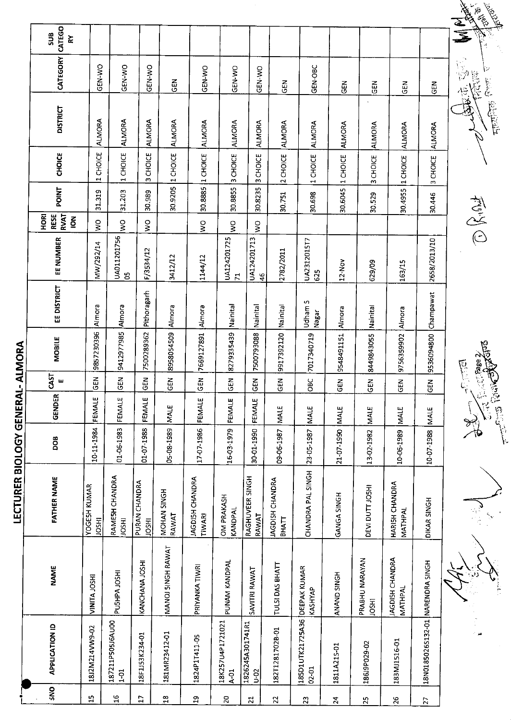|                          |                                                           |                              |                               |                               |                      |                           |                             |                              |                          |                               |                    |                                |                                  |                                  | NEW REAL               |
|--------------------------|-----------------------------------------------------------|------------------------------|-------------------------------|-------------------------------|----------------------|---------------------------|-----------------------------|------------------------------|--------------------------|-------------------------------|--------------------|--------------------------------|----------------------------------|----------------------------------|------------------------|
|                          | CATEGO<br>SUB<br>ķχ                                       |                              |                               |                               |                      |                           |                             |                              |                          |                               |                    |                                |                                  |                                  | र्थ<br>ड               |
|                          | CATEGORY                                                  | GEN-WO                       | GEN-WO                        | GEN-WO                        | GEN                  | GEN-WO                    | GEN-WO                      | GEN-WO                       | <b>GEN</b>               | GEN-OBC                       | <b>GEN</b>         | <b>GEN</b>                     | 군<br>5                           | <b>CEN</b>                       | 不定点<br>$\frac{1}{12}$  |
|                          | <b>DISTRICT</b>                                           | <b>ALMORA</b>                | ALMORA                        | ALMORA                        | ALMORA               | <b>ALMORA</b>             | <b>ALMORA</b>               | ALMORA                       | ALMORA                   | <b>ALMORA</b>                 | <b>ALMORA</b>      | <b>ALMORA</b>                  | <b>ALMORA</b>                    | ALMORA                           |                        |
|                          | CHOICE                                                    | CHOICE<br>$\rightarrow$      | 1 CHOICE                      | CHOICE<br>w                   | 1 CHOICE             | 1 CHOICE                  | 3 CHOICE                    | CHOICE<br>$\sim$             | 2 CHOICE                 | 1 CHOICE                      |                    | 3 CHOICE                       | 1 CHOICE                         | 3 CHOICE                         |                        |
|                          | POINT                                                     | 31.319                       | 31.203                        | 30.989                        | 30.9205              | 30.8885                   | 30.8855                     | 30.8235                      | 30.751                   | 30.698                        | 30.6045 1 CHOICE   | 30.529                         | 30.4955                          | 30.446                           |                        |
|                          | <b>RVAT</b><br><b>ROH</b><br>RESE<br>$\tilde{\mathbf{6}}$ | $\mathsf{S}^{\mathsf{O}}$    | š                             | ş                             |                      | $\frac{1}{2}$             | $\frac{8}{5}$               | $\frac{1}{2}$                |                          |                               |                    |                                |                                  |                                  | 有义曰                    |
|                          | EE NUMBER                                                 | MW/292/14                    | UA011201756<br>පි             | F/3534/12                     | 3412/12              | 1144/12                   | UA124201725<br>$\mathbf{r}$ | UA124201713<br>46            | 2782/2011                | UA2312015T7<br>625            | 12-Nov             | 629/09                         | 163/15                           | 2658/2013/10                     |                        |
|                          | EE DISTRICT                                               | Almora                       | Almora                        | Pithoragarh                   | Almora               | Almora                    | Nainital                    | Nainital                     | Nainital                 | Udham S<br>Nagar              | Almora             | Nainital                       | Almora                           |                                  |                        |
| ALMORA                   | <b>MOBILE</b>                                             | 9857230396                   | 9412977985                    | 7500289362                    | 8958054509           | 7669127891                | 8279335439                  | 7500793088                   | 9917392120               | 7017340719                    | 9548491151         | 8449843055                     | 9756359902                       | 9536094800 Champawat             | Suide Chage 2/         |
|                          | CAST<br>ш                                                 | 모<br>ပ                       | 모<br><u>ဖ</u>                 | 곥<br>ဖ                        | 2<br>O               | $\Xi$<br>ပ                | $rac{5}{65}$                | GEN                          | 65                       | OBC                           | GEN                | 옶<br><u>ම</u>                  | <b>GEN</b>                       | <b>GEN</b>                       | <b>REVER</b>           |
|                          | <b>GENDER</b>                                             | FEMALE                       | FEMALE                        | <b>FEMALE</b>                 | <b>MALE</b>          | FEMALE                    | FEMALE                      | FEMALE                       | <b>MALE</b>              | MALE                          | MALE               | <b>MALE</b>                    | <b>MALE</b>                      | MALE                             |                        |
|                          | DOB                                                       | 10-11-1984                   | 01-06-1983                    | 01-07-1988                    | 05-08-1989           | 17-07-1986                | 16-03-1979                  | 30-01-1990                   | 09-06-1987               | 23-05-1987                    | 21-07-1990         | 13-02-1982                     | 10-06-1989                       | 10-07-1988                       |                        |
| LECTURER BIOLOGY GENERAL | <b>FATHER NAME</b>                                        | YOGESH KUMAR<br><b>IDSHI</b> | RAMESH CHANDRA<br><b>HSOF</b> | PURAN CHANDRA<br><b>IDSHI</b> | MOHAN SINGH<br>RAWAT | JAGDISH CHANDRA<br>TIWARI | OM PRAKASH<br>KANDPAL       | RAGHUVEER SINGH<br>RAWAT     | JAGDISH CHANDRA<br>ВНАТТ | CHANDRA PAL SINGH             | GANGA SINGH        | DEVI DUTT JOSHI                | <b>HARISH CHANDRA</b><br>MATHPAL | DIKAR SINGH                      | $\frac{2}{\sqrt{2}}$   |
|                          | <b>NAME</b>                                               | VINITA JOSHI                 | PUSHPA JOSHI                  | KANCHANA JOSHI                | MANOJ SINGH RAWAT    | PRIYANKA TIWRI            | PUNAM KANDPAL               | SAVITRI RAWAT                | TULSI DAS BHATT          | DEEPAK KUMAR<br>KASHYAP       | <b>ANAND SINGH</b> | PRABHU NARAYAN<br><b>IRSOL</b> | JAGDISH CHANDRA<br>MATHPAL       |                                  |                        |
|                          | <b>APPLICATION ID</b>                                     | 1812M214VW9-02               | 187211P505J6AU00<br>$1-01$    | 18F1J53K234-01                | 181MR23412-01        | 1824P1T411-05             | 18K257U4P1721021<br>$4-01$  | 1826245A301741R1<br>$0 - 02$ | 182T1281702B-01          | 185D1UTK21725A36<br>$02 - 01$ | 1811A215-01        | 186J9P029-02                   | 183M11516-01                     | 18N0185026S132-01 NARENDRA SINGH | $\frac{1}{2}$<br>هو ان |
|                          | SNO                                                       | $\mathbf{5}$                 | $\mathfrak{a}$                | $\mathbf{r}$                  | $23\,$               | $\mathfrak{a}$            | 20                          | $\overline{z}$               | 22                       | 23                            | $\overline{2}$     | $\mathbf{z}$                   | 26                               | $\overline{2}$                   |                        |

July 15 Miles မ္မ

 $\begin{picture}(20,20) \put(0,0){\vector(1,0){10}} \put(15,0){\vector(1,0){10}} \put(15,0){\vector(1,0){10}} \put(15,0){\vector(1,0){10}} \put(15,0){\vector(1,0){10}} \put(15,0){\vector(1,0){10}} \put(15,0){\vector(1,0){10}} \put(15,0){\vector(1,0){10}} \put(15,0){\vector(1,0){10}} \put(15,0){\vector(1,0){10}} \put(15,0){\vector(1,0){10}} \put(15,0){\vector(1$ 



16 66.<br>156. 66.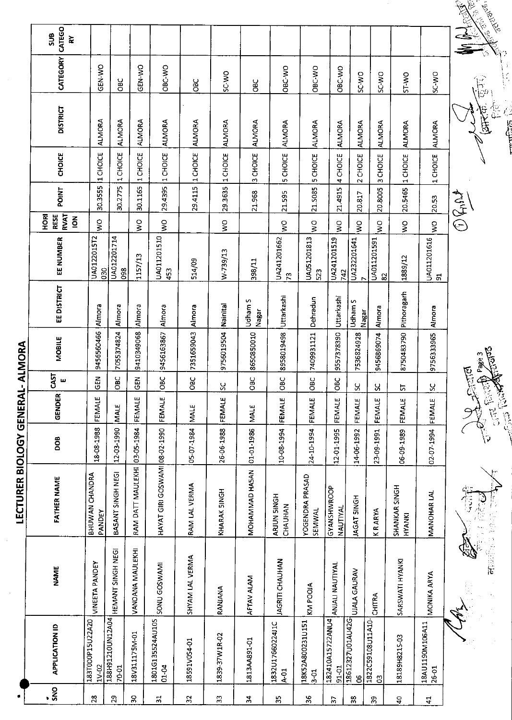|                       | CATEGO<br>5UB<br>$\geq$                      |                           |                           |                              |                               |                 |                |                  |                            |                            |                                |                       |                                   |                         |                          |                      |
|-----------------------|----------------------------------------------|---------------------------|---------------------------|------------------------------|-------------------------------|-----------------|----------------|------------------|----------------------------|----------------------------|--------------------------------|-----------------------|-----------------------------------|-------------------------|--------------------------|----------------------|
|                       | CATEGORY                                     | <b>GEN WO</b>             | <b>OBC</b>                | GEN-WO                       | OBC-WO                        | <b>GBC</b>      | SC-V/O         | <b>OBC</b>       | OBC-WO                     | OBC-WO                     | OBC-WO                         | SC-WO                 | <b>SCWO</b>                       | <b>OW-IS</b>            | SC-WO                    |                      |
|                       | <b>DISTRICT</b>                              | <b>ALMORA</b>             | <b>ALMORA</b>             | <b>ALMORA</b>                | <b>ALMORA</b>                 | <b>ALMORA</b>   | <b>ALMORA</b>  | <b>ALMORA</b>    | <b>ALMORA</b>              | ALMORA                     | <b>ALMORA</b>                  | ALMORA                | <b>ALMORA</b>                     | <b>ALMORA</b>           | <b>ALMORA</b>            |                      |
|                       | CHOICE                                       | 1 CHOICE                  | CHOICE<br>$\vec{ }$       | 1 CHOICE                     | 1CHOICE                       | 1 CHOICE        | 1 CHOICE       | 3 CHOICE         | 5 CHOICE                   | 5 CHOICE                   | 4 CHOICE                       | 2 CHOICE              | 3 CHOICE                          | 1 CHOICE                | 1 CHOICE                 |                      |
|                       | POINT                                        | 30.3555                   | 30.2775                   | 30.1165                      | 29.4395                       | 29.4115         | 29.3635        | 21.968           | 21.595                     | 21.5085                    | 21.4915                        | 20.817                | 20.8005                           | 20.5465                 | 20.53                    | O Gigat              |
|                       | RVAT<br><b>ROH</b><br>RESE<br>$\overline{6}$ | $\frac{1}{2}$             |                           | $\frac{0}{5}$                | $\frac{1}{2}$                 |                 | $\leq$         |                  | $\tilde{\mathbf{z}}$       | Š                          | $\sum_{i=1}^{n}$               | $\frac{1}{2}$         | °∑                                | $\frac{1}{2}$           | $\frac{1}{2}$            |                      |
|                       | EE NUMBER                                    | UA0122015T2<br>030        | UA012201714<br>098        | 1157/13                      | UA011201510<br>453            | 514/09          | W-739/13       | 398/11           | UA241201662<br>$\tilde{r}$ | UA051201813<br>523         | UA241201519<br> 742            | UA232201641           | UA011201591<br>2                  | 1889/12                 | UA011201616<br>5         |                      |
|                       | <b>EE DISTRICT</b>                           | Almora                    | Almora                    | Almora                       | Almora                        | Almora          | Nainital       | Udham S<br>Nagar | Uttarkashi                 | Dehradun                   | Uttarkashi                     | Udham S<br>Nagar      | Almora                            | Pithoragarh             | Almora                   |                      |
| RAL-ALMORA            | <b>MOBILE</b>                                | 9456560466                | 7055374824                | 9410349068                   | 9456163867                    | 7351659043      | 9756019504     | 8650850010       | 8958019498                 | 7409931121                 | 9557378390                     | 7536824928            | 9456869074                        | 8750483790              | 9756333965               |                      |
|                       | CAST<br>ш                                    | <b>GEN</b>                | <b>SEC</b>                | <b>GEN</b>                   | <b>OBC</b>                    | OBC             | ς              | <b>OBC</b>       | OBC                        | OBC                        | පි<br>පි                       | ပ္တ                   | X                                 | 능                       | ပ္ပ                      | ل<br>مەردىن          |
|                       | GENDER                                       | FEMALE                    | 111<br>MALE               | FEMALE                       | FEMALE                        | <b>NALE</b>     | FEMALE         | MALE             | FEMALE                     | FEMALE                     | FEMALE                         | FEMALE                | щ<br>FEMA                         | 필<br>FEMA               | بيا<br>FEMA              | $\frac{c}{\sqrt{2}}$ |
|                       | DOB                                          | 18-08-1988                | 12-03-1990                |                              |                               | 05-07-1984      | 26-06-1988     | 01-01-1986       | 10-08-1994                 | 24-10-1994                 | 12-01-1995                     | 14-06-1992            | 23-09-1991                        | 06-09-1989              | 02-07-1994               |                      |
| LECTURER BIOLOGY GENE | <b>FATHER NAME</b>                           | BHUWAN CHANDRA<br>PANDEY  | BASANT SINGH NEGI         | RAM DATT MAULEKHI 03-05-1984 | HAYAT GIRI GOSWAMI 08-02-1990 | RAM LAL VERMA   | KHARAK SINGH   | MOHAMMAD HASAN   | ARJUN 5INGH<br>CHAUHAN     | YOGENDRA PRASAD<br>SEMWAL  | GYANSHWROOP<br><b>NAUTIYAL</b> | <b>JAGAT SINGH</b>    | <b>KRARYA</b>                     | SHANKAR SINGH<br>HYANKI | MANOHAR LAL              |                      |
|                       | <b>NAME</b>                                  | <b>VINEETA PANDEY</b>     | HEMANT SINGH NEGI         | VANOANA MAULEKHI             | SONU GOSWAMI                  | SHYAM LAL VERMA | RANJANA        | AFTAV ALAM       | <b>JAGRITI CHAUHAN</b>     | KM POOJA                   | ANJALI NAUTIYAL                | UJALA GAURAV          | CHITRA                            | SARSWATI HYANKI         | <b>MONIKA ARYA</b>       |                      |
|                       | <b>APPLICATION ID</b>                        | 183T000P15U22A20<br>1V-02 | 188H91210UN12A04<br>70-01 | 18V311175M-01                | 1801G135524AU10S<br>$01 - 04$ | 18591V054-01    | 1839-37W1R-02  | 1813AA891-01     | 1832U17660224J1C<br>$4-01$ | 18K52A800231U151<br>$3-01$ | 182410A15722ANU4<br>91-01      | 18612327U01AU42G<br>8 | 1822C59108U11A10-<br>$\mathbb{S}$ | 18189H8215-03           | 18AU1190M106A11<br>26-01 |                      |
|                       | $\frac{5}{5}$                                | 28                        | 29                        | $\boldsymbol{\mathcal{S}}$   | 51                            | $\mathfrak{L}$  | $\mathfrak{L}$ | ž,               | $\frac{1}{2}$              | 36                         | $\overline{a}$                 | 38                    | 33                                | $\boldsymbol{\varphi}$  | $\overline{4}$           |                      |

٤ 高度

ÿ

 $\frac{1}{2}$ 

前庭市

**Children** र्छि المحكم المحكم

377.735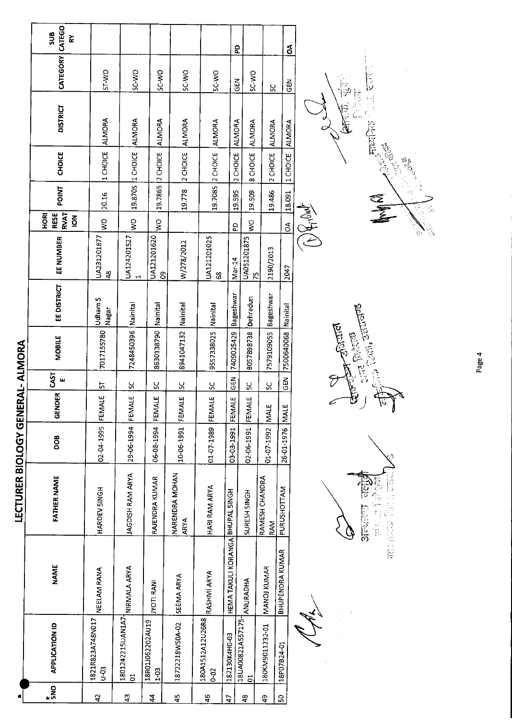|                                  | CATEGO<br>SUB<br>⋩                                         |                              |                                               |                              |                        |                          |                                  | ဥ                                   |                       | á                      |          |                                                                                                                                                                                                                                                                                                                                                                                                  |
|----------------------------------|------------------------------------------------------------|------------------------------|-----------------------------------------------|------------------------------|------------------------|--------------------------|----------------------------------|-------------------------------------|-----------------------|------------------------|----------|--------------------------------------------------------------------------------------------------------------------------------------------------------------------------------------------------------------------------------------------------------------------------------------------------------------------------------------------------------------------------------------------------|
|                                  | <b>CATEGORY</b>                                            | ST-WO                        | SC-WO                                         | SC-WO                        | SC WO                  | <b>SCWO</b>              |                                  | SC-WO<br>$\overline{5}$             | ပ္တ                   | $\tilde{E}$            |          | ان<br>نوا<br>ြ<br>ခြ                                                                                                                                                                                                                                                                                                                                                                             |
|                                  | <b>DISTRICT</b>                                            | <b>ALMORA</b>                | <b>ALMORA</b>                                 | <b>ALMORA</b>                | ALMORA                 | <b>ALMORA</b>            |                                  | <b>ALMORA</b><br><b>ALMORA</b>      | <b>ALMORA</b>         | <b>ALMORA</b>          |          | IE.<br>$\max_{\substack{\mathcal{P} \in \mathcal{P}^{\mathcal{P}}_{\mathcal{P}}(\mathcal{P}) \\ \mathcal{P} \in \mathcal{P}^{\mathcal{P}}_{\mathcal{P}}}}$                                                                                                                                                                                                                                       |
|                                  | <b>CHOICE</b>                                              | 1 CHOICE                     | 1 CHOICE                                      | 2 CHOICE                     | 2 CHOICE               | 2 CHOICE                 |                                  | 2 CHOICE<br>8 CHOICE                | 2 CHOICE              | 1 CHOICE               |          | <b>BOOK</b><br><b>1967</b>                                                                                                                                                                                                                                                                                                                                                                       |
|                                  | <b>POINT</b>                                               | 20.16                        | 19.8705                                       | 19.7865                      | 19.778                 | 19.7085                  |                                  | 19.595<br>19.509                    | 19.486                | 18.091                 |          | Robert                                                                                                                                                                                                                                                                                                                                                                                           |
|                                  | <b>RVAT</b><br><b>RESE</b><br><b>ROH</b><br>$\overline{6}$ | $\frac{1}{2}$                | $\frac{1}{2}$                                 | $\frac{1}{2}$                |                        |                          |                                  | $\frac{1}{2}$<br>5d                 |                       | $\delta$               | FOR HOLD | ्री<br>क्रि                                                                                                                                                                                                                                                                                                                                                                                      |
|                                  | EE NUMBER                                                  | UA231201877<br>$\frac{8}{4}$ | UA124201527<br>$\mathbf{\mathbf{\mathbf{u}}}$ | UA121201620<br>8             | W/278/2012             | UA121201025<br>8         | Mar-14                           | UA051201875<br>Ю,                   | 2190/2013             | 2047                   |          | े<br>एंठ                                                                                                                                                                                                                                                                                                                                                                                         |
|                                  | EE DISTRICT                                                | Udham S<br>Nagar             | Nainital                                      | Nainital                     | Nainital               | Nainital                 | Bageshwar                        | Dehradun                            | Bageshwar             |                        |          |                                                                                                                                                                                                                                                                                                                                                                                                  |
|                                  | <b>MOBILE</b>                                              | 7017155780                   | 7248450396                                    | 8630138790                   | 8941047132             | 9557338025               | 7409025429                       | 8057898738                          | 7579109055            | 7500640068 Nainital    |          | $\frac{1}{2\sqrt{17}}\sum_{n=1}^{n}\frac{1}{\sqrt{2}}\sum_{n=1}^{n}\frac{1}{\sqrt{2}}\sum_{n=1}^{n}\frac{1}{\sqrt{2}}\sum_{n=1}^{n}\frac{1}{\sqrt{2}}\sum_{n=1}^{n}\frac{1}{\sqrt{2}}\sum_{n=1}^{n}\frac{1}{\sqrt{2}}\sum_{n=1}^{n}\frac{1}{\sqrt{2}}\sum_{n=1}^{n}\frac{1}{\sqrt{2}}\sum_{n=1}^{n}\frac{1}{\sqrt{2}}\sum_{n=1}^{n}\frac{1}{\sqrt{2}}\sum_{n=1}^{n}\frac{1}{\sqrt{2$<br>$-55700$ |
|                                  | <b>CAST</b><br>w                                           | 뉴                            | ပ္ပ                                           | ပ္ပ                          | χ                      | ς,                       | $rac{5}{65}$                     | ប្ត                                 | S                     | $\overline{5}$         |          |                                                                                                                                                                                                                                                                                                                                                                                                  |
|                                  | <b>GENDER</b>                                              | FEMALE                       | FEMALE                                        | FEMALE                       | FEMALE                 | FEMALE                   | FEMALE                           | FEMALE                              | <b>NALE</b>           | MAI <sub>E</sub>       |          | b<br>k,<br>ı<br>O                                                                                                                                                                                                                                                                                                                                                                                |
|                                  | <b>BOO</b>                                                 | 02-04-1995                   | 29-06-1994                                    | 06-08-1994                   | 10-06-1991             | 01-07-1989               | 03-03-1991                       | 02-06-1991                          | 01-07-1992            | 26-01-1976             |          |                                                                                                                                                                                                                                                                                                                                                                                                  |
| LECTURER BIOLOGY GENERAL- ALMORA | <b>FATHER NAME</b>                                         | HARDEV SINGH                 | JAGDISH RAM ARYA                              | RAJENDRA KUMAR               | NARENDRA MOHAN<br>ARYA | HARI RAM ARYA            |                                  | SURESH SINGH                        | RAMESH CHANDRA<br>RAM | PURUSHOTTAM            |          | 93<br>$\begin{bmatrix} 1 \\ 1 \\ 1 \end{bmatrix}$                                                                                                                                                                                                                                                                                                                                                |
|                                  | <b>NAME</b>                                                | NEELAM RANA                  | NIRMALA ARYA                                  | <b>IVOTI RANI</b>            | SEEMA ARYA             | RASHMI ARYA              | HEMA TAKULI KORANGA BHUPAL SINGH | <b>ANURADHA</b>                     | MANOJ KUMAR           | <b>BHUPENDRA KUMAR</b> |          | anti-album                                                                                                                                                                                                                                                                                                                                                                                       |
|                                  | <b>APPLICATION ID</b>                                      | 1821R823A748N017<br>$0 - 03$ | 1801242215UAN1A7<br>5                         | 18R01J062202AU19<br>$1 - 03$ | 18722218WS0A-02        | 180A1512A12U26R8<br>0-02 | 182130K4H0-03                    | 18UA00821A557175-<br>$\overline{a}$ | 180KM9011232-01       | 18P07B24-01            |          |                                                                                                                                                                                                                                                                                                                                                                                                  |
|                                  | ្ណឹ                                                        | $\overline{4}$               | $\frac{3}{4}$                                 | $\boldsymbol{4}$             | 45                     | 46                       | 47                               | $\frac{3}{4}$                       | \$                    | 5                      |          |                                                                                                                                                                                                                                                                                                                                                                                                  |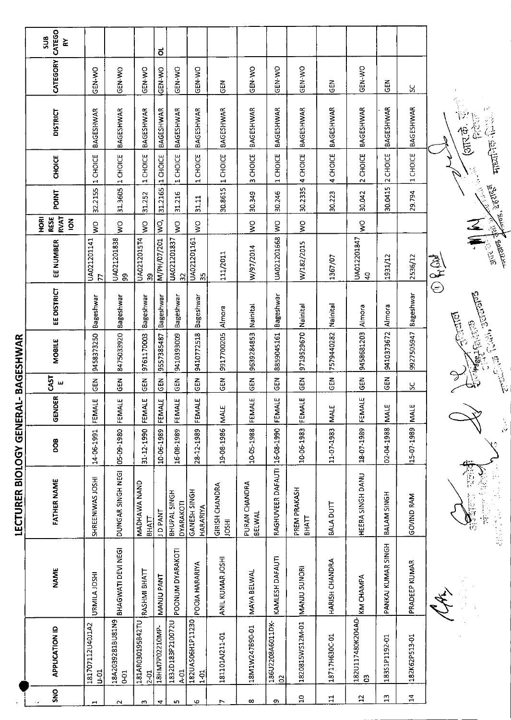|                      |                                    |                    | LECTURER BIOLOGY GENERAL-BAGESHWAR |            |                          |                |                           |                            |                               |                                                      |         |                                    |                  |                 |                                |
|----------------------|------------------------------------|--------------------|------------------------------------|------------|--------------------------|----------------|---------------------------|----------------------------|-------------------------------|------------------------------------------------------|---------|------------------------------------|------------------|-----------------|--------------------------------|
| SNO                  | <b>APPLICATION ID</b>              | <b>NAME</b>        | <b>FATHER NAME</b>                 | pog        | <b>GENDER</b>            | CAST<br>ш      | MOBILE                    | EE DISTRICT                | EE NUMBER                     | <b>RVAT</b><br><b>HORI</b><br>RESE<br>$\overline{6}$ | POINT   | <b>CHOICE</b>                      | <b>DISTRICT</b>  | <b>CATEGORY</b> | CATEGO<br>SU <sub>8</sub><br>č |
| $\blacktriangleleft$ | 181707112U40J1A2<br>$\overline{5}$ | URMILA JOSHI       | SHREENIWAS JOSHI                   | 14-06-1991 | FEMALE                   | EM<br>55       | 9458373250                | Bageshwar                  | UA021201141<br>F              | ş                                                    | 32.2155 | CHOICE<br>$\overline{\phantom{0}}$ | <b>BAGESHWAR</b> | GEN-WO          |                                |
| $\sim$               | 18A2039281BU81N9<br>5 <sub>0</sub> | BHAGWATI DEVI NEGI | DUNGAR SINGH NEGI                  | 05-09-1980 | FEMALE                   | <b>GEN</b>     | 8475033920                | Bageshwar                  | UA021201838<br>ஃ              | Ş                                                    | 31.3605 | 1 CHOICE                           | <b>BAGESHWAR</b> | GEN-WO          |                                |
| S                    | 181AR030195B42TU<br>$2 - 01$       | RASHMI BHATT       | MADHAWA NAND<br><b>BHATT</b>       | 31-12-1990 | FEMALE                   | <b>ABO</b>     | 9761170003                | Bageshwar                  | UA0212015T4<br>ၛၟ             | Ş                                                    | 31.252  | 1 CHOICE                           | <b>BAGESHWAR</b> | GEN-WO          |                                |
| 4                    | 18HM7P02210MP-                     | MANJU PANT         | <b>TNAP OL</b>                     | 10-06-1989 | <b>ALE</b><br><b>EEM</b> | GEN            | 9557385487                | Bageshwar                  | M/PH/07/201                   | Ş.                                                   | 31.2165 | 1 CHOICE                           | BAGESHWAR        | GEN-WO          | ಕ                              |
| S                    | 1832D183P210072U<br>$4-01$         | POONUM DYARAKOTI   | BHUPAL SINGH<br>DYARAKOTI          | 16-08-1989 | FEMALE                   | <b>SEN</b>     | 9410393009                | Bageshwar                  | UA021201837<br>$\approx$      | Ş                                                    | 31.216  | 1 CHOICE                           | BAGESHWAR        | GEN-WO          |                                |
| 9                    | 182UAS06H1P11230<br>$\frac{5}{1}$  | POOJA HARARIYA     | GANESH SINGH<br>HARARIYA           | 28-12-1989 | FEMALE                   | ទី             | 9410772518                | Bageshwar                  | UA021201161<br>್ಲಿ            | Ş                                                    | 31.11   | 1 CHOICE                           | BAGESHWAR        | GEN-WO          |                                |
| L                    | 181101AJ211-01                     | ANIL KUMAR JOSHI   | GIRISH CHANDRA<br><b>HSCL</b>      | 19-08-1986 | ш<br><b>NALI</b>         | ξEΝ            | 9917700205                | Almora                     | 111/2011                      |                                                      | 30.8615 | 1 CHOICE                           | <b>BAGESHWAR</b> | 즈<br>5          |                                |
| $\infty$             | 18M1W247B90-01                     | MAYA BELWAL        | PURAN CHANDRA<br><b>BELWAL</b>     | 10-05-1988 | FEMALE                   | <b>GEN</b>     | 9639284853                | Nainital                   | W/97/2014                     | $\frac{1}{2}$                                        | 30.349  | 3 CHOICE                           | <b>BAGESHWAR</b> | GEN-WO          |                                |
| თ                    | 186U2208A6011DK-<br>a,             | KAMLESH DAFAUTI    | RAGHUVEER DAFAUTI                  | 16-08-1990 | <b>ALE</b><br>FEM        | <b>GEN</b>     | 8859045161                | Bageshwar                  | UA021201668                   | Ş                                                    | 30.246  | 1 CHOICE                           | <b>BAGESHWAR</b> | GEN-WO          |                                |
| $\Xi$                | 1820815WS12M-01                    | MANJU SUNORI       | PREM PRAKASH<br><b>BHATT</b>       | 10 06 1983 | ALE<br><b>EEM</b>        | $\overline{5}$ | 9719529670                | Nainital                   | W/182/2015                    | $\geq$                                               | 30.2335 | 4 CHOICE                           | BAGESHWAR        | <b>OK-NJO</b>   |                                |
| $\Xi$                | 18717H630C-01                      | HARISH CHANDRA     | BALA DUTT                          | 11-07-1983 | ш<br>MALI                | GEN            | 7579440282                | Nainital                   | 1367/07                       |                                                      | 30.223  | 4 CHOICE                           | <b>BAGESHWAR</b> | 준<br>이          |                                |
| $22$                 | 182U117480K204A0-<br>8             | <b>KM CHAMPA</b>   | HEERA SINGH DANU                   | 18-07-1989 | ALE<br><b>EEM</b>        | <b>GEN</b>     | 9458681203                | Almora                     | UA012201847<br>$\overline{a}$ | $\geq$                                               | 30.042  | 2 CHOICE                           | BAGESHWAR        | GEN-WO          |                                |
| $\mathbf{a}$         | 183S1P1192-01                      | PANKAJ KUMAR SINGH | BALAM SINGH                        | 02-04-1988 | <b>MALE</b>              | $\overline{5}$ | 9410373672                | Almora                     | 1931/12                       |                                                      | 30.0415 | 2 CHOICE                           | BAGESHWAR        | 릅               |                                |
| $\Xi$                | 182K62P513-01                      | PRADEEP KUMAR      | GOVIND RAM                         | 15-07-1989 | <b>MALE</b>              | ပ္တ            | 9927505947 Bageshwar      |                            | 2536/12                       |                                                      | 29.794  | 1 CHOICE                           | BAGESHWAR        | <u>ប្ដ</u>      |                                |
|                      |                                    |                    |                                    |            |                          | T              | <b>Command</b>            |                            | きょう                           |                                                      |         |                                    |                  |                 |                                |
|                      |                                    |                    | id<br>S                            |            |                          |                | <b>Doubled</b> Clark Time | enterior Collabo actualida | <b>MALLER STATES</b>          |                                                      |         |                                    |                  |                 |                                |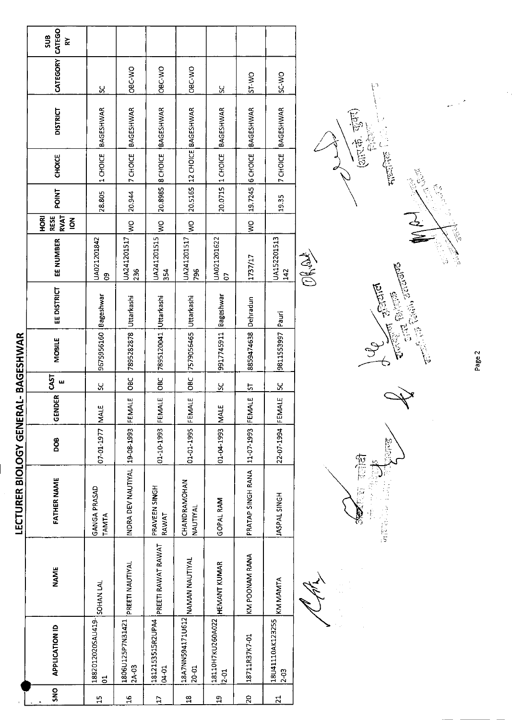|                 |                                              |                     | LECTURER BIOLOGY GENERAL- BAGESHWAR |                 |        |                                 |                       |             |                    |                                                     |              |                  |                             |                 |                 |
|-----------------|----------------------------------------------|---------------------|-------------------------------------|-----------------|--------|---------------------------------|-----------------------|-------------|--------------------|-----------------------------------------------------|--------------|------------------|-----------------------------|-----------------|-----------------|
| SN <sub>O</sub> | <b>APPLICATION ID</b>                        | <b>NAME</b>         | <b>FATHER NAME</b>                  | DOB             | GENDER | CAST<br>$\overline{\mathbf{u}}$ | <b>MOBILE</b>         | EE DISTRICT | EE NUMBER          | <b>RVAT</b><br>HORI<br>RESE<br>$\mathbf{\tilde{g}}$ | <b>POINT</b> | CHOICE           | <b>DISTRICT</b>             | CATEGORY CATEGO | <b>aus</b><br>⋧ |
| $\frac{1}{1}$   | 18820120205AU419-SOHAN LAL<br>$\overline{C}$ |                     | <b>GANGA PRASAD</b><br><b>TAMTA</b> | 07-01-1977 MALE |        | ႘                               | 9675956160 Bageshwar  |             | UA021201842<br>8   |                                                     | 28.805       | 1 CHOICE         | <b>BAGESHWAR</b>            | <u>پ</u>        |                 |
| $\mathfrak{a}$  | 1806U125P7N31421<br>$2A-03$                  | PREETI NAUTIYAL     | INDRA DEV NAUTIYAL 19-08-1993       |                 | FEMALE | <b>OBC</b>                      | 7895282878 Uttarkashi |             | UA241201517<br>236 | $\frac{1}{2}$                                       | 20.944       |                  | 7 CHOICE BAGESHWAR          | OBC-WO          |                 |
| $\frac{1}{2}$   | 1812153515R2UPA4<br>04-01                    | PREETI RAWAT RAWAT  | PRAVEEN SINGH<br>RAWAT              | 01-10-1993      | FEMALE | <b>OBC</b>                      | 7895120041 Uttarkashi |             | UA241201515<br>354 | $\geq$                                              |              | 20.8985 8 CHOICE | <b>BAGESHWAR</b>            | OBC-WO          |                 |
| $\frac{8}{10}$  | 18A7NN594171U612 NAMAN NAUTIYAL<br>20-01     |                     | CHANDRAMOHAN<br>NAUTIYAL            | 01-01-1995      | FEMALE | <b>OBC</b>                      | 7579056465 Uttarkashi |             | UA241201517<br>796 | $rac{1}{2}$                                         |              |                  | 20.5165 12 CHOICE BAGESHWAR | OBC-WO          |                 |
| $\overline{a}$  | 18110H7KU260A022<br>$2 - 01$                 | <b>HEMANT KUMAR</b> | GOPAL RAM                           | 01-04-1993 MALE |        | <u>یې</u>                       | 9917745911 Bageshwar  |             | UA021201622<br>S   |                                                     |              |                  | 20.0715 1 CHOICE BAGESHWAR  | <u>u</u>        |                 |
| $\overline{5}$  | 18711R37K7-01                                | KM POONAM RANA      | PRATAP SINGH RANA 11-07-1993        |                 | FEMALE | 5                               | 8859474638            | Dehradun    | 1737/17            | ş                                                   |              | 19.7245 6 CHOICE | BAGESHWAR                   | ST-WO           |                 |
| $\overline{z}$  | 18U41110AK123255<br>$2 - 03$                 | KM MAMTA            | JASPAL SINGH                        | 22-07-1994      | FEMALE | <u>یې</u>                       | 9811553997 Pauri      |             | UA152201513<br>142 |                                                     | 1935         | 7 CHOICE         | <b>BAGESHWAR</b>            | SC-WO           |                 |
|                 |                                              |                     |                                     |                 |        |                                 |                       |             | <b>Assist</b>      |                                                     |              |                  |                             |                 |                 |
|                 |                                              |                     |                                     |                 |        |                                 |                       |             |                    |                                                     |              |                  |                             |                 |                 |

 $\left(\overline{m}\dot{\vec{a}}, \overline{u}\dot{\vec{a}}\right)$  $\frac{1}{\text{supp}(\mathbb{Q})}\left\{ \begin{array}{ll} 0 & \text{if } \mathbb{Q}^n \leq \mathbb{Q}^n, \\ 0 & \text{otherwise} \end{array} \right.$ **Conte**  $\begin{bmatrix} \mathcal{L}_{\mathcal{S}} & \mathcal{L}_{\mathcal{S}} \\ \mathcal{L}_{\mathcal{S}} & \mathcal{L}_{\mathcal{S}} \end{bmatrix}$ ું

 $\epsilon_f$ 

Control Science

 $\overline{\mathbb{Y}}$ 



Page 2

 $\mathbb{R}^{\frac{1}{2}}$ 

ふとう

不合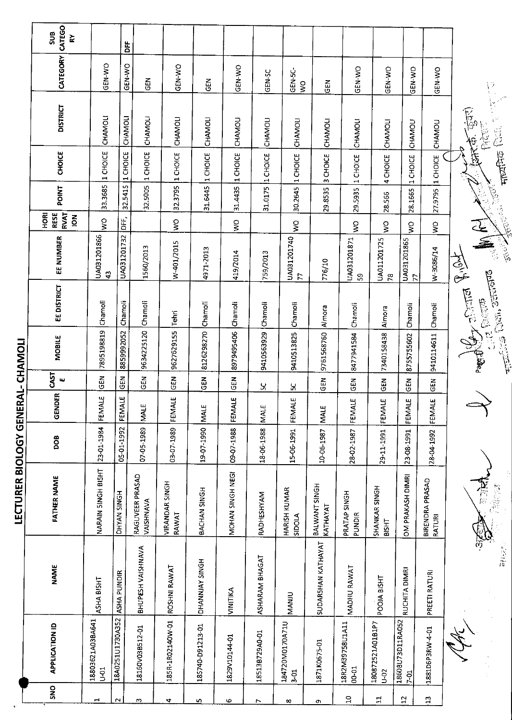|                          |                                    |                          | LECTURER BIOLOGY GENERAL- CHAMOLI |            |             |              |            |                                                               |                               |                                                      |                  |               |                          |                                             |                    |
|--------------------------|------------------------------------|--------------------------|-----------------------------------|------------|-------------|--------------|------------|---------------------------------------------------------------|-------------------------------|------------------------------------------------------|------------------|---------------|--------------------------|---------------------------------------------|--------------------|
| SNO                      | <b>APPLICATION ID</b>              | <b>NAME</b>              | <b>FATHER NAME</b>                | <b>BOO</b> | GENDER      | CAST<br>ш    | MOBILE     | <b>EE DISTRICT</b>                                            | EE NUMBER                     | <b>RVAT</b><br>HORI<br><b>RESE</b><br>$\overline{6}$ | POINT            | <b>CHOICE</b> | <b>DISTRICT</b>          | CATEGORY                                    | CATEGO<br>SUB<br>ř |
| ÷                        | 18803621A03BA641<br>5 <sup>o</sup> | ASHA BISHT               | NARAIN SINGH BISHT                | 23-01-1984 | FEMALE      | <b>GEN</b>   | 7895198819 | Chamoli                                                       | UA031201866<br>$\ddot{a}$     | ş                                                    | 33.3685          | 1 CHOICE      | CHAMOLI                  | <b>GEN-WO</b>                               |                    |
| $\sim$                   | 18A0251U1730A352                   | ASHA PUNDIR              | DHYAN SINGH                       | 05-01-1992 | Ч<br>FEMAI  | GEN          | 8859992052 | Chamoli                                                       | UA031201732                   | $\overline{a}$                                       | 32.5415          | 1 CHOICE      | CHAMOLI                  | <b>GEN-WO</b>                               | DFF                |
| w                        | 18160V03B512-01                    | <b>BHUPESH VAISHNAVA</b> | RAGUVEER PRASAD<br>VAISHNAVA      | 07-05-1989 | <b>NALE</b> | GEN          | 9634225120 | Chamoli                                                       | 1560/2013                     |                                                      | 32.5005          | 1 CHOICE      | <b>CHAMOLI</b>           | <b>GEN</b>                                  |                    |
| 4                        | 185R-1R02140W-01                   | ROSHNI RAWAT             | <b>VIRANDAR SINGH</b><br>RAWAT    | 03-07-1989 | FEMALE      | $rac{2}{5}$  | 9627629155 | Tehri                                                         | W-401/2015                    | $\tilde{\mathsf{s}}$                                 | 32.3795          | 1 CHOICE      | CHAMOLI                  | GEN-WO                                      |                    |
| $\overline{\phantom{a}}$ | 185740-D91213-01                   | DHANNJAY SINGH           | BACHAN SINGH                      | 19-07-1990 | <b>MALE</b> | <b>GEN</b>   | 8126298270 | Chamoli                                                       | 4971-2013                     |                                                      | 31.6445          | 1 CHOICE      | CHAMOLI                  | GEN                                         |                    |
| م                        | 1829V10144-01                      | VINITIKA                 | MOHAN SINGH NEGI                  | 09-07-1988 | Ш<br>FEMAL  | $rac{2}{3}$  | 8979495406 | Chamoli                                                       | 419/2014                      | ş                                                    | 31.4435          | 1 CHOICE      | CHAMOLI                  | GEN-WO                                      |                    |
| $\overline{ }$           | 18513B729A0-01                     | <b>ASHARAM BHAGAT</b>    | RADHESHYAM                        | 18-06-1988 | <b>NALE</b> | ပ္က          | 9410563929 | Chamoli                                                       | 759/2013                      |                                                      | 31.0175 1 CHOICE |               | CHAMOLI                  | GEN-SC                                      |                    |
| $\infty$                 | 184720M0170A71U<br>$3-01$          | NANIU                    | HARISH KUMAR<br>SIDOLA            | 15-06-1991 | щ<br>FEMAL  | $\mathbf{g}$ | 9410513825 | Chamoli                                                       | UA031201740<br>$\overline{7}$ | $\frac{1}{2}$                                        | 30.2645 1 CHOICE |               | CHAMOLI                  | GEN-5C<br>$\tilde{\mathbf{x}}$              |                    |
| G                        | 1871K0675-01                       | SUDARSHAN KATHAYAT       | BALWANT SINGH<br>KATHAYAT         | 10-06-1987 | MALE        | <b>GEN</b>   | 9761568760 | Almora                                                        | 776/10                        |                                                      | 29.8535          | 3 CHOICE      | CHAMOLI                  | GEN                                         |                    |
| $\Xi$                    | 18R2M39758U1A11<br>$00-01$         | MADIIU RAWAT             | PRATAP SINGH<br>PUNDIR            | 28-02-1987 | щ<br>FEMALI | <b>GEN</b>   | 8477941584 | Chamoli                                                       | UA031201871<br>ဣ              | Š                                                    | 29.5935          | 1 CHOICE      | CHAMOLI                  | GEN-WO                                      |                    |
| 릨                        | 180872521A01B1P7<br>$\tilde{5}$    | POOJA BISHT              | SHANKAR SINGH<br>BISHT            | 29-11-1991 | ш<br>FEMALI | <b>GEN</b>   | 7340158438 | Almora                                                        | UA011201725<br>$\frac{8}{3}$  | $\frac{1}{2}$                                        | 28.566           | 4 CHOICE      | <b>CHAMOLI</b>           | GEN-WO                                      |                    |
| 12                       | 18608U73D11RA052<br>$7 - 01$       | RUCHITA DIMRI            | OM PRAKASH DIMRI                  | 23-08-1991 | FEMALE      | <b>GEN</b>   | 8755755602 | Chamoli                                                       | UA031201865<br>$\overline{z}$ | Š                                                    | 28.1665          | 1 CHOICE      | CHAMOLI                  | GEN-WO                                      |                    |
| $\mathbf{r}$             | 1881D6P3RW-4-01                    | PREETI RATURI            | BIRENDRA PRASAD<br>RATURI         | 28-04-1992 | FEMALE      | <b>GEN</b>   | 9410114611 | Chamoli                                                       | W-3086/14                     | $\mathop{\mathsf{SO}}\nolimits$                      | 27.9795          | 1 CHOICE      | CHAMOLI                  | GEN-WO                                      |                    |
|                          |                                    |                          |                                   |            |             |              |            | From Butter Repose<br>Transport (2020), Scribberg<br>die Paar | A<br>A REAL                   |                                                      | Marian Radia     | 三年<br>TAK CE. | $\widetilde{\mathbb{F}}$ | $\begin{bmatrix} 1 \\ 1 \\ 2 \end{bmatrix}$ |                    |

y)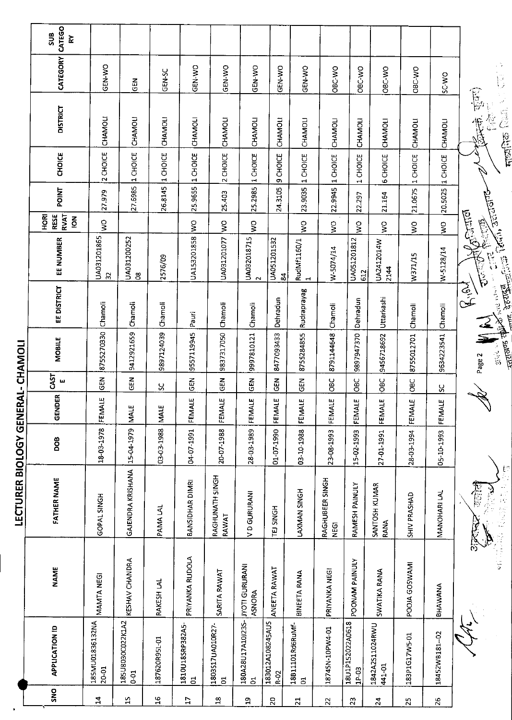|                       | CATEGO<br>SUB<br>š                                         |                               |                                            |                    |                                 |                                       |                                        |                          |                                    |                                |                                    |                           |               |                          |                                                                 |
|-----------------------|------------------------------------------------------------|-------------------------------|--------------------------------------------|--------------------|---------------------------------|---------------------------------------|----------------------------------------|--------------------------|------------------------------------|--------------------------------|------------------------------------|---------------------------|---------------|--------------------------|-----------------------------------------------------------------|
|                       | <b>CATEGORY</b>                                            | GEN-WO                        | 준<br>연                                     | GEN-SC             | GEN-WO                          | GEN-WO                                | GEN-WO                                 | GEN-WO                   | <b>CEN WO</b>                      | OBC-WO                         | OBC-WO                             | OBC-WO                    | OBC-WO        | <b>OW-3S</b>             | . э<br>$\overline{\widetilde{\mathbf{C}}}$                      |
|                       | <b>DISTRICT</b>                                            | CHAMOLI                       | CHAMOLI                                    | CHAMOLI            | CHAMOLI                         | CHAMOLI                               | CHAMOLI                                | CHAMOLI                  | CHAMOLI                            | CHAMOLI                        | CHAMOLI                            | CHAMOLI                   | CHAMOLI       | CHAMOLI                  | कुंवल)<br>V<br>ij.<br>$\frac{1}{2}$                             |
|                       | CHOICE                                                     | CHOICE<br>$\sim$              | 1 CHOICE                                   | <b>CHOICE</b><br>H | 1 CHOICE                        | <b>CHOICE</b><br>$\mathbf{\tilde{z}}$ | 1 CHOICE                               | 9 CHOICE                 | <b>CHOICE</b><br>$\blacksquare$    | 1 CHOICE                       | CHOICE<br>$\overline{\phantom{0}}$ | <b>6 CHOICE</b>           | 1 CHOICE      | CHOICE<br>$\blacksquare$ | नाध्यनिक                                                        |
|                       | POINT                                                      | 27.979                        | 27.6985                                    | 26.8145            | 25.9655                         | 25.403                                | 25.2985                                | 24.3105                  | 23.9035                            | 22.9945                        | 22.297                             | 21.164                    | 21.0675       | 20.5025                  |                                                                 |
|                       | <b>RVAT</b><br><b>RESE</b><br><b>HORI</b><br>$\frac{2}{9}$ | Ş                             |                                            |                    | $\frac{1}{3}$                   | $\frac{1}{2}$                         | ş                                      |                          | Ş                                  | Ş                              | $\zeta$                            | Ş                         | $\frac{1}{3}$ | $\overline{\mathbf{S}}$  | <b>Agental</b><br>E.C.                                          |
|                       | EE NUMBER                                                  | UA031201865<br>$\overline{3}$ | UA031200252<br>$_{\rm \odot}^{\rm \alpha}$ | 2576/09            | UA153201858                     | UA031201077                           | UA032018715<br>$\sim$                  | UA051201532<br>್ದ        | RudMf1160/1<br>1                   | W-5074/14                      | UA051201812<br>612                 | UA2412014W<br>2144        | W371/15       | W-5128/14                | <b>California</b> Territo and artists<br><br>C<br>C<br>ر<br>نوم |
|                       | EE DISTRICT                                                | Chamoli                       | Chamoli                                    | Chamoli            | Pauri                           | Chamoli                               | Chamoli                                | Dehradun                 | Rudraprayag                        | Chamoli                        | Dehradun                           | Uttarkashi                | Chamoli       | Chamoli                  | $\sum_{i=1}^{n}$<br><sub>me</sub> dous<br>Flate nemet           |
| RAL-CHAMOLI           | <b>MOBILE</b>                                              | 8755270330                    | 9412921659                                 | 9897124039         | 9557119945                      | 9837317050                            | 9997810121                             | 8477093433               | 8755284855                         | 8791144648                     | 9897947370                         | 9456718692                | 8755012701    | 9634223541               | <b>Arthur School</b><br>⋝<br><b>STAR LA</b><br>Page 2           |
|                       | CAST<br>щ                                                  | <b>GEN</b>                    | $rac{2}{5}$                                | ပ္တ                | <b>GEN</b>                      | $\tilde{5}$                           | 군<br>5                                 | $\tilde{5}$              | 도<br>55                            | <b>OBC</b>                     | ЭвС                                | OBC                       | <b>OBC</b>    | χ                        |                                                                 |
|                       | <b>GENDER</b>                                              | FEMALE                        | <b>MALE</b>                                | <b>MALE</b>        | 4LE<br>FEM                      | <b>ALE</b><br>FEM                     | FEMALE                                 | a<br>E<br><b>EEM</b>     | 4LE<br><b>KEM</b>                  | FEMALE                         | FEMALE                             | FEMALE                    | FEMALE        | 4Ľ<br>FEM <sup>2</sup>   | ν                                                               |
|                       | DOB                                                        | 18-03-1978                    | 15-04-1979                                 | 03-03-1988         | 04-07-1991                      | 20-07-1988                            | 28-03-1989                             | 01-07-1990               | 03-10-1988                         | 23-08-1993                     | 15-02-1993                         | 27-01-1991                | 28-03-1994    | 05-10-1993               |                                                                 |
| LECTURER BIOLOGY GENE | <b>FATHER NAME</b>                                         | GOPAL SINGH                   | <b>GAJENDRA KRISHANA</b>                   | PAMA LAL           | BANSIDHAR DIMRI                 | RAGHUNATH SINGH<br>RAWAT              | V D GURURANI                           | TEJ SINGH                | LAXMAN SINGH                       | RAGHUBEER SINGH<br><b>NEGI</b> | RAMESH PAINULY                     | SANTOSH KUMAR<br>RANA     | SHIV PRASHAD  | MANOHARI LAL             | <b>想在之后的感觉</b><br>在窗户<br>$\hat{\mathbf{z}}$                     |
|                       | <b>NAME</b>                                                | MAMTA NEGI                    | KESHAV CHANDRA                             | RAKESH LAL         | PRIYANKA RUDOLA                 | SARITA RAWAT                          | <b>JYOTI GURURANI</b><br><b>ASNORA</b> | ANEETA RAWAT             | BINEETA RANA                       | PRIYANKA NEGI                  | POONAM PAINULY                     | SWATIKA RANA              | POOJA GOSWAMI | BHAWANA                  | $\frac{1}{2}$                                                   |
|                       | <b>APPLICATION ID</b>                                      | 185MU01836132NA<br>20-01      | 185U8030C022K1A2<br>$0-01$                 | 187620R951-01      | 1810U185RP382A5<br>$\mathbf{d}$ | 1803S17UA010R27-<br>$\overline{5}$    | 180A28U17A10J235-<br>$\overline{5}$    | 183012A108245AUS<br>R-02 | 18B11101Rd6RuMf-<br>$\overline{5}$ | 18745N-10PW4-01                | 18U1P152022A0618<br>$1P-03$        | 1842A2511024RWU<br>441-01 | 183P1G17W5-01 | 18452WB181-02            |                                                                 |
|                       | SNO                                                        | $\mathbf{z}$                  | 15                                         | $\frac{9}{10}$     | 7                               | $18$                                  | 5                                      | 20                       | $\overline{21}$                    | 22                             | $\mathfrak{L}$                     | 24                        | 25            | 26                       |                                                                 |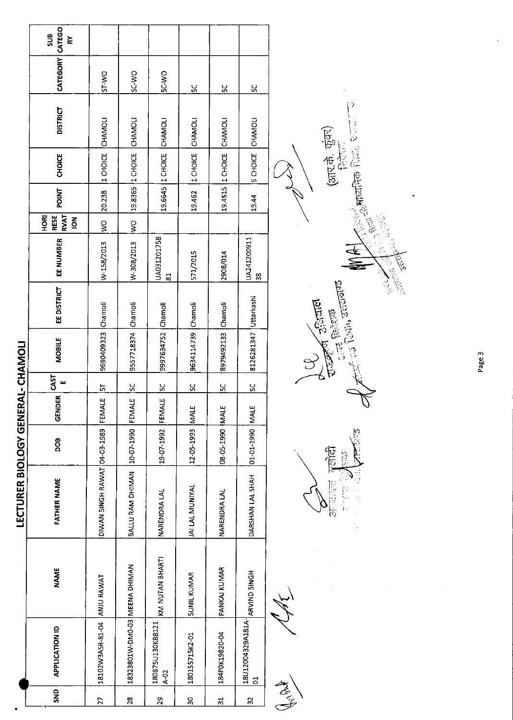|                |                                      |                    | <b>LECTURER BIOLOGY GENER</b>       |                 |                                        |           | INONYHJO-TYX          |                    |                                        |                                               |              |                          |                 |                 |                 |
|----------------|--------------------------------------|--------------------|-------------------------------------|-----------------|----------------------------------------|-----------|-----------------------|--------------------|----------------------------------------|-----------------------------------------------|--------------|--------------------------|-----------------|-----------------|-----------------|
| SND            | <b>APPLICATION ID</b>                | <b>NAME</b>        | FATHER NAME                         | <b>800</b>      | $\overline{\mathbf{g}}$<br><b>GEND</b> | CAST<br>ш | <b>MOBILE</b>         | <b>EE DISTRICT</b> | EE NUMBER                              | <b>RESE</b><br>RVAT<br>HORI<br>$\overline{6}$ | <b>POINT</b> | <b>CHOICE</b>            | <b>DISTRICT</b> | CATEGORY CATEGO | <b>SUB</b><br>š |
| 27             | 18102W3A5R-81-04 ANJU RAWAT          |                    | DIWAN SINGH RAWAT 04-03-1989 FEMALE |                 |                                        | <u>5</u>  | 9690409323 Chamoli    |                    | W-158/2013                             | $\frac{1}{2}$                                 | 20,238       | 1 CHOICE CHAMOLI         |                 | <b>OW-IS</b>    |                 |
| 28             | 18323801W-DM0-03 MEENA DHIMAN        |                    | BALLU RAM DHIMAN 10-07-1990 FEMALE  |                 |                                        | <u>sc</u> | 9557718374 Chamoli    |                    | W-308/2013                             | $\frac{1}{2}$                                 |              | 19.8365 1 CHOICE CHAMOLI |                 | SC-WO           |                 |
| 29             | 180875U130KB8121<br>$4 - 02$         | KM NUTAN BHARTI    | <b>NARENDRA LAL</b>                 | 19-07-1992 FEMA | با                                     | <u>ទ</u>  | 9997634752 Chamoli    |                    | UA031201758<br>$\overline{\mathbf{6}}$ |                                               |              | 19.6645 1 CHOICE CHAMOLI |                 | SC-WO           |                 |
| 9Ő             | 180155715K2-01                       | <b>SUNIL KUMAR</b> | JAI LAL MUNIYAL                     | 12-05-1993 MALE |                                        | <u>u</u>  | 9634114739 Chamoli    |                    | 571/2015                               |                                               | 19.462       | 1 CHOICE CHAMOLI         |                 | <u>ین</u>       |                 |
| $\ddot{a}$     | 184POK19820-04                       | PANKAJ KUMAR       | <b>NARENDRA LAL</b>                 | 08-05-1990 MALE |                                        | 50        | 8979492133 Chamoli    |                    | 2908/014                               |                                               |              | 19.4515 1 CHOICE CHAMOLI |                 | $\frac{2}{5}$   |                 |
| $\mathfrak{L}$ | 18U12004329A181A- ARVIND 5INGH<br>ទី |                    | DARSHAN LAL SHAH                    | 3JAM 02-101-101 |                                        | <u>يي</u> | 8126281347 Uttarkashi |                    | UA241200911<br>38                      |                                               | 19.44        | S CHOICE CHAMOLI         |                 | $\frac{2}{5}$   |                 |
|                |                                      |                    |                                     |                 |                                        |           |                       |                    |                                        |                                               |              |                          |                 |                 |                 |

البيا<br>مراجع Article

2 長さ 霊堂

i<br>Reference

**SEP** 

 $\mathbb{C}^{(1)}$  (2011)  $\mathbb{C}^{(1)}$ 

**CO** Franco

信息

हि

**Children Collage Colla** 

(3) 12:45 (5) 12:54

Page 3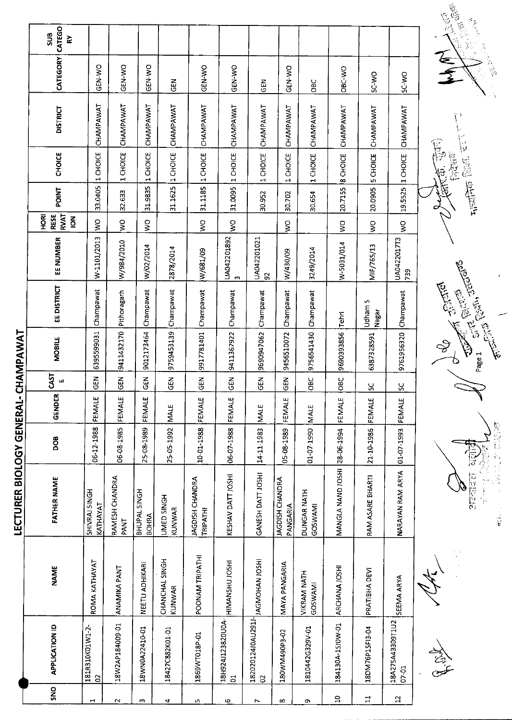|                         |                                     |                               | LECTURER BIOLOGY GENERAL-                 |            |             | O                | HAMPAWAT                                                                                                                                                                                                                                                                                                                                                   |                                 |                       |                                               |                   |                                 |                 |              |                       |
|-------------------------|-------------------------------------|-------------------------------|-------------------------------------------|------------|-------------|------------------|------------------------------------------------------------------------------------------------------------------------------------------------------------------------------------------------------------------------------------------------------------------------------------------------------------------------------------------------------------|---------------------------------|-----------------------|-----------------------------------------------|-------------------|---------------------------------|-----------------|--------------|-----------------------|
| SNO                     | <b>APPLICATION ID</b>               | <b>NAME</b>                   | <b>FATHER NAME</b>                        | <b>BOO</b> | GENDER      | <b>CAST</b><br>щ | <b>MOBILE</b>                                                                                                                                                                                                                                                                                                                                              | EE DISTRICT                     | EE NUMBER             | <b>RVAT</b><br>HORI<br>RESE<br>$\overline{6}$ | <b>POINT</b>      | CHOICE                          | <b>DISTRICT</b> | CATEGORY     | CATEGO<br>SUB<br>ř    |
|                         | 181R310K01W1-2-<br>$\Omega$         | ROMA KATHAYAT                 | SHIVRAJ SINGH<br>KATHAYAT                 | 06-12-1988 | FEMALE      | $\tilde{E}$<br>Ψ | 6395599031                                                                                                                                                                                                                                                                                                                                                 | Champawat                       | W-1101/2013           | Ş                                             | 33.0405           | 1 CHOICE                        | CHAMPAWAT       | GEN-WO       |                       |
|                         | 18W2AP184009-01                     | ANAMIKA PANT                  | RAMESH CHANDRA<br>PANT                    | 06-08-1985 | FEMALE      | <b>GEN</b>       | 9411432170                                                                                                                                                                                                                                                                                                                                                 | Pithoragarh                     | W/984/2010            | Š                                             | 32.633            | 1 CHOICE                        | CHAMPAWAT       | GEN-WO       |                       |
| $\boldsymbol{\epsilon}$ | 18WN0A22410-01                      | NEETU ADHIKARI                | BHUPAL SINGH<br>BOHRA                     | 25-08-1989 | FEMALE      | $\vec{E}$<br>Ψ   | 9012173464                                                                                                                                                                                                                                                                                                                                                 | Champawat                       | W/02/2014             | $\stackrel{\circ}{\ge}$                       | 31.9835           | 1 CHOICE                        | CHAMPAWAT       | GEN-WO       |                       |
| 4                       | 18427C882K01-01                     | CHANCHAL SINGH<br>KUNWAR      | UMED SINGH<br>KUNWAR                      | 25-05-1992 | <b>MALE</b> | $\Xi$<br>O       | 9759453139                                                                                                                                                                                                                                                                                                                                                 | Champawat                       | 2878/2014             |                                               | 31.1625           | 1 CHOICE                        | CHAMPAWAT       | GEN          |                       |
| 5                       | 1869WT018P-01                       | POONAM TRIPATHI               | <b>JAGDISH CHANDRA</b><br><b>TRIPATHI</b> | 10-01-1988 | FEMALE      | 준<br>୰           | 9917781401                                                                                                                                                                                                                                                                                                                                                 | Champawat                       | W/681/09              | $\frac{1}{2}$                                 | 31.1185           | 1 CHOICE                        | CHAMPAWAT       | GEN-WO       |                       |
| Ф                       | 18H924J123820U0A-<br>$\overline{5}$ | HIMANSHU JOSHI                | KESHAV DATT JOSHI                         | 06-07-1988 | FEMALE      | $\Xi$<br>O       | 9411367922                                                                                                                                                                                                                                                                                                                                                 | Champawat                       | UA042201892<br>$\sim$ | Š                                             | 31.0095           | 1 CHOICE                        | CHAMPAWAT       | GEN-WO       |                       |
| $\overline{ }$          | 182020124J0AU291J-<br>$\beta$       | <b>JAGMOHAN JOSHI</b>         | GANESH DATT JOSHI                         | 14-11-1983 | <b>NALE</b> | <u>ਟ</u><br>Φ    | 9690947062                                                                                                                                                                                                                                                                                                                                                 | Champawat                       | UA042201021<br>95     |                                               | 30.952            | <b>CHOICE</b><br>$\blacksquare$ | CHAMPAWAT       | <b>SEN</b>   |                       |
| $\infty$                | 180WM490P3-02                       | <b>MAYA PANGARIA</b>          | JAGDISH CHANDRA<br>PANGARIA               | 05-08-1989 | FEMALE      | $\Xi$<br>O       | 9456510072                                                                                                                                                                                                                                                                                                                                                 | Champawat                       | W/430/09              | Š                                             | 30.702            | CHOICE<br>$\overline{ }$        | CHAMPAWAT       | GEN-WO       |                       |
| c                       | 1810442G329V-01                     | <b>VIKRAM NATH</b><br>GOSWAMI | DUNGAR NATH<br>GOSWAMI                    | 01-07-1990 | <b>NALE</b> | 9Č<br>O          | 9756541430                                                                                                                                                                                                                                                                                                                                                 | Champawat                       | 3249/2014             |                                               | 30.654            | 1 CHOICE                        | CHAMPAWAT       | OBC          |                       |
| $\overline{a}$          | 184130A-1SJ0W-01                    | ARCHANA IOSHI                 | MANGLA NAND JOSHI                         | 28-06-1994 | FEMALE      | BC<br><u>੦</u>   | 9690393856                                                                                                                                                                                                                                                                                                                                                 | Tehri                           | W-5031/014            | $\frac{1}{2}$                                 | 20.7155           | 8 CHOICE                        | CHAMPAWAT       | OBC-WO       |                       |
| $\Xi$                   | 18DM76P15FI3-04                     | PRATIBHA DEVI                 | RAM ASARE BHARTI                          | 21-10-1986 | FEMALE      | $\frac{1}{2}$    | 6387328591                                                                                                                                                                                                                                                                                                                                                 | S<br>Udham!<br>Nagar            | MIF/765/13            | $\mathsf{S}^{\mathsf{O}}$                     | 20,0905           | 5 CHOICE                        | CHAMPAWAT       | <b>OW-2S</b> |                       |
| $\overline{a}$          | 18A27SA43309T1U2<br>07-01           | SEEMA ARYA                    | NARAYAN RAM ARYA                          | 01-07-1993 | FEMALE      | <u>S</u>         | 9761956320                                                                                                                                                                                                                                                                                                                                                 | Champawat                       | UA0422017T3<br>739    | Š                                             | 19.5525           | CHOICE<br>$\mathbf{H}$          | CHAMPAWAT       | SC-WO        |                       |
|                         | الانجاز<br>محين                     |                               | $7 - 27$                                  |            |             |                  | r.<br>Ş<br>$\begin{picture}(20,5) \put(0,0){\line(1,0){155}} \put(15,0){\line(1,0){155}} \put(15,0){\line(1,0){155}} \put(15,0){\line(1,0){155}} \put(15,0){\line(1,0){155}} \put(15,0){\line(1,0){155}} \put(15,0){\line(1,0){155}} \put(15,0){\line(1,0){155}} \put(15,0){\line(1,0){155}} \put(15,0){\line(1,0){155}} \put(15,0){\line(1,0){155}} \put$ | Richard Tennes<br><b>Bullet</b> |                       |                                               | <b>Light</b> Red. | 阿克河<br>Ģ                        | $\frac{1}{2}$   | €<br>₹       | 一面不<br>高山<br>دي.<br>ا |
|                         |                                     |                               |                                           |            |             |                  |                                                                                                                                                                                                                                                                                                                                                            |                                 |                       |                                               |                   |                                 |                 |              |                       |

**CANONA** े<br>र  $\frac{1}{\text{width of } \left( \frac{1}{2} \right)} \cdot \frac{1}{2} \cdot \frac{1}{2} \cdot \frac{1}{2} \cdot \frac{1}{2} \cdot \frac{1}{2} \cdot \frac{1}{2} \cdot \frac{1}{2} \cdot \frac{1}{2} \cdot \frac{1}{2} \cdot \frac{1}{2} \cdot \frac{1}{2} \cdot \frac{1}{2} \cdot \frac{1}{2} \cdot \frac{1}{2} \cdot \frac{1}{2} \cdot \frac{1}{2} \cdot \frac{1}{2} \cdot \frac{1}{2} \cdot \frac{1}{2} \cdot \frac{1}{2} \cdot \frac{1}{2} \cdot \frac{1}{$ 

**Community** of the first of the first of the first of the second of the community of the second of the community of the community of the community of the community of the community of the community of the community of the

2010年12月 **A REAL PROPERTY**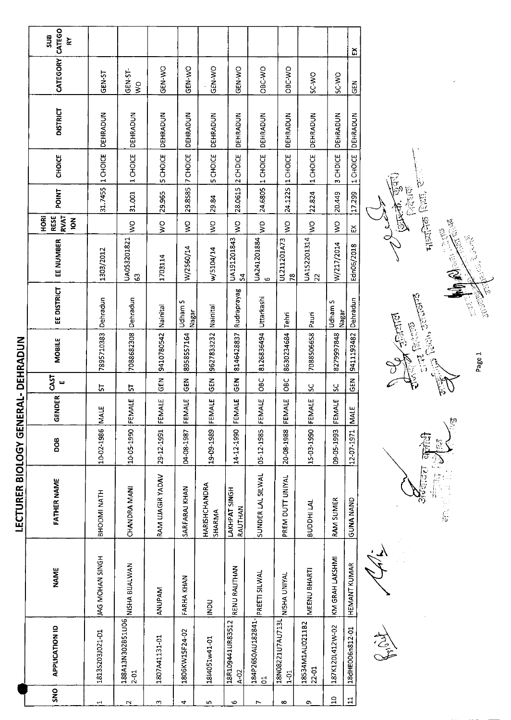|                                                                                             |  | <b>LECTURER BIOLOGY GENER</b> |                 |                   |                        | AL-DEHRADUN   |                  |                               |                                                           |              |                   |                 |                   |                            |
|---------------------------------------------------------------------------------------------|--|-------------------------------|-----------------|-------------------|------------------------|---------------|------------------|-------------------------------|-----------------------------------------------------------|--------------|-------------------|-----------------|-------------------|----------------------------|
| <b>FATHER NAME</b><br><b>NAME</b><br><b>APPLICATION ID</b><br>SNO                           |  |                               | <b>BOB</b>      | DER<br>GENE       | CAST<br>ш              | <b>MOBILE</b> | EE DISTRICT      | EE NUMBER                     | <b>RESE</b><br><b>RVAT</b><br><b>FORE</b><br>$\mathbf{z}$ | <b>FOINT</b> | <b>CHOICE</b>     | <b>DISTRICT</b> | CATEGORY          | CATEGO<br><b>SUB</b><br>ķΥ |
| BHOOMI NATH<br>JAG MOHAN SINGH<br>1813S203J021-D1                                           |  |                               | 10-02-1986 MALE |                   | 능                      | 7895710383    | Dehradun         | 1303/2012                     |                                                           | 31.7455      | 1 CHOICE          | DEHRADUN        | GEN-ST            |                            |
| CHANDRA MANI<br>NISHA BUALWAN<br>188A13N302B51U06<br>$2-01$                                 |  |                               | 10-05-1990      | ببا<br>FEMA       | r,                     | 7088682308    | Dehradun         | UA053201821<br>C3             | $\frac{8}{2}$                                             | 31.001       | 1 CHOICE          | DEHRADUN        | GEN-ST-<br>$\leq$ |                            |
| RAM UJAGIR YADAV<br>ANUPAM<br>1807A41131-01                                                 |  |                               | 29-12-1991      | FEMALE            | <b>GEN</b>             | 9410780542    | Nainital         | 1703114                       | $\frac{1}{2}$                                             | 29.965       | <b>SCHOICE</b>    | DEHRADUN        | GEN-WO            |                            |
| 04-08-1987<br>SARFARAJ KHAN<br>FARHA KHAN<br>1806KW15F24-02                                 |  |                               |                 | ببا<br>FEMA       | $rac{1}{6}$            | 8958557164    | Udham S<br>Nagar | W/2560/14                     | $\frac{8}{5}$                                             |              | 29.855 7 CHOICE   | DEHRADUN        | GEN-WO            |                            |
| 19-09-1989<br>HARISHCHANDRA<br>SHARMA<br>DON<br>1814051w41-01                               |  |                               |                 | FEMALE            | GEN                    | 9627833232    | Nainital         | w/5104/14                     | Š                                                         | 29.84        | 5 CHOICE          | DEHRADUN        | GEN-WO            |                            |
| 14-12-1990<br>LAKHPAT SINGH<br>RAUTHAN<br>RENU RAUTHAN<br>18R109441UR83512<br>$\lambda$ -02 |  |                               |                 | 박<br>FEMA         | <b>SEN</b>             | 8146428837    | Rudraprayag      | UA191201843<br>$\overline{5}$ | $\frac{1}{2}$                                             | 28.0615      | 2 CHDICE          | DEHRADUN        | GEN-WO            |                            |
| $05 - 12 - 1985$<br>SUNDER LAL SILWAL<br>PREETI SILWAL<br>184P26S0AU182841-<br>đ            |  |                               |                 | FEMALE            | $rac{C}{C}$            | 8126836494    | Uttarkashi       | UA241201884<br>Ю              | $\frac{1}{2}$                                             |              | 24.6805  1 CHOICE | DEHRADUN        | OBC-WO            |                            |
| 20-08-1988<br>PREM DUTT UNIYAL<br>NISHA UNIYAL<br>18N08221U7AU713L<br>$\frac{5}{1}$         |  |                               |                 | FEMALE            | OBC                    | 8630234684    | Tehri            | UL211201A73<br>78             | $\frac{1}{2}$                                             | 24.122S      | 1 CHOICE          | DEHRADUN        | OBC-WO            |                            |
| BUDDHI LAL<br>MEENU BHARTI<br>18534M1AU0211B2<br>22-01                                      |  |                               |                 | 15-03-1990 FEMALE | $\frac{8}{5}$          | 7088506658    | Paun             | UA1S2201314<br>22             | $\frac{1}{2}$                                             | 22.824       | 1 CHOICE          | DEHRADUN        | SC-WO             |                            |
| 09-05-1993<br><b>RAM SUMER</b><br>KM GRAH LAKSHMI<br>187K120L412W-02                        |  |                               |                 | FEMALE            | $\overline{\text{sc}}$ | 8279997848    | Udham S<br>Nagar | W/217/2014                    | $\frac{8}{2}$                                             | 20.449       | 3 CHDICE          | DEHRADUN        | SC-WO             |                            |
| <b>GUNA NAND</b><br><b>HEMANT KUMAR</b><br>18dHE006n812-01                                  |  |                               | 12-07-1971 MALE |                   | <b>GEN</b>             | 9411193482    | Dehradun         | Edn06/2018                    | 꼊                                                         | 17.299       | 1 CHOICE          | DEHRADUN        | <b>IGEN</b>       | ă                          |

 $\frac{1}{2}$ 。<br>百 15 ę.  $\frac{\sum_{i=1}^{n} \sum_{j=1}^{n} \binom{n}{j}}{n!} \frac{1}{n!} \sum_{j=1}^{n} \binom{n}{j} \binom{n}{j} \binom{n}{j}}{n!} \frac{1}{n!} \sum_{j=1}^{n} \binom{n}{j} \binom{n}{j} \binom{n}{j} \binom{n}{j}}$ t<br>B Children Rock Page 1



R. O. L.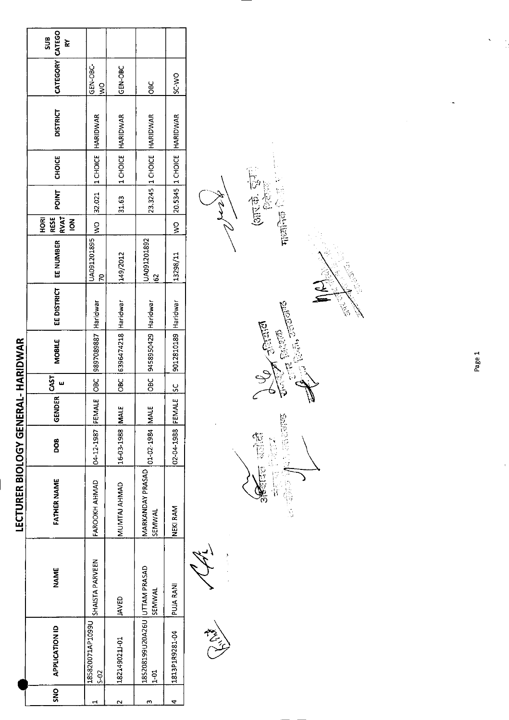|            |                                                |                  | LECTURER BIOLOGY GENERAL- HARIDWAR |                      |               |               |                         |             |                   |                                              |              |               |                              |                               |                  |
|------------|------------------------------------------------|------------------|------------------------------------|----------------------|---------------|---------------|-------------------------|-------------|-------------------|----------------------------------------------|--------------|---------------|------------------------------|-------------------------------|------------------|
| <b>SNS</b> | <b>APPLICATION ID</b>                          | <b>NAME</b>      | FATHER NAME                        | <b>DOG</b>           | <b>GENDER</b> | 55            | <b>MOBILE</b>           | EE DISTRICT | EE NUMBER         | <b>RVAT</b><br>HORI<br>RESE<br>$\frac{2}{5}$ | <b>POINT</b> | <b>CHOICE</b> | <b>DISTRICT</b>              | CATEGORY CATEGO               | $rac{1}{2}$<br>≿ |
|            | 185820071AP1099U<br>$5 - 2$                    | SHAISTA PARVEEN  | FAROOKH AHMAD                      | 04-12-1987 FEMALE    |               |               | OBC 3897089887 Haridwar |             | UA091201895<br>R  |                                              |              |               | WO 32.021 ICHOICE HARIDWAR   | <b>CHANG</b><br>$\frac{8}{2}$ |                  |
|            | 1821490211-01                                  | JAVED            | MUNTAJ AHMAD                       | 16-03-1988 MA        | щ             | $rac{1}{280}$ | 6396474218 Haridwar     |             | 149/2012          |                                              | 31.63        |               | 1 CHOICE HARIDWAR            | <b>GEN-OBC</b>                |                  |
|            | 185208199020A26U UTTAM PRASAD<br>$\frac{1}{2}$ | SEMWAL           | MARKANDAY PRASAD<br>SEMWAL         | 01-02-1984 MAI       | بب            |               | OBC 9458950429 Haridwar |             | UA091201892<br>G) |                                              |              |               | 23.3245 1 CHOICE   HARIDWAR  | $rac{6}{2}$                   |                  |
|            | 1813P1R9281-04                                 | <b>PUJA RANI</b> | NEKI RAM                           | 02-04-1988 FEMALE SC |               |               | 9012810189 Haridwar     |             | 13298/11          |                                              |              |               | WO 20.5345 1 CHOICE HARIDWAR | SC WO                         |                  |
|            |                                                |                  |                                    |                      |               |               |                         |             |                   |                                              |              |               |                              |                               |                  |

Children R.





Page 1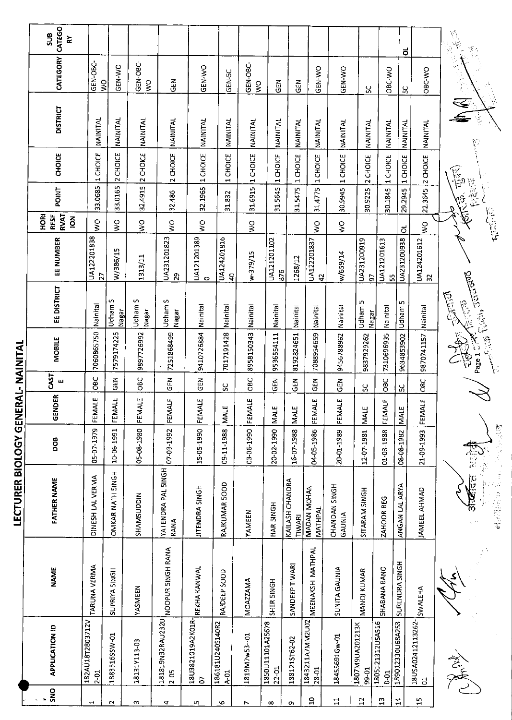|                       | CATEGO<br>ans<br>≿                              |                              |                     |                     |                              |                               |                                        |                          |                               |                           |                               |                         |                            |                                 | ಠ                 |                                     | $\begin{array}{c} \mathbb{C}^1_1 \\ \mathbb{C}^1_2 \\ \mathbb{C}^1_3 \\ \mathbb{C}^1_4 \end{array}$<br>ريخ<br>پرچ |
|-----------------------|-------------------------------------------------|------------------------------|---------------------|---------------------|------------------------------|-------------------------------|----------------------------------------|--------------------------|-------------------------------|---------------------------|-------------------------------|-------------------------|----------------------------|---------------------------------|-------------------|-------------------------------------|-------------------------------------------------------------------------------------------------------------------|
|                       | CATEGORY                                        | GEN-OBC-<br>$\frac{1}{2}$    | GEN-WO              | GEN-OBC-<br>ş       | 즈<br>5                       | GEN-WO                        | GEN-5C                                 | GEN-OBC<br>$\frac{1}{2}$ | $\tilde{5}$                   | GEN                       | <b>GEN-WO</b>                 | GEN-WO                  | ပ္တ                        | OBC-WO                          | Χ                 | OBC WO                              | $\tilde{R}$                                                                                                       |
|                       | <b>DISTRICT</b>                                 | NAINITAL                     | NAINITAL            | NAINITAL            | NAINITAL                     | NAINITAL                      | NAINITAL                               | NAINITAL                 | NAINITAL                      | NAINITAL                  | NAINITAL                      | NAINITAL                | NAINITAL                   | NAINITAL                        | <b>NAINITAL</b>   | NAINITAL                            |                                                                                                                   |
|                       | <b>CHOICE</b>                                   | 1 CHOICE                     | 2 CHOICE            | 2 CHOICE            | 2 CHOICE                     | 1 CHOICE                      | <b>CHOICE</b><br>$\blacktriangleright$ | 1 CHOICE                 | 1 CHOICE                      | 1 CHOICE                  | 1 CHOICE                      | 1 CHOICE                | 2 CHOICE                   | 1 CHOICE                        | 1 CHOICE          | 2 CHOICE                            | $\widetilde{E}_p$                                                                                                 |
|                       | <b>POINT</b>                                    | 33.0685                      | 33.0165             | 32.4915             | 32.486                       | 32.1965                       | 31.832                                 | 31.6915                  | 31.5645                       | 31.5475                   | 31.4775                       | 30.9945                 | 30.9225                    | 30.1845                         | 29.2945           | 22.3645                             | 包覆<br>E. E.                                                                                                       |
|                       | <b>RVAT</b><br><b>HORI</b><br>RESE<br>$\vec{6}$ | Ş                            | ş                   | $\frac{0}{5}$       | $\geq$                       | $\leq$                        |                                        | Ş                        |                               |                           | $\leq$                        | $\frac{8}{5}$           |                            |                                 | ಠ                 | $\leq$                              | <b>THE SERVICE</b>                                                                                                |
|                       | EE NUMBER                                       | UA122201838<br>22            | W/386/15            | 1313/11             | UA231201823<br>$\mathbf{r}$  | UA121201389<br>$\circ$        | UA124201816<br>$\overline{a}$          | w-379/15                 | UA121201102<br>876            | 1268/12                   | UA122201837<br>$\overline{4}$ | w/659/14                | UA231200919<br>5           | UA121201613                     | UA231200938<br>55 | UA124201612<br>$\mathfrak{L}$       |                                                                                                                   |
|                       | EE DISTRICT                                     | Nainital                     | S<br>Udham<br>Nagar | S<br>Udham<br>Nagar | S<br>Udham :<br>Nagar        | Nainital                      | Nainital                               | Nainital                 | Nainital                      | Nainital                  | Nainital                      | Nainital                | m<br>Udham<br><b>Nagar</b> | Nainital                        | Udham 5           | Nainital                            | Contract Combine Secretary<br><b>CASE</b><br>R. China                                                             |
| RAL-NAINITAL          | MOBILE                                          | 7060865750                   | 7579174225          | 9897726992          | 7251868499                   | 9410726884                    | 7017191428                             | 8958150343               | 9536554111                    | 8192824651                | 7088954659                    | 9456788962              | 9837929262                 | 7310696935                      | 9634853902        | 9870741157                          |                                                                                                                   |
|                       | <b>CAST</b><br>щ                                | ය<br>පි                      | មិ<br>ច             | OBC                 | <b>GEN</b>                   | GEN                           | ပ္တ                                    | <b>OBC</b>               | <b>GEN</b>                    | EN<br>영                   | GEN                           | <b>GEN</b>              | ပ္တ                        | OBC                             | ሄ                 | O8C                                 |                                                                                                                   |
|                       | GENDER                                          | FEMALE                       | FEMALE              | FEMALE              | FEMALE                       | <b>FEMALE</b>                 | <b>MALE</b>                            | FEMALE                   | <b>MALE</b>                   | MALE                      | FEMALE                        | FEMALE                  | <b>MALE</b>                | FEMALE                          | MALE              | FEMALE                              |                                                                                                                   |
|                       | <b>BOO</b>                                      | 05-07-1979                   | 10-06-1991          | 05-08-1980          | 07-03-1992                   | 15-05-1990                    | 09-11-1988                             | 03-06-1990               | 20-02-1990                    | 16-07-1988                | 04-05-1986                    | 20-01-1989              | 1207-1981                  | 01-03-1988                      | 08-08-1982        | 21-09-1993                          |                                                                                                                   |
| LECTURER BIOLOGY GENE | <b>FATHER NAME</b>                              | DINESH LAL VERMA             | OMKAR NATH SINGH    | SHAMSUDDIN          | YATENDRA PAL SINGH<br>RANA   | JITENDRA SINGH                | RAJKUMAR 500D                          | <b>YAMEEN</b>            | HAR SINGH                     | KAILASH CHANDRA<br>TIWARI | MADAN MOHAN<br>MATHPAL        | CHANDAN SINGH<br>GAUNIA | SITARAM SINGH              | ZAHOOR BEG                      | ANGAN LAL ARYA    | <b>JAMEEL AHMAD</b>                 | अंब्यूदत<br>$\phi \in \mathbb{R}^n$                                                                               |
|                       | NAME                                            | TARUNA VERMA                 | SUPRIYA SINGH       | YASMEEN             | NOOPUR SINGH RANA            | REKHA KANWAL                  | RAIDEEP SOOD                           | <b>MOAZZAMA</b>          | SHER SINGH                    | SANDEEP TIWARI            | MEENAKSHI MATHPAL             | <b>SUNITA GAUNIA</b>    | MANOJ KUMAR                | SHABANA BANO                    | SURENDRA SINGH    | SWALEHA                             |                                                                                                                   |
|                       | <b>APPLICATION ID</b>                           | 182AU18T2803712V<br>$2 - 01$ | 1883516SSW-01       | 18131Y113-03        | 181819N32RAU2320<br>$2 - 05$ | 18U3821019A2K01R-<br><b>S</b> | 186181U240S140R2<br>$A-01$             | 1819M7w53-01             | 1850U11101A25678<br>$22 - 01$ | 1881215T62-02             | 1843211A7MM2U02<br>$28 - 01$  | 18455691Gw-01           | 1807M9UA201213K<br>99-01   | 1805121312USA516<br><b>B-01</b> | 189012330U68A253  | 18USA02412113262-<br>$\overline{c}$ | 意美                                                                                                                |
|                       | SNO                                             | $\vec{ }$                    | $\sim$              | S                   | 4                            | w                             | S                                      | $\overline{ }$           | $\infty$                      | Q)                        | $\Xi$                         | $\Xi$                   | 12                         | $\mathbf{u}$                    | $\mathbf{z}$      | $\Xi$                               |                                                                                                                   |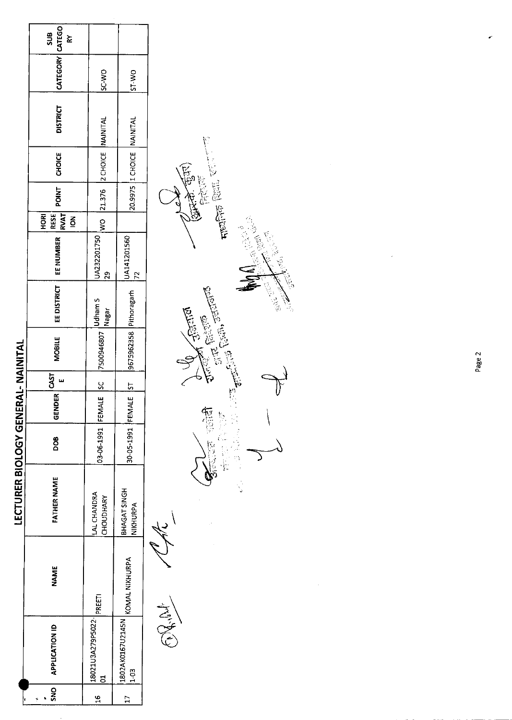|                                    | SUB<br>.<br>م                     |                                              |                                                                                                                                                                           |
|------------------------------------|-----------------------------------|----------------------------------------------|---------------------------------------------------------------------------------------------------------------------------------------------------------------------------|
|                                    | CATEGORY CATEGO                   | SC-WO                                        | <b>DM-1S</b>                                                                                                                                                              |
|                                    | <b>DISTRICT</b>                   |                                              |                                                                                                                                                                           |
|                                    | CHOICE                            | WO 21.376 2 CHOICE NAINITAL                  | 20.9975  I CHOICE   NAINITAL                                                                                                                                              |
|                                    | POINT                             |                                              |                                                                                                                                                                           |
|                                    | RESE<br>RVAT<br>HORI<br>$\vec{6}$ |                                              |                                                                                                                                                                           |
|                                    | EE NUMBER                         | UA232201750<br>ջ<br>2                        | $\begin{bmatrix} 9675962358\\ 9675962358\\ \end{bmatrix} \begin{bmatrix} \text{Pithoragath} \\ \text{Hil} \end{bmatrix} \begin{bmatrix} 14141201560\\ 72\\ \end{bmatrix}$ |
|                                    | EE DISTRICT                       |                                              |                                                                                                                                                                           |
|                                    | <b>MOBILE</b>                     | 7500946807   Udham S<br> 17500946807   Nagar |                                                                                                                                                                           |
|                                    | 55                                | <u>ს.</u>                                    | $\frac{5}{2}$                                                                                                                                                             |
|                                    | GENDER                            |                                              |                                                                                                                                                                           |
|                                    | ဦ                                 | 03-06-1991 FEMALE                            | 30-05-1991 FEMALE                                                                                                                                                         |
| LECTURER BIOLOGY GENERAL- NAINITAL | <b>FATHER NAME</b>                | <b>LAL CHANDRA</b><br>CHOUDHARY              | BHAGAT SINGH<br>NIKHURPA                                                                                                                                                  |
|                                    | NAME                              |                                              | KOMAL NIKHURPA                                                                                                                                                            |
|                                    | <b>APPLICATION ID</b>             | 18021U3A279P5022- PREETI<br>ដ                | 1802AK0167U2145N<br>$1 - 03$                                                                                                                                              |
|                                    | $rac{1}{5}$                       | 16                                           |                                                                                                                                                                           |

Gund Till **Hindick** form en J. Contractor **Chairs Control Control** 经过度体 赞同 د ORNI CAL

Page 2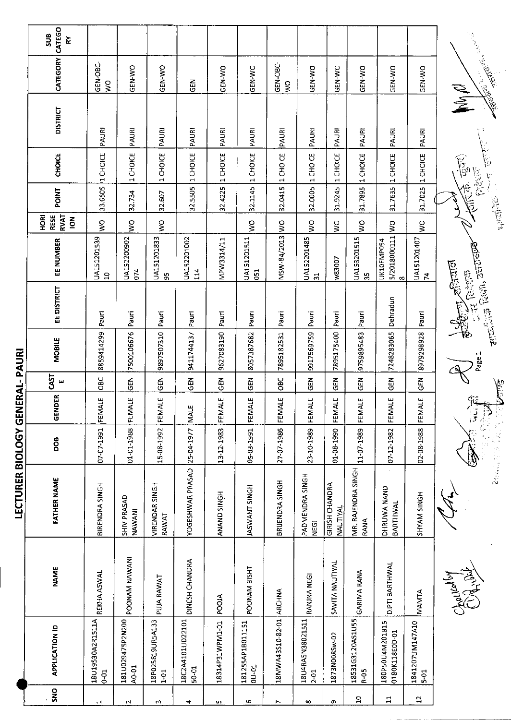| ARABSON CALLONS<br>CATEGORY<br>GEN-OBC-<br>GEN-OBC-<br>GEN-WO<br>GEN-WO<br>GEN-WO<br>GEN-WO<br>GEN-WO<br>GEN-WO<br>GEN-WO<br>GEN-WO<br>GEN-WO<br><b>CONTROLLER</b><br>준<br>이<br>$\mathsf{S}^{\mathsf{O}}$<br>δŃ<br>MyR<br><b>DISTRICT</b><br>PAURI<br>PAURI<br>PAURI<br>PAURI<br>PAURI<br>PAURI<br>PAURI<br>PAURI<br>PAURI<br>PAURI<br>PAURI<br>PAURI<br>1 CHOICE<br>1 CHOICE<br>1 CHOICE<br>1 CHOICE<br><b>CHOICE</b><br>1 CHOICE<br>1 CHOICE<br>1 CHOICE<br>1 CHOICE<br>1 CHOICE<br>1 CHOICE<br>1 CHOICE<br>1 CHOICE<br>$\mathbb{E}$<br><b>BRACE</b><br>信用<br>32.1145<br>31.7025<br>32.0005<br>33.6505<br>31.7635<br>32.4225<br>32.5505<br>32.0415<br>31.9245<br>31.7895<br><b>POINT</b><br>32.734<br>32.607<br>高度<br><b>RVAT</b><br><b>ROH</b><br><b>RESE</b><br>$\overline{6}$<br>$\frac{1}{2}$<br>ş<br>Š<br>$\frac{1}{2}$<br>$\frac{1}{2}$<br>$\frac{1}{2}$<br>S<br>5/2018000111 WO<br>š<br>š<br>MSW-84/2013<br>UA151201833<br>UA151201539<br>UA152200902<br>UA152201002<br>UA152201485<br>UA153201515<br>UA151201511<br>UA151201407<br>MPW3314/11<br>EE NUMBER<br>UK10EMP054<br>ancelons Roch, sected<br>w83007<br>$\mathcal{A}^{\text{S}}$ and<br>074<br>114<br><b>G51</b><br>$\mathcal{F} \in \mathcal{B}^{\text{even}}_{\text{even}}$<br>$\mathbf{a}$<br>59<br>35<br>$\mathbf{z}$<br>$\overline{31}$<br>$\infty$<br>EE DISTRICT<br>Dehradun<br>NEW 1<br>Pauri<br>Pauri<br>Pauri<br>Pauri<br>Pauri<br>Pauri<br>Pauri<br>Pauri<br>Pauri<br>Pauri<br>Pauri<br>7500106676<br>8979298928<br>8859414299<br>9897507310<br>7248283065<br>9627083190<br>7895175400<br>9917569759<br>9759895483<br>8057387682<br>9411744137<br>7895182531<br><b>MOBILE</b><br>ERAL-PAURI<br>Page 1<br>CAST<br><b>OBC</b><br>$rac{2}{5}$<br>$rac{2}{3}$<br>GEN<br>GL<br>OBC<br>$\frac{2}{5}$<br><b>GEN</b><br><b>GEN</b><br>$\tilde{5}$<br>មិ<br>ម<br>GEN<br>ш<br>GENDER<br>92<br>FEMALE<br>FEMALE<br>FEMALE<br>FEMALE<br>پ<br>Ч<br>FEMALE<br>FEMALE<br>FEMALE<br>FEMALE<br>Ч<br>MALE<br>FEMA<br>FEMA<br>FEMA<br>$\frac{1}{3}$<br>聖人 的复数医神经管<br>LECTURER BIOLOGY GEN<br>1667-20-20<br>27-07-1986<br>05-03-1991<br>15-08-1992<br>07-12-1982<br>02-08-1988<br>01-01-1988<br>13-12-1983<br>23-10-1989<br>11-07-1989<br>25-04-1977<br>01-08-1990<br><b>BOG</b><br>MR. RAJENDRA SINGH<br>YOGESHWAR PRASAD<br>PADMENDRA SINGH<br><b>FATHER NAME</b><br>BRIJENDRA SINGH<br>GIRISH CHANDRA<br><b>VIRENDAR SINGH</b><br>BIRENDRA SINGH<br><b>JASWANT SINGH</b><br>DHRUWA NAND<br>ANAND SINGH<br>HONIS NAVIS<br>SHIV PRASAD<br>BARTHWAL<br>NAUTIYAL<br>NAWANI<br>RAWAT<br>RANA<br>NEGI<br>POONAM NAWANI<br>DINESH CHANDRA<br>SAVITA NAUTIYAL<br><b>DIPTI BARTHWAL</b><br>POONAM BISHT<br><b>NAME</b><br><b>GARIMA RANA</b><br>REKHA ASWAL<br>Charles by<br>RANJNA NEGI<br>PUJA RAWAT<br>18MWA43S10-82-01 ARCHNA<br>MANTA<br><b>PDOJA</b><br>181U029475P2N200<br>18C2A4101UD22101<br>18U4RA5N38021511<br>18531G3120AS1U55<br>18U19530A2R1511A<br>18P025819UR5A133<br>18314P31WPM1-01<br>181255AP18011151<br>1841207UM147A10<br>180P50U4M201B15<br><b>APPLICATION ID</b><br>0180K118E0D-01<br>1873N008Sw-02<br>00-01<br>A0-01<br>$50 - 01$<br>R-05<br>$6-01$<br>$1-01$<br>$2-01$<br>$5-01$<br>SNO<br>$\mathbf{1}$<br>$\mathbf{5}$<br>6<br>c<br>$^\infty$ |                    |   |        |   |   |   |   |  |       |  |  |
|----------------------------------------------------------------------------------------------------------------------------------------------------------------------------------------------------------------------------------------------------------------------------------------------------------------------------------------------------------------------------------------------------------------------------------------------------------------------------------------------------------------------------------------------------------------------------------------------------------------------------------------------------------------------------------------------------------------------------------------------------------------------------------------------------------------------------------------------------------------------------------------------------------------------------------------------------------------------------------------------------------------------------------------------------------------------------------------------------------------------------------------------------------------------------------------------------------------------------------------------------------------------------------------------------------------------------------------------------------------------------------------------------------------------------------------------------------------------------------------------------------------------------------------------------------------------------------------------------------------------------------------------------------------------------------------------------------------------------------------------------------------------------------------------------------------------------------------------------------------------------------------------------------------------------------------------------------------------------------------------------------------------------------------------------------------------------------------------------------------------------------------------------------------------------------------------------------------------------------------------------------------------------------------------------------------------------------------------------------------------------------------------------------------------------------------------------------------------------------------------------------------------------------------------------------------------------------------------------------------------------------------------------------------------------------------------------------------------------------------------------------------------------------------------------------------------------------------------------------------------------------------------------------------------------------------------------------------------------------------------------------------------------------------------------------------------------------------------------------------------------------------------------------------------------------------------------------------------------|--------------------|---|--------|---|---|---|---|--|-------|--|--|
|                                                                                                                                                                                                                                                                                                                                                                                                                                                                                                                                                                                                                                                                                                                                                                                                                                                                                                                                                                                                                                                                                                                                                                                                                                                                                                                                                                                                                                                                                                                                                                                                                                                                                                                                                                                                                                                                                                                                                                                                                                                                                                                                                                                                                                                                                                                                                                                                                                                                                                                                                                                                                                                                                                                                                                                                                                                                                                                                                                                                                                                                                                                                                                                                                            | CATEGO<br>SUB<br>ř |   |        |   |   |   |   |  |       |  |  |
|                                                                                                                                                                                                                                                                                                                                                                                                                                                                                                                                                                                                                                                                                                                                                                                                                                                                                                                                                                                                                                                                                                                                                                                                                                                                                                                                                                                                                                                                                                                                                                                                                                                                                                                                                                                                                                                                                                                                                                                                                                                                                                                                                                                                                                                                                                                                                                                                                                                                                                                                                                                                                                                                                                                                                                                                                                                                                                                                                                                                                                                                                                                                                                                                                            |                    |   |        |   |   |   |   |  |       |  |  |
|                                                                                                                                                                                                                                                                                                                                                                                                                                                                                                                                                                                                                                                                                                                                                                                                                                                                                                                                                                                                                                                                                                                                                                                                                                                                                                                                                                                                                                                                                                                                                                                                                                                                                                                                                                                                                                                                                                                                                                                                                                                                                                                                                                                                                                                                                                                                                                                                                                                                                                                                                                                                                                                                                                                                                                                                                                                                                                                                                                                                                                                                                                                                                                                                                            |                    |   |        |   |   |   |   |  |       |  |  |
|                                                                                                                                                                                                                                                                                                                                                                                                                                                                                                                                                                                                                                                                                                                                                                                                                                                                                                                                                                                                                                                                                                                                                                                                                                                                                                                                                                                                                                                                                                                                                                                                                                                                                                                                                                                                                                                                                                                                                                                                                                                                                                                                                                                                                                                                                                                                                                                                                                                                                                                                                                                                                                                                                                                                                                                                                                                                                                                                                                                                                                                                                                                                                                                                                            |                    |   |        |   |   |   |   |  |       |  |  |
|                                                                                                                                                                                                                                                                                                                                                                                                                                                                                                                                                                                                                                                                                                                                                                                                                                                                                                                                                                                                                                                                                                                                                                                                                                                                                                                                                                                                                                                                                                                                                                                                                                                                                                                                                                                                                                                                                                                                                                                                                                                                                                                                                                                                                                                                                                                                                                                                                                                                                                                                                                                                                                                                                                                                                                                                                                                                                                                                                                                                                                                                                                                                                                                                                            |                    |   |        |   |   |   |   |  |       |  |  |
|                                                                                                                                                                                                                                                                                                                                                                                                                                                                                                                                                                                                                                                                                                                                                                                                                                                                                                                                                                                                                                                                                                                                                                                                                                                                                                                                                                                                                                                                                                                                                                                                                                                                                                                                                                                                                                                                                                                                                                                                                                                                                                                                                                                                                                                                                                                                                                                                                                                                                                                                                                                                                                                                                                                                                                                                                                                                                                                                                                                                                                                                                                                                                                                                                            |                    |   |        |   |   |   |   |  |       |  |  |
|                                                                                                                                                                                                                                                                                                                                                                                                                                                                                                                                                                                                                                                                                                                                                                                                                                                                                                                                                                                                                                                                                                                                                                                                                                                                                                                                                                                                                                                                                                                                                                                                                                                                                                                                                                                                                                                                                                                                                                                                                                                                                                                                                                                                                                                                                                                                                                                                                                                                                                                                                                                                                                                                                                                                                                                                                                                                                                                                                                                                                                                                                                                                                                                                                            |                    |   |        |   |   |   |   |  |       |  |  |
|                                                                                                                                                                                                                                                                                                                                                                                                                                                                                                                                                                                                                                                                                                                                                                                                                                                                                                                                                                                                                                                                                                                                                                                                                                                                                                                                                                                                                                                                                                                                                                                                                                                                                                                                                                                                                                                                                                                                                                                                                                                                                                                                                                                                                                                                                                                                                                                                                                                                                                                                                                                                                                                                                                                                                                                                                                                                                                                                                                                                                                                                                                                                                                                                                            |                    |   |        |   |   |   |   |  |       |  |  |
|                                                                                                                                                                                                                                                                                                                                                                                                                                                                                                                                                                                                                                                                                                                                                                                                                                                                                                                                                                                                                                                                                                                                                                                                                                                                                                                                                                                                                                                                                                                                                                                                                                                                                                                                                                                                                                                                                                                                                                                                                                                                                                                                                                                                                                                                                                                                                                                                                                                                                                                                                                                                                                                                                                                                                                                                                                                                                                                                                                                                                                                                                                                                                                                                                            |                    |   |        |   |   |   |   |  |       |  |  |
|                                                                                                                                                                                                                                                                                                                                                                                                                                                                                                                                                                                                                                                                                                                                                                                                                                                                                                                                                                                                                                                                                                                                                                                                                                                                                                                                                                                                                                                                                                                                                                                                                                                                                                                                                                                                                                                                                                                                                                                                                                                                                                                                                                                                                                                                                                                                                                                                                                                                                                                                                                                                                                                                                                                                                                                                                                                                                                                                                                                                                                                                                                                                                                                                                            |                    |   |        |   |   |   |   |  |       |  |  |
|                                                                                                                                                                                                                                                                                                                                                                                                                                                                                                                                                                                                                                                                                                                                                                                                                                                                                                                                                                                                                                                                                                                                                                                                                                                                                                                                                                                                                                                                                                                                                                                                                                                                                                                                                                                                                                                                                                                                                                                                                                                                                                                                                                                                                                                                                                                                                                                                                                                                                                                                                                                                                                                                                                                                                                                                                                                                                                                                                                                                                                                                                                                                                                                                                            |                    |   |        |   |   |   |   |  |       |  |  |
|                                                                                                                                                                                                                                                                                                                                                                                                                                                                                                                                                                                                                                                                                                                                                                                                                                                                                                                                                                                                                                                                                                                                                                                                                                                                                                                                                                                                                                                                                                                                                                                                                                                                                                                                                                                                                                                                                                                                                                                                                                                                                                                                                                                                                                                                                                                                                                                                                                                                                                                                                                                                                                                                                                                                                                                                                                                                                                                                                                                                                                                                                                                                                                                                                            |                    |   |        |   |   |   |   |  |       |  |  |
|                                                                                                                                                                                                                                                                                                                                                                                                                                                                                                                                                                                                                                                                                                                                                                                                                                                                                                                                                                                                                                                                                                                                                                                                                                                                                                                                                                                                                                                                                                                                                                                                                                                                                                                                                                                                                                                                                                                                                                                                                                                                                                                                                                                                                                                                                                                                                                                                                                                                                                                                                                                                                                                                                                                                                                                                                                                                                                                                                                                                                                                                                                                                                                                                                            |                    |   |        |   |   |   |   |  |       |  |  |
|                                                                                                                                                                                                                                                                                                                                                                                                                                                                                                                                                                                                                                                                                                                                                                                                                                                                                                                                                                                                                                                                                                                                                                                                                                                                                                                                                                                                                                                                                                                                                                                                                                                                                                                                                                                                                                                                                                                                                                                                                                                                                                                                                                                                                                                                                                                                                                                                                                                                                                                                                                                                                                                                                                                                                                                                                                                                                                                                                                                                                                                                                                                                                                                                                            |                    |   |        |   |   |   |   |  |       |  |  |
|                                                                                                                                                                                                                                                                                                                                                                                                                                                                                                                                                                                                                                                                                                                                                                                                                                                                                                                                                                                                                                                                                                                                                                                                                                                                                                                                                                                                                                                                                                                                                                                                                                                                                                                                                                                                                                                                                                                                                                                                                                                                                                                                                                                                                                                                                                                                                                                                                                                                                                                                                                                                                                                                                                                                                                                                                                                                                                                                                                                                                                                                                                                                                                                                                            |                    |   |        |   |   |   |   |  |       |  |  |
|                                                                                                                                                                                                                                                                                                                                                                                                                                                                                                                                                                                                                                                                                                                                                                                                                                                                                                                                                                                                                                                                                                                                                                                                                                                                                                                                                                                                                                                                                                                                                                                                                                                                                                                                                                                                                                                                                                                                                                                                                                                                                                                                                                                                                                                                                                                                                                                                                                                                                                                                                                                                                                                                                                                                                                                                                                                                                                                                                                                                                                                                                                                                                                                                                            |                    |   |        |   |   |   |   |  |       |  |  |
|                                                                                                                                                                                                                                                                                                                                                                                                                                                                                                                                                                                                                                                                                                                                                                                                                                                                                                                                                                                                                                                                                                                                                                                                                                                                                                                                                                                                                                                                                                                                                                                                                                                                                                                                                                                                                                                                                                                                                                                                                                                                                                                                                                                                                                                                                                                                                                                                                                                                                                                                                                                                                                                                                                                                                                                                                                                                                                                                                                                                                                                                                                                                                                                                                            |                    | 4 | $\sim$ | w | 4 | m | r |  | $\Xi$ |  |  |

 $\frac{1}{2}$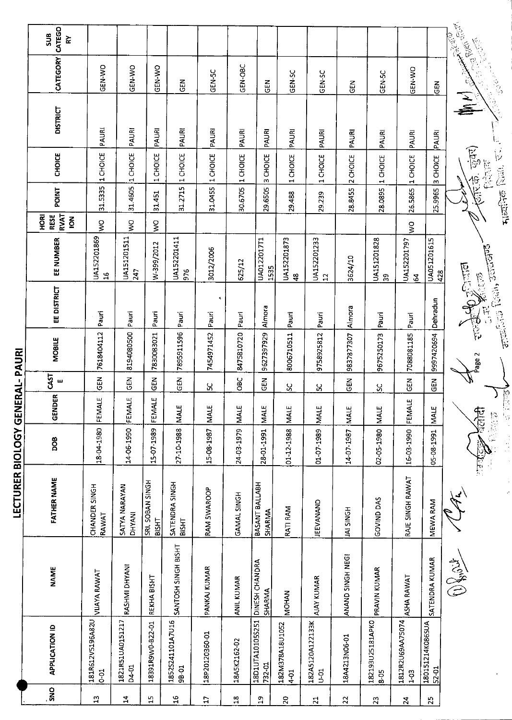| ٢č                               |                                                                   |                                 |                                  |                                              |                                 |                   |                   |                                               |                                                        |                                   |                                  |                                                               |                                                        | <b>CONTROLLED STATE</b><br><b>CONTROLLER</b><br>1911          |
|----------------------------------|-------------------------------------------------------------------|---------------------------------|----------------------------------|----------------------------------------------|---------------------------------|-------------------|-------------------|-----------------------------------------------|--------------------------------------------------------|-----------------------------------|----------------------------------|---------------------------------------------------------------|--------------------------------------------------------|---------------------------------------------------------------|
|                                  | GEN-WO                                                            | GEN-WO                          | GEN-WO                           | <b>GEN</b>                                   | GEN-5C                          | GEN-OBC           | <b>CEN</b>        | <b>GEN-SC</b>                                 | GEN-SC                                                 | GEN                               | GEN-5C                           | GEN-WO                                                        | GEN                                                    |                                                               |
| <b>DISTRICT</b>                  |                                                                   |                                 |                                  |                                              |                                 |                   |                   |                                               |                                                        |                                   |                                  |                                                               |                                                        | $\mathbb{G}_2$                                                |
| <b>CHOICE</b>                    |                                                                   |                                 | CHOICE                           |                                              |                                 |                   |                   |                                               | CHOICE                                                 | <b>CHOICE</b>                     | CHOICE                           | CHOICE                                                        | CHOICE                                                 | ্যুন্স)<br>$\frac{1}{2}$<br>检查年                               |
| <b>POINT</b>                     | 31.5335                                                           | 31.4605                         | 31.451                           | 31.2715                                      | 31.0455                         | 30.6705           | 29.6505           | 29.488                                        |                                                        | 28.8455                           | 28.0895                          |                                                               | 25.9965                                                | 一個 医海军<br><b>RECENT</b>                                       |
| HORI<br><b>RESE</b><br>$\vec{6}$ | Š                                                                 | Š                               | Š                                |                                              |                                 |                   |                   |                                               |                                                        |                                   |                                  | Š                                                             |                                                        | s                                                             |
| EE NUMBER                        | UA152201869<br>16                                                 | UA151201511<br>247              | W-399/2012                       | UA152201411<br>976                           | 3012/2006                       | 625/12            | UA0122017T1       | UA152201873<br>$\frac{8}{4}$                  | UA152201233<br>$\overline{12}$                         | 3624/10                           | UA151201828<br>က္က               | UA152201797<br>$\mathbf{2}$                                   | UA051201615<br>428                                     |                                                               |
| EE DISTRICT                      | Pauri                                                             | Pauri                           | Pauri                            | Pauri                                        | $\pmb{\varsigma}$<br>Pauri      | Pauri             | Almora            | Pauri                                         | Pauri                                                  | Almora                            | Pauri                            | Pauri                                                         | Dehradun                                               | alang Rain, asalang<br><b>CONSCRIPTION</b>                    |
| MOBILE                           | 7618404112                                                        | 8194080500                      | 7830083021                       | 7895911596                                   | 7454971452                      | 8475810720        | 9627397929        | 8006710511                                    | 9758925812                                             | 9837877307                        | 9675250173                       | 7088081185                                                    | 9997420694                                             | $\sim$<br>age                                                 |
| ш                                | GEN                                                               | <b>GEN</b>                      | <b>GEN</b>                       | $rac{1}{2}$                                  | Χ                               | OBC               | $\Xi$             | X                                             | χ                                                      | មិ<br>ច                           | ပ္တ                              | 준<br>문                                                        | <b>GEN</b>                                             |                                                               |
|                                  | 4E<br>EEM                                                         | FEMALE                          | <b>ALE</b><br>EEM                | ш<br>Ä                                       | ш<br>MALI                       | <b>MALE</b>       | <b>MALE</b>       | <b>MALE</b>                                   | <b>NALE</b>                                            | ш<br>MALI                         | ш<br>NAL                         | FEMALE                                                        | u.                                                     | ig<br>R<br>的复数                                                |
| <b>BOD</b>                       |                                                                   |                                 |                                  |                                              | 15-08-1987                      | 24-03-1979        | 28 01 1991        | 01-12-1988                                    | 01-07-1989                                             | 14-07-1987                        | 02-05-1980                       |                                                               |                                                        | $\frac{1}{2}$                                                 |
| <b>FATHER NAME</b>               | CHANDER SINGH<br>RAWAT                                            | SATYA NARAYAN<br><b>DHYANI</b>  | SRI, SOBAN SINGH<br><b>BISHT</b> | SATENDRA SINGH<br>BISHT                      | RAM SWAROOP                     | GAMAL SINGH       | BASANT BALLABH    | RATI RAM                                      | JEEVANAND                                              | <b>HONIS INT</b>                  | GOVIND DAS                       | RAJE SINGH RAWAT                                              | <b>MEWA RAM</b>                                        | 医子宫<br>They                                                   |
| <b>NAME</b>                      | <b>VIJAYA RAWAT</b>                                               | RASHMI DHYANI                   | REKHA BISHT                      | SANTOSH SINGH BISHT                          | PANKAJ KUMAR                    | <b>ANIL KUMAR</b> | <b>SHARMA</b>     | <b>MOHAN</b>                                  | <b>AJAY KUMAR</b>                                      | ANAND SINGH NEGI                  | PRAVIN KUMAR                     | ASHA RAWAT                                                    | SATENDRA KUMAR                                         | ACTES                                                         |
| <b>APPLICATION ID</b>            | 181R612V5196A82U<br>$6-01$                                        | 1821R51UA0151217<br>D4-01       | 18391R9W0-B22-01                 | 18525241101A7U16<br>98-01                    | 18P20120360-01                  | 18A5K2162-02      | 18D1UTA10105S251  | 182M378A18U1052                               | 182A5120A122133K<br>$5 - 5$                            | 18A4213N06-01                     |                                  | 1812R2U69AA75074                                              |                                                        |                                                               |
| SNO                              | $\mathbb{Z}$                                                      | $\mathbf{H}$                    | $\frac{15}{2}$                   | $16$                                         | $\overline{17}$                 | $18$              | $\mathfrak{p}$    | $\overline{20}$                               | $\overline{21}$                                        | 22                                | 23                               | $\overline{24}$                                               | 25                                                     |                                                               |
|                                  | CATEGO<br>SUB<br><b>CATEGORY</b><br><b>RVAT</b><br>CAST<br>GENDER | PAURI<br>1 CHOICE<br>18-04-1980 | PAURI<br>1 CHOICE<br>14-06-1990  | PAURI<br>$\mathbf{\mathbf{H}}$<br>15-07-1989 | PAURI<br>1 CHOICE<br>27 10 1988 | PAURI<br>1 CHOICE | PAURI<br>1 CHOICE | PAURI<br>3 CHOICE<br>DINESH CHANDRA<br>732-01 | PAURI<br>1 CHOICE<br>1535<br><b>SHARMA</b><br>$4 - 01$ | PAURI<br>$\blacksquare$<br>29.239 | PAURI<br>$\overline{\mathbf{N}}$ | PAURI<br>$\overline{\phantom{0}}$<br>182193U25181APK0<br>8-05 | PAURI<br>$\blacksquare$<br>26.5865<br>16-03-1990<br>32 | PAURI<br>m<br>05-08-1991 MAL<br>180151214K086SUA<br>$52 - 01$ |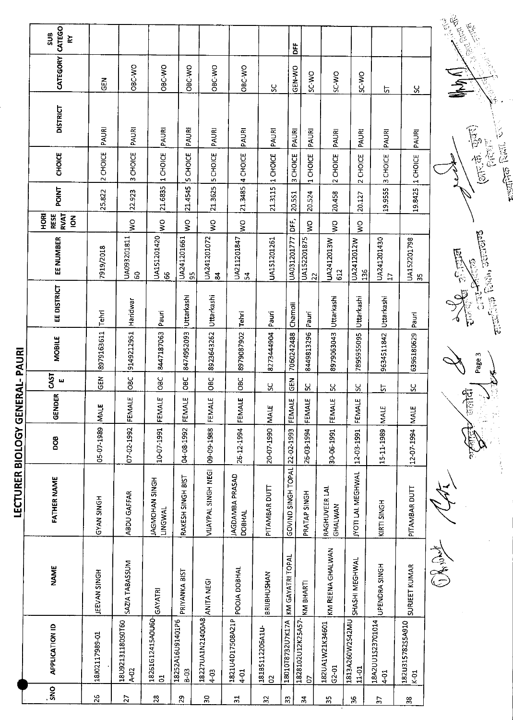| CATEGO<br><b>SUB</b><br>ξÝ                           |                |                            |                                                |                              |                              |                              |                      |                                   | <b>DFF</b>                              |                              |                            |                                   |                            | <b>REATAIN</b>           |
|------------------------------------------------------|----------------|----------------------------|------------------------------------------------|------------------------------|------------------------------|------------------------------|----------------------|-----------------------------------|-----------------------------------------|------------------------------|----------------------------|-----------------------------------|----------------------------|--------------------------|
| <b>CATEGORY</b>                                      | 군<br>5         | OBC-WO                     | OBC-WO                                         | OBC-WO                       | OBC-WO                       | OBC-WO                       | χ                    |                                   | GEN-WO<br>SC-WO                         | SC-WO                        | SC-WO                      | 5                                 | ပ္တ                        | $\sum_{i=1}^{n}$         |
| <b>DISTRICT</b>                                      | PAURI          | PAURI                      | PAURI                                          | PAURI                        | PAURI                        | PAURI                        | PAURI                |                                   | PAURI<br>PAURI                          | PAURI                        | PAURI                      | PAURI                             | PAURI                      |                          |
| CHOICE                                               | 2 CHOICE       | 3 CHOICE                   | 1 CHOICE                                       | <b>5 CHOICE</b>              | <b>5 CHOICE</b>              | 4 CHOICE                     | 1 CHOICE             | 3 CHOICE                          | 1 CHOICE                                | 2 CHOICE                     | 2 CHOICE                   | CHOICE                            | 1 CHOICE                   |                          |
| POINT                                                | 25.822         | 22.923                     | 21.6835                                        | 21.4545                      | 21.3625                      | 21.3485                      | 21.3115              | 20.5S1                            | 20.524                                  | 20.458                       | 20.127                     | m<br>19.9555                      | 19.8425                    |                          |
| <b>RVAT</b><br>HORI<br><b>RESE</b><br>$\overline{6}$ |                | $\frac{8}{2}$              | $\frac{1}{2}$                                  | Š                            | Š                            | $\frac{1}{2}$                |                      | DFF,                              | Ş                                       | Š                            | $\frac{8}{5}$              |                                   |                            |                          |
| EE NUMBER                                            | 7919/2018      | UA093201811<br>ငွ          | UA151201420<br>န္တ                             | UA241201661<br>55            | UA241201072<br>$\frac{2}{3}$ | UA211201847<br>$\mathbf{r}$  | UA151201261          | UA031201777                       | UA152201875<br>22                       | UA2412013W<br>612            | UA2412012W<br>136          | UA241201430<br>H                  | UA152201798<br>55          |                          |
| EE DISTRICT                                          | Tehri          | Haridwar                   | Pauri                                          | Uttarkashi                   | Uttarkashi                   | Tehri                        | Pauri                | Charnoll                          | Pauri                                   | Uttarkashi                   | Uttarkashi                 | Uttarkashi                        | Pauri                      | $\overline{\mathcal{L}}$ |
| <b>MOBILE</b>                                        | 8979163611     | 9149212951                 | 8447187063                                     | 8474952093                   | 8923643262                   | 8979087902                   | 8273444904           | 7060242488                        | 8449813296                              | 8979063043                   | 7895955095                 | 9634511842                        | 6396180629                 |                          |
| CAST<br>w                                            | <b>GEN</b>     | <b>OBC</b>                 | $rac{C}{C}$                                    | ں<br>86                      | OBC                          | OBC                          | ς,                   | <b>GEN</b>                        | χ                                       | ပ္တ                          | SC.                        | <u>5</u>                          | ပ္တ                        |                          |
| <b>GENDER</b>                                        | <b>MALE</b>    | FEMALE                     | FEMALE                                         | FEMALE                       | FEMALE                       | FEMALE                       | <b>NALE</b>          | FEMALE                            | FEMALE                                  | FEMALE                       | FEMALE                     | <b>MALE</b>                       | MALE                       |                          |
| 8                                                    | 05-07-1989     | 07-02-1992                 | 10-07-1991                                     | 04-08-1992                   | 09-09-1988                   | 26-12-1994                   | 20-07-1990           |                                   | 26-03-1994                              | 30-06-1991                   | 12-03-1991                 | 15-11-1989                        | 12-07-1994                 |                          |
| <b>FATHER NAME</b>                                   | GYAN SINGH     | ABDU GAFFAR                | JAGMOHAN SINGH<br>LINGWAL                      | RAKESH SINGH BIST            | VIJAYPAL SINGH NEGI          | JAGDAMBA PRASAD<br>DOBHAL    | PITAMBAR DUTT        | GOVIND SINGH TOPAL 22-02-1993     | PRATAP SINGH                            | RAGHUVEER LAL<br>GHALWAN     | <b>JYOTI LAL MEGHWAL</b>   | KIRTI SINGH                       | PITAMBAR DUTT              |                          |
| <b>NAME</b>                                          | JEEVAN SINGH   | SAZIA TABASSUM             |                                                | PRIYANKA BIST                | ANITA NEGI                   | POOIA DOBHAL                 | BRIJBHUSHAN          |                                   |                                         | KM REENA GHALWAN             | SHASHI MEGHWAL             | UPENDRA SINGH                     | SURJEET KUMAR              | ASSES                    |
| <b>APPLICATION ID</b>                                | 18J02117989-01 | 18U9213118050760<br>$A-02$ | 18261G12415A0U60-<br>GAYATRI<br>$\overline{5}$ | 18252A16U91401P6<br>$3 - 63$ | 18227UA1N21400A8<br>4-03     | 1821U4D17508A21P<br>$4 - 01$ | 18185112206A1U-<br>8 | 18010T8732U7K17A KM GAYATRI TOPAL | 1828102U12K25A57- KM BHARTI<br><b>G</b> | 182UA1W21K34601<br>$G2 - 01$ | 1813A260W2S42MU<br>$11-01$ | 18A2UU1S23701014<br>$\frac{1}{2}$ | 182U315782S5A910<br>$k-01$ |                          |
| <b>ONS</b>                                           | 26             | $\overline{5}$             | $\overline{28}$                                | $\mathbf{g}$                 | $\overline{\mathbf{3}}$      | $\frac{1}{2}$                | 32                   | 33                                | ¥,                                      | 55                           | 36                         | 57                                | $3\hskip -3pt 8$           |                          |

**LECTURER BIOI OGY GENERAL- PALIPI** 

 $\overline{\mathcal{L}}$ 

 $\left(\frac{1}{2},\frac{1}{2},\frac{1}{2},\frac{1}{2},\frac{1}{2}\right)$ 

**FreeDrie** Russ, Circle

 $\frac{1}{2}$ 

Ease 1  $\sqrt{1-\left(\frac{1}{\sqrt{2}}\right)^2}$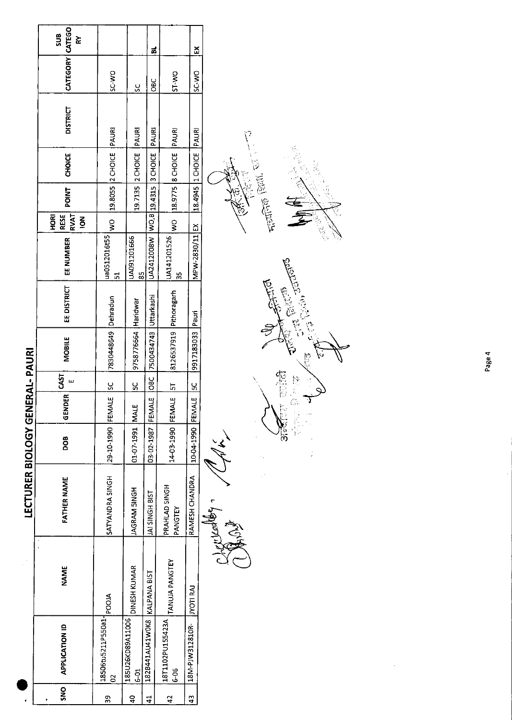|                             | SUB<br>⋧                                     |                          |                              | ă                                |                           | č                      |
|-----------------------------|----------------------------------------------|--------------------------|------------------------------|----------------------------------|---------------------------|------------------------|
|                             | CATEGORY CATEGO                              | SC-WO                    | ŠC                           | <b>DBC</b>                       | ST-WO                     | <b>OM-2S</b>           |
|                             | <b>DISTRICT</b>                              |                          | PAURI                        | PAURI                            |                           |                        |
|                             | <b>CHOICE</b>                                | 19.8055 2 CHOICE   PAURI | 19.7135 2 CHOICE             |                                  | WO 18.9775 8 CHOICE PAURI | 18.4945 1 CHOICE PAURI |
|                             | <b>POINT</b>                                 |                          |                              |                                  |                           |                        |
|                             | <b>RVAT</b><br>HORI<br>RESE<br>$\frac{2}{5}$ | $rac{8}{1}$              |                              |                                  |                           |                        |
|                             | EE NUMBER                                    | ua0512016t55<br>51       | UA091201666<br>$\frac{5}{8}$ | UA2412008W WO,B 19.4315 3 CHOICE | UA141201526<br>ပ္ပ        | MPW-2830/11 EX         |
|                             | EE DISTRICT                                  |                          |                              | Uttarkashi                       |                           |                        |
| <b>NERAL-PAURI</b>          | <b>MOBILE</b>                                | 7830448649 Dehradun      | 19758776664 Haridwar         | 7500434743                       | 8126537919 Pithoragarh    | 9917183033 Pauri       |
|                             | 55                                           |                          | <u>ყ</u>                     | <b>OBC</b>                       |                           |                        |
|                             | GENDER                                       |                          |                              |                                  |                           |                        |
|                             | DOB                                          | 29-10-1990 FEMALE SC     | 01-07-1991   MALE            | 03-02-1987 FEMALE                | 14-03-1990 FEMALE  5T     | 10-04-1990 FEMALE  5C  |
| <b>LECTURER BIOLOGY GEI</b> | <b>FATHER NAME</b>                           | SATYANDRA SINGH          | <b>JAGRAM SINGH</b>          | JAI SINGH BIST                   | PRAHLAD SINGH<br>PANGTEY  | RAMESH CHANDRA         |
|                             | <b>NAME</b>                                  |                          | <b>DINESH KUMAR</b>          |                                  | TANUJA PANGTEY            | <b>LIVOTI RAJ</b>      |
|                             | <b>APPLICATION ID</b>                        | 18506tu5211P550a1-<br>8  | 185U26KD89A11006<br>$5-5$    | 1828441AU41WOK8 KALPANA BIST     | 18T1102PU155423A<br>6-06  | 18M-PJW312810R-        |
|                             | š                                            | 39                       | ទ                            | $\mathbf{d}$                     | 42                        | 43                     |

Alph 1

 $\frac{1}{2}$ 



 $\frac{1}{2}$ 

ψ

 $\tilde{Q}$ 

Page 4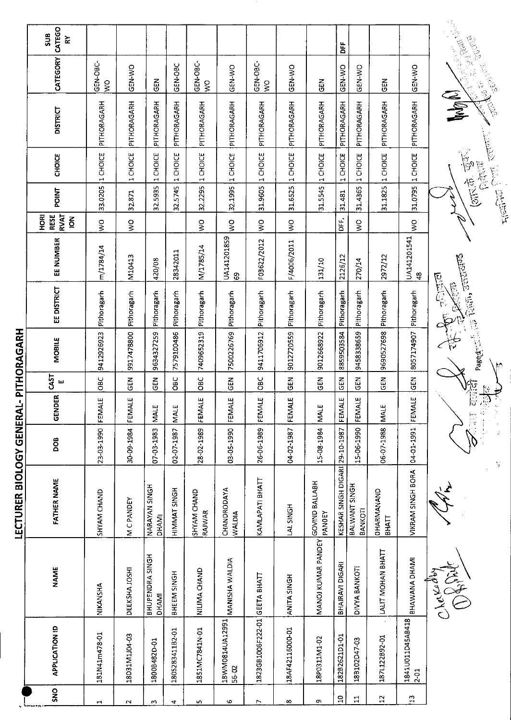| ١                                                                                                              |
|----------------------------------------------------------------------------------------------------------------|
|                                                                                                                |
| ֚֚֚֬                                                                                                           |
|                                                                                                                |
|                                                                                                                |
|                                                                                                                |
|                                                                                                                |
| I                                                                                                              |
|                                                                                                                |
|                                                                                                                |
|                                                                                                                |
|                                                                                                                |
|                                                                                                                |
|                                                                                                                |
| and the state of the state of the state of the state of the state of the state of the state of the state of th |
|                                                                                                                |
|                                                                                                                |
|                                                                                                                |
|                                                                                                                |
|                                                                                                                |
| l                                                                                                              |
|                                                                                                                |
|                                                                                                                |
|                                                                                                                |
|                                                                                                                |
|                                                                                                                |
|                                                                                                                |
|                                                                                                                |
| ֡֡֡֡֡֡                                                                                                         |
|                                                                                                                |
|                                                                                                                |

|                                 | CATEGO<br>SUB<br>ř                      |               |                       |                                      |                        |                           |                              |                                  |                        |                                 | ă                              |                          |                            |                              |                                                   |
|---------------------------------|-----------------------------------------|---------------|-----------------------|--------------------------------------|------------------------|---------------------------|------------------------------|----------------------------------|------------------------|---------------------------------|--------------------------------|--------------------------|----------------------------|------------------------------|---------------------------------------------------|
|                                 | CATEGORY                                | GEN-OBC-<br>Š | <b>OK-N-SO</b>        | <b>SEN</b>                           | GEN-OBC                | GEN-OBC-<br>$\frac{1}{2}$ | GEN-WO                       | <b>GEN-OBC-</b><br>$\frac{1}{2}$ | GEN-WO                 | $\frac{2}{9}$                   | GEN-WO                         | <b>GEN-WO</b>            | <b>GEN</b>                 | GEN-WO                       | <b>CARL CARD</b><br>一、小学                          |
|                                 | <b>DISTRICT</b>                         | PITHORAGARH   | PITHORAGARH           | PITHORAGARH                          | PITHORAGARH            | PITHORAGARH               | PITHORAGARH                  | PITHORAGARH                      | PITHORAGARH            | PITHORAGARH                     | PITHORAGARH                    | PITHORAGARH              | PITHORAGARH                | PITHORAGARH                  | Wom(L)<br>شنشيز.                                  |
|                                 | CHOICE                                  | 1 CHOICE      | 1 CHOICE              | 1 CHOICE                             | CHOICE<br>$\mathbf{r}$ | 1 CHOICE                  | 32.1995 1 CHOICE             | 1 CHOICE                         | CHOICE<br>$\mathbf{H}$ | 1 CHOICE                        | CHOICE<br>$\blacksquare$       | 1 CHOICE                 | 1 CHOICE                   | 1 CHOICE                     | $(3\pi\dot{\sigma}, \dot{\sigma})$<br>医意义         |
|                                 | <b>POINT</b>                            | 33.0205       | 32.871                | 32.5935                              | 5745<br>ಜ              | 32.2295                   |                              | 31.9605                          | 31.6525                | 31.5545                         | 31.481                         | 31.4365                  | 31.1825                    | 31.0795                      | 厚厚                                                |
|                                 | <b>RVAT</b><br>HORI<br><b>RESE</b><br>š | $\frac{1}{2}$ | $\mathop{\mathsf{S}}$ |                                      |                        | $\frac{1}{2}$             | $\frac{1}{2}$                | $\frac{0}{5}$                    | $\frac{1}{2}$          |                                 | ۵Ë,                            | $\frac{1}{2}$            |                            | $\frac{1}{2}$                |                                                   |
|                                 | EE NUMBER                               | m/1784/14     | M10413                | 420/08                               | 28342011               | M/1785/14                 | UA141201859<br>8             | F03622/2012                      | F/4006/2011            | 131/10                          | 2126/12                        | 270/14                   | 2972/12                    | UA141201541<br>$\frac{8}{3}$ |                                                   |
|                                 | EE DISTRICT                             | Pithoragarh   | Pithoragarh           | Pithoragarh                          | Pithoragarh            | Pithoragarh               | Pithoragarh                  | Pithoragarh                      | Pithoragarh            | Pithoragarh                     | Pithoragarh                    | Pithoragarh              | Pithoragarh                | Pithoragarh                  | Page et al. Civil , Januard<br><b>REGIO</b><br>医原 |
| <b>CHOMPIE</b>                  | <b>MOBILE</b>                           | 9412926923    | 9917478800            | 9634327259                           | 7579100486             | 7409652319                | 7500226769                   | 9411706912                       | 9012720559             | 9012668922                      | 8859503584                     | 9458338659               | 9690527698                 | 8057174907                   |                                                   |
|                                 | CAST<br>ш                               | OBC           | GEN                   | <b>GEN</b>                           | შე                     | ОBС<br>О                  | $rac{1}{2}$                  | <b>OBC</b>                       | $rac{z}{\sigma}$       | $\frac{2}{5}$                   | GEN                            | 6EN                      | M<br>15                    | GEN                          | þ                                                 |
|                                 | GENDER                                  | FEMALE        | FEMALE                | <b>MALE</b>                          | ш<br>NALI              | FEMALE                    | FEMALE                       | FEMALE                           | FEMALE                 | <b>MALE</b>                     | FEMALE                         | 兰<br>EEM                 | MALE                       | FEMALE                       | the<br>Color                                      |
| N<br>N<br>N<br>N<br>N<br>N<br>N | <b>BOO</b>                              | 23-03-1990    | 30-09-1984            | 07-03-1983                           | 02-07-1987             | 28-02-1989                | 03-05-1990                   | 26-06-1989                       | 04-02-1987             | 15-08-1984                      |                                | 15-06-1990               | 06-07-1988                 | 04-01-1991                   |                                                   |
| נק<br>גרב                       | <b>FATHER NAME</b>                      | SHYAM CHAND   | M C PANDEY            | <b>NARAYAN SINGH</b><br><b>DHAMI</b> | HIMMAT SINGH           | SHYAM CHAND<br>RAJWAR     | CHANDRODAYA<br><b>WALDIA</b> | КАМЦАРАТІ ВНАТТ                  | LAL SINGH              | <b>GOVIND BALLABH</b><br>PANDEY | KESHAR SINGH DIGARI 29-10-1987 | BALWANT SINGH<br>BANKOTI | OHARMANAND<br><b>BHATT</b> | VIKRAM SINGH BORA            | Y                                                 |
|                                 | <b>NAME</b>                             | NIKANSHA      | DEEKSHA JOSHI         | BHUPENDRA SINGH<br><b>DHAMI</b>      | BHEEM SINGH            | NILIMA CHAND              | MANISHA WALDIA               |                                  | ANITA SINGH            | MANOJ KUMAR PANDEY              | BHAIRAVI DIGARI                | DIVYA BANKOTI            | LALIT MOHAN BHATT          | BHAWANA DHAMI                | Cherry                                            |
|                                 | <b>APPLICATION ID</b>                   | 181N41m478-01 | 18D31M110403          | 1800B482D-01                         | 1805283411B2-01        | 1851MC7841N-01            | 18WM0814UA12991<br>56-02     | 1823GB1006F222-01 GEETA BHATT    | 18AF42116000-01        | 18P0311M1-02                    | 182B2621D1-01                  | 18B102D47-03             | 187L122B92-01              | 1841U011D45AB418<br>$2 - 01$ |                                                   |
|                                 | SNO                                     |               |                       |                                      |                        |                           |                              |                                  |                        |                                 | $\mathbf{D}$                   | $\Xi$                    | $\mathbf{2}$               | $\mathbb{S}^1$               |                                                   |
|                                 |                                         | $\mathbf{r}$  | $\sim$                | w                                    | 4                      | n,                        | $\mathbf{o}$                 | Z                                | œ                      | c,                              |                                |                          |                            |                              |                                                   |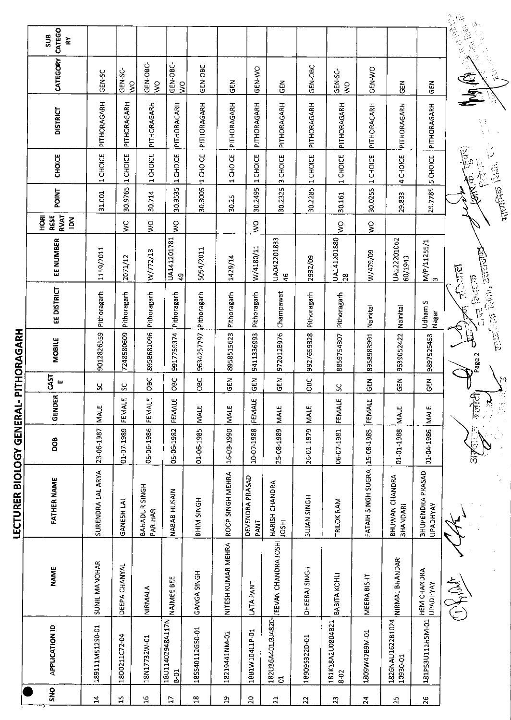| LECTURER BIOLOGY GENERAL- PITHORAG' |  |
|-------------------------------------|--|
|                                     |  |

Ļ

| SNO             | <b>APPLICATION ID</b>        | <b>NAME</b>                                                        | <b>FATHER NAME</b>                  | <b>BOD</b>      | GENDER                               | CAST<br>ш   | <b>MOBILE</b> | <b>EE DISTRICT</b>                   | EE NUMBER                    | RVAT<br>$\overline{\mathbf{g}}$<br><b>RESE</b><br>$\tilde{\mathbf{6}}$ | <b>POINT</b>      | <b>CHOICE</b>                         | <b>DISTRICT</b> | CATEGORY                       | CATEGO<br><b>SUB</b><br>Š                                           |
|-----------------|------------------------------|--------------------------------------------------------------------|-------------------------------------|-----------------|--------------------------------------|-------------|---------------|--------------------------------------|------------------------------|------------------------------------------------------------------------|-------------------|---------------------------------------|-----------------|--------------------------------|---------------------------------------------------------------------|
| Ħ,              | 189111M512S0-01              | <b>SUNIL MANOHAR</b>                                               | SURENDRA LAL ARYA                   | 23-06-1987      | <b>MALE</b>                          | ပ္တ         | 9012826559    | Pithoragarh                          | 1159/2011                    |                                                                        | 31.001            | CHOICE<br>$\blacksquare$              | PITHORAGARH     | GEN-SC                         |                                                                     |
| $25\,$          | 18D0211C72-04                | DEEPA CHANYAL                                                      | GANESH LAL                          | 01-07-1989      | FEMALE                               | ပ္ပ         | 7248580609    | Pithoragarh                          | 2071/12                      | Ş                                                                      | 30.9765           | 1 CHOICE                              | PITHORAGARH     | GEN-SC-<br>$\frac{1}{2}$       |                                                                     |
| $\frac{16}{2}$  | 18N17732W-01                 | NIRMALA                                                            | BAHADUR SINGH<br>PARIHAR            | 05-06-1986      | FEMALE                               | <b>CBC</b>  | 895B681096    | Pithoragarh                          | W/772/13                     | Š                                                                      | 30.714            | <b>CHOICE</b><br>$\blacktriangleleft$ | PITHORAGARH     | GEN-OBC<br>$\frac{1}{2}$       |                                                                     |
| $\overline{L}$  | 18U11402948A117N<br>$6-61$   | NAJMEE BEE                                                         | NABAB HUSAIN                        | 05-06-1982      | FEMALE                               | 08C         | 9917759374    | Pithoragarh                          | UA141201781<br>क्षे          | Ş                                                                      | 'n,<br>30.353     | CHOICE<br>$\blacktriangleright$       | PITHORAGARH     | GEN-OBC-<br>Ş                  |                                                                     |
| $^{26}$         | 185540112G50-01              | GANGA SINGH                                                        | <b>BHIM SINGH</b>                   | 01-06-1985      | <b>MALE</b>                          | <b>OBC</b>  | 9634257797    | Pithoragarh                          | 5054/2011                    |                                                                        | 30.3005           | 1 CHOICE                              | PITHORAGARH     | GEN-OBC                        |                                                                     |
| 악               | 18219441NM-01                | NITESH KUMAR MEHRA                                                 | ROOP SINGH MEHRA                    | 16-03-1990      | <b>MALE</b>                          | <b>GEN</b>  | 8958515623    | Pithoragarh                          | 1429/14                      |                                                                        | 30.25             | CHOICE<br>$\blacksquare$              | PITHORAGARH     | 즎                              |                                                                     |
| $\overline{20}$ | 18B1W104L1P-01               | LATA PANT                                                          | DEVENDRA PRASAD<br><b>PANT</b>      | 10-07-1988      | FEMALE                               | 군<br>영      | 9411336993    | Pithoragarh                          | W/4180/11                    | $\frac{0}{2}$                                                          | 30.2495           | CHOICE<br>$\blacksquare$              | PITHORAGARH     | GEN-VO                         |                                                                     |
| $\overline{21}$ | $\overline{5}$               | 18203644011314820-   JEEVAN CHANDRA JOSHI     HARISH CHANDRA<br>~~ | <b>IOSHI</b>                        | 25-08-1989      | <b>MALE</b>                          | $\tilde{a}$ | 972012B976    | Champawat                            | UA042201833<br>$\frac{6}{5}$ |                                                                        | 30.2325           | CHOICE<br>$\infty$                    | PITHORAGARH     | GEN                            |                                                                     |
| 22              | 18909S322D-01                | DHEERAJ SINGH                                                      | <b>SUJAN SINGH</b>                  | 26-01-1979      | <b>MALE</b>                          | СBC         | 9927659328    | Pithoragarh                          | 2932/09                      |                                                                        | 30.2285           | 1 CHOICE                              | PITHORAGARH     | GEN-OBC                        |                                                                     |
| $\mathfrak{L}$  | 181K18A2U0804B21<br>$8 - 02$ | BABITA KOHLI                                                       | TRILOK RAM                          | 06-07-1981      | FEMALE                               | S           | 8859754307    | Pithoragarh                          | UA141201880<br>28            | $\frac{1}{2}$                                                          | 30.161            | 1 CHOICE                              | PITHORAGARH     | <b>CEN-SC</b><br>$\frac{1}{2}$ |                                                                     |
| $\overline{24}$ | T0-M68LtM608T                | MEERA BISHT                                                        | FATAIH SINGH SUGRA                  | 15-08-1985      | FEMALE                               | 룹<br>영      | 8958983991    | Nainita                              | W/479/09                     | $\mathbf{S}^{\mathbf{O}}$                                              | 30.0255           | 1 CHOICE                              | PITHORAGARH     | <b>GEN-WO</b>                  |                                                                     |
| 25              | 1826NAU1622B1024<br>10930-01 | <b>NIRMAL BHANDARI</b>                                             | BHUWAN CHANDRA<br>BHANDARI          | 01-01-1988      | <b>MALE</b>                          | 즈<br>9      | 9639052422    | Nainital                             | UA122201062<br>60/1943       |                                                                        | 29.833            | 4 CHOICE                              | PITHORAGARH     | 집<br>9                         |                                                                     |
| 26              | 181P53U112H5M-01             | <b>HEM CHANDRA</b><br><b>UPADHYAY</b>                              | BHUPENDRA PRASAD<br><b>UPADHYAY</b> | 01-04-1986 MALE |                                      | <b>GEN</b>  | 9897525453    | S<br>Udham!<br><b>Inagar</b>         | M/P/11255/1<br>3             |                                                                        | 297785            | <b>SCHOICE</b>                        | PITHORAGARH     | ភូមិ<br>ច                      |                                                                     |
|                 |                              | OXAN                                                               |                                     |                 | ललोटी <sub>।</sub><br>$\sum_{i=1}^n$ |             | Page 2        | रीजानाल<br>Roje de<br>$\overline{V}$ | Red. Junior                  |                                                                        | <b>FIRETIFIED</b> |                                       |                 | $\frac{1}{2}$                  | $\begin{array}{c} \tilde{\Phi} \ , \\ \tilde{\Phi} \ , \end{array}$ |
|                 |                              |                                                                    |                                     |                 | <b>PERSON</b>                        | Į.          |               |                                      |                              |                                                                        |                   |                                       |                 |                                |                                                                     |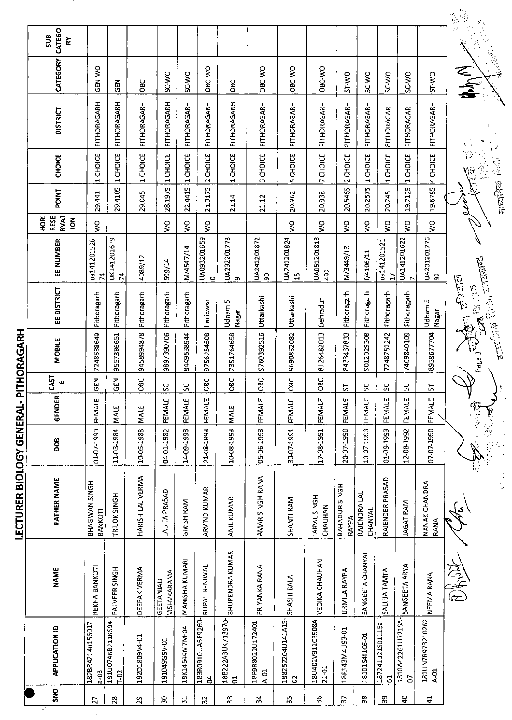|                        |                                     |                                  | LECTURER BIOLOGY GENERAL- PITHORAGARH |             |             |                          |               |                                                                                                                                                                                                                                                                                                                                                                       |                               |                                               |                                   |                                 |                 |                 |                   |  |
|------------------------|-------------------------------------|----------------------------------|---------------------------------------|-------------|-------------|--------------------------|---------------|-----------------------------------------------------------------------------------------------------------------------------------------------------------------------------------------------------------------------------------------------------------------------------------------------------------------------------------------------------------------------|-------------------------------|-----------------------------------------------|-----------------------------------|---------------------------------|-----------------|-----------------|-------------------|--|
| SNO                    | <b>APPLICATION ID</b>               | <b>NAME</b>                      | <b>FATHER NAME</b>                    | DOB         | GENDER      | CAST<br>$\mathbf{u}$     | <b>MOBILE</b> | EE DISTRICT                                                                                                                                                                                                                                                                                                                                                           | EE NUMBER                     | <b>RVAT</b><br>RESE<br>HORI<br>$\overline{6}$ | <b>POINT</b>                      | <b>CHOICE</b>                   | <b>DISTRICT</b> | <b>CATEGORY</b> | CATEGO<br>ទី<br>⋩ |  |
| 27                     | 182BR4214u156017<br>$6-6$           | REKHA BANKOTI                    | BHAGWAN SINGH<br>BANKOTI              | 01-07-1990  | FEMALE      | <b>GEN</b>               | 7248638649    | Pithoragarh                                                                                                                                                                                                                                                                                                                                                           | ua141201526<br>$\mathbf{z}$   | Ş                                             | 29.441                            | CHOICE<br>$\blacksquare$        | PITHORAGARH     | GEN-WO          |                   |  |
| 28                     | 181U07468211KS94<br>$T-02$          | BALVEER SINGH                    | TRILOK SINGH                          | 11 03 1984  | MALE        | <b>GEN</b>               | 9557386651    | Pithoragarh                                                                                                                                                                                                                                                                                                                                                           | UK1412016T9<br>$\mathbf{z}$   |                                               | 29.4105                           | CHOICE<br>$\mathbf{\mathbf{H}}$ | PITHORAGARH     | $rac{2}{5}$     |                   |  |
| 29                     | 182D1809V4-01                       | DEEPAK VERMA                     | HARISH LAL VERMA                      | 10-05-1988  | <b>MALE</b> | <b>OBC</b>               | 9458994878    | Pithoragarh                                                                                                                                                                                                                                                                                                                                                           | 4089/12                       |                                               | 29.045                            | 1 CHOICE                        | PITHORAGARH     | <b>OBC</b>      |                   |  |
| వి                     | 181049G5V-01                        | VISHVKARAMA<br><b>GEETANIALI</b> | LALITA PRASAD                         | 04-01-1982  | FEMALE      | $\overline{\mathbf{S}}$  | 9897390706    | Pithoragarh                                                                                                                                                                                                                                                                                                                                                           | 509/14                        | ş                                             | 28.1975                           | 1 CHOICE                        | PITHORAGARH     | SC-WO           |                   |  |
| ಸ                      | 18K14544M7M-04                      | MANISHA KUMARI                   | <b>GIRISH RAM</b>                     | 14-09-1993  | FEMALE      | $\overline{\mathcal{S}}$ | 8449538944    | Pithoragarh                                                                                                                                                                                                                                                                                                                                                           | M/4547/14                     | $\frac{8}{3}$                                 | 22.4415                           | 1 CHOICE                        | PITHORAGARH     | <b>OW-3S</b>    |                   |  |
| $\approx$              | 183R0910UA5B9260-<br>g              | RUPAL BENIWAL                    | ARVIND KUMAR                          | 21-08-1993  | FEMALE      | <b>OBC</b>               | 9756254508    | Haridwar                                                                                                                                                                                                                                                                                                                                                              | UA093201659<br>$\circ$        | $\mathsf{S}^{\mathsf{O}}$                     | 21.3175                           | 2 CHOICE                        | PITHORAGARH     | OBC-WO          |                   |  |
| 33                     | 18B222A3UK713970-<br>5              | <b>BHUPENDRA KUMAR</b>           | <b>ANIL KUMAR</b>                     | 10-08-1993  | MALE        | <b>OBC</b>               | 7351764658    | w<br>Udham<br>Nagar                                                                                                                                                                                                                                                                                                                                                   | UA23220173                    |                                               | 21.14                             | CHOICE<br>$\blacktriangleleft$  | PITHORAGARH     | OBC             |                   |  |
| 24                     | 18P9R8022U172401<br>$A-01$          | PRIYANKA RANA                    | AMAR SINGH RANA                       | 05-06-1993  | FEMALE      | 50<br>$\circ$            | 9760392516    | Uttarkashi                                                                                                                                                                                                                                                                                                                                                            | UA241201872<br>န္တ            |                                               | 21.12                             | CHOICE<br>$\omega$              | PITHORAGARH     | OBC-WO          |                   |  |
| 35                     | 188252204U141A15-<br>8              | SHASHI BALA                      | SHANTI RAM                            | 30-07-1994  | FEMALE      | <b>OBC</b>               | 9690832082    | Uttarkashi                                                                                                                                                                                                                                                                                                                                                            | UA241201824<br>15             | Š                                             | 20.962                            | CHOICE<br>in.                   | PITHORAGARH     | OBC-WO          |                   |  |
| 36                     | 18U402V911C3508A<br>$21 - 01$       | VEDIKA CHAUHAN                   | <b>IAIPAL SINGH</b><br>CHAUHAN        | 17-08-1991  | FEMALE      | <b>OBC</b>               | 8126482013    | Dehradun                                                                                                                                                                                                                                                                                                                                                              | UA051201813<br>492            | Ş                                             | 20.938                            | 7 CHOICE                        | PITHORAGARH     | <b>OBC-WO</b>   |                   |  |
| 55                     | 18R143M4U93-01                      | URMILA RAYPA                     | BAHADUR SINGH<br>RAYPA                | 20-07-1990  | FEMALE      | 5                        | 8433437833    | Pithoragarh                                                                                                                                                                                                                                                                                                                                                           | M/3449/13                     | Š                                             | 20.5465                           | 2 CHOICE                        | PITHORAGARH     | ST-WO           |                   |  |
| 38                     | 1810154f1C6-01                      | <b>SANGEETA CHANYAL</b>          | RAJENDRA LAL<br>CHANYAL               | 13-07-1993  | FEMALE      | $\infty$                 | 9012029508    | Pithoragarh                                                                                                                                                                                                                                                                                                                                                           | 1/4106/11                     | $\frac{1}{2}$                                 | 20.2575                           | 1 CHOICE                        | PITHORAGARH     | SC-WO           |                   |  |
| 39                     | 187241u21S01115aT<br>3              | <b>SALUJA TAMTA</b>              | RAJENDER PRASAD                       | 01-09-1993  | FEMALE      | $\frac{2}{5}$            | 7248751242    | Pithoragarh                                                                                                                                                                                                                                                                                                                                                           | ua141201521<br>$\overline{1}$ | Š                                             | 20.245                            | 1 CHOICE                        | PITHORAGARH     | SC WO           |                   |  |
| $\boldsymbol{\varphi}$ | 1810A42261U721SA-<br>b <sub>1</sub> | SANGEETA ARYA                    | <b>JAGAT RAM</b>                      | 12-08-1992  | FEMALE      | 52                       | 7405840109    | Pithoragarh                                                                                                                                                                                                                                                                                                                                                           | UA141201622                   | ş                                             | $\mathbf{\mathbf{d}}$<br> 19.7125 | CHOICE                          | PITHORAGARH     | SC-WO           |                   |  |
| $\mathbf{d}$           | 181UN7R973210262<br>$A-01$          | NEEMA RANA                       | NANAK CHANDRA<br>RANA                 | 0561-20-20  | FEMALE      | $\vdash$<br>in           | 8958677704    | Udham 5<br>Nagar                                                                                                                                                                                                                                                                                                                                                      | UA231201776<br>92             | $\mathsf{S}^{\mathsf{O}}$                     | 19.6785                           | 4 CHOICE                        | PITHORAGARH     | ST-WO           |                   |  |
|                        |                                     | ASHION                           |                                       | 軽減 Produits |             |                          |               | anteria Roch correnta<br>$\begin{picture}(220,10) \put(0,0){\line(1,0){155}} \put(15,0){\line(1,0){155}} \put(15,0){\line(1,0){155}} \put(15,0){\line(1,0){155}} \put(15,0){\line(1,0){155}} \put(15,0){\line(1,0){155}} \put(15,0){\line(1,0){155}} \put(15,0){\line(1,0){155}} \put(15,0){\line(1,0){155}} \put(15,0){\line(1,0){155}} \put(15,0){\line(1,0){155}}$ |                               |                                               | <b>FROTAGE RESEARCH</b>           | <b>ARTIC</b>                    |                 | No CA           | REAR REAR         |  |
|                        |                                     |                                  |                                       |             |             |                          |               |                                                                                                                                                                                                                                                                                                                                                                       |                               |                                               |                                   |                                 |                 |                 |                   |  |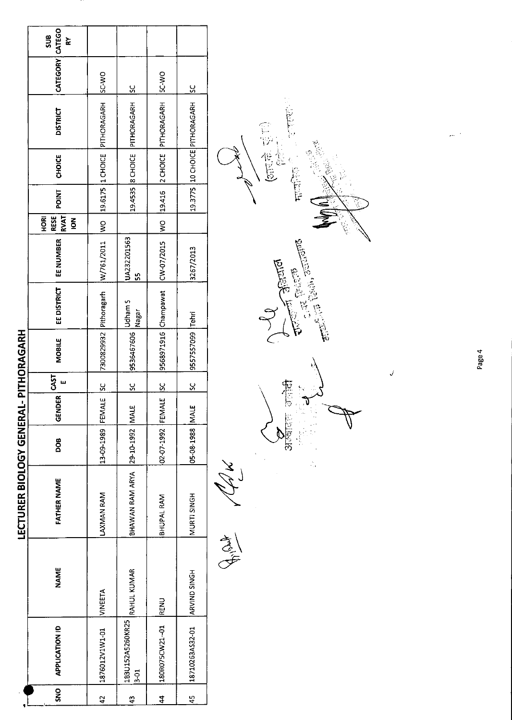|               |                              |                | <b>LECTURER BIOLOGY GENERAL- PITHORAGARH</b> |                   |        |           |                        |             |                   |                                                      |              |        |                                                                                |                   |          |
|---------------|------------------------------|----------------|----------------------------------------------|-------------------|--------|-----------|------------------------|-------------|-------------------|------------------------------------------------------|--------------|--------|--------------------------------------------------------------------------------|-------------------|----------|
| <u>ទី</u>     | <b>APPLICATION ID</b>        | <b>NAME</b>    | FATHER NAME                                  | DOB               | GENDER | 55        | <b>MOBILE</b>          | EE DISTRICT | EE NUMBER         | <b>RVAT</b><br><b>RESE</b><br>HORI<br>$\overline{6}$ | <b>POINT</b> | CHOICE | <b>DISTRICT</b>                                                                | CATEGORY   CATEGO | ສູນ<br>≿ |
| $\frac{4}{2}$ | 1876012V1W1-01               | <b>NINEETA</b> | LAXMAN RAM                                   | 13-09-1989 FEMALE |        | <u>sc</u> | 7300829932 Pithoragarh |             | W/761/2011 WO     |                                                      |              |        | 19.6175 10 CHOICE PITHORAGARH                                                  | <b>DA-2S</b>      |          |
| 43            | 183U152A5260KR25<br>$3 - 01$ | RAHUL KUMAR    | BHAWAN RAM ARYA 29-10-1992 MALE              |                   |        | <u>ყ</u>  | $ 9536467606 $ Nagar   |             | UA232201563<br>55 |                                                      |              |        | 19.4535  8 CHOICE  PITHORAGARH  SC                                             |                   |          |
| $\frac{4}{7}$ | 180R075CW21-01               | RENU           | BHUPAL RAM                                   | 02-07-1992 FEMALE |        | <u>ს</u>  |                        |             |                   |                                                      |              |        | 9568971916   Champawat   CW-0215   WO   19.416   2 CHOICE   PITHORAGARH   SCWO |                   |          |
| 45            | 18710263AS32-01              | ARVIND SINGH   | MURTI SINGH                                  | 05-08-1988 MALE   |        | <u>ა</u>  | 9557557099 Tehri       |             | 3267/2013         |                                                      |              |        | 19.3775 10 CHOICE PITHORAGARH 5C                                               |                   |          |

Ally Che



高等 市话

 $\tilde{\mathcal{C}}$ সাহ্য  $\frac{6}{12}$  $\mathbf{v}$ 

ś,

Page 4

 $\checkmark$ 

 $\cdot$  $\ddot{\phantom{0}}$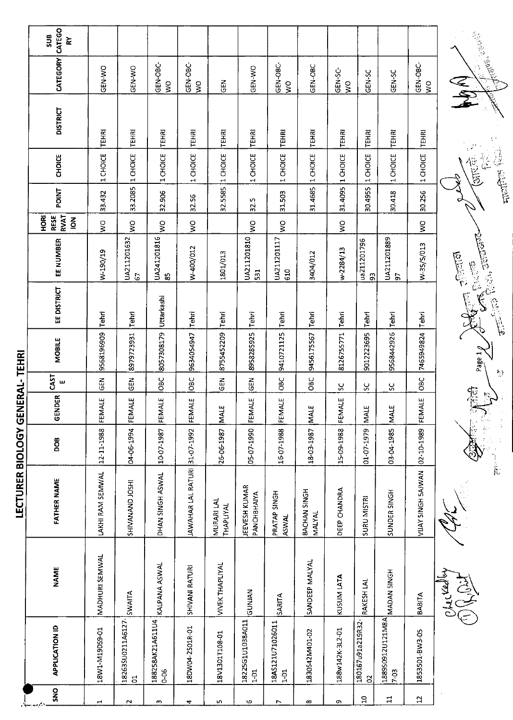|                      | CATEGO<br>SUB<br>$\mathbf{\widetilde{\alpha}}$ |                  |                                     |                              |                               |                         |                                   |                                       |                                    |                                    |                                   |                          |                           |                                                                           |
|----------------------|------------------------------------------------|------------------|-------------------------------------|------------------------------|-------------------------------|-------------------------|-----------------------------------|---------------------------------------|------------------------------------|------------------------------------|-----------------------------------|--------------------------|---------------------------|---------------------------------------------------------------------------|
|                      | CATEGORY                                       | GEN-WO           | GEN-WO                              | GEN-OBC-<br>$\overline{S}$   | GEN-OBC-<br>$\mathsf{S}$      | <b>GEN</b>              | <b>OKI-MO</b>                     | GEN-OBC-<br>$\mathsf{S}^{\mathsf{O}}$ | GEN-OBC                            | GEN-SC-<br>$\overline{\mathsf{x}}$ | GEN-SC                            | GEN-SC                   | GEN-OBC-<br>$\frac{1}{2}$ | <b>CENTER REPAIR</b><br>RA                                                |
|                      | <b>DISTRICT</b>                                | <b>TEHRI</b>     | <b>TEHRI</b>                        | TEHRI                        | TEHRI                         | <b>TEHRI</b>            | <b>TEHRI</b>                      | TEHRI                                 | TEHRI                              | TEHRI                              | TEHRI                             | TEHRI                    | TEHRI                     |                                                                           |
|                      | <b>CHOICE</b>                                  | 1 CHOICE         | 1 CHOICE                            | 1 CHOICE                     | 1 CHOICE                      | 1 CHOICE                | 1 CHOICE                          | 1 CHOICE                              | CHOICE<br>$\overline{\phantom{0}}$ | 1 CHOICE                           | 1 CHOICE                          | 1 CHOICE                 | 1 CHOICE                  | <b>THEADS</b> FREE<br><b>CATE: E</b>                                      |
|                      | <b>TVIIO4</b>                                  | 33.432           | 33.2085                             | 32.906                       | 32.56                         | 32.5585                 | S<br>32.                          | 31.503                                | 31.4685                            | 31.4095                            | 30.4955                           | 30.418                   | 30.256                    |                                                                           |
|                      | HORI<br><b>RVAT</b><br>RESE<br>$\frac{2}{9}$   | $\frac{1}{2}$    | $\boldsymbol{\mathsf{S}}$           | $\frac{1}{2}$                | $\frac{1}{2}$                 |                         | $\frac{1}{2}$                     | $\frac{1}{2}$                         |                                    | $\frac{1}{2}$                      |                                   |                          | ş                         |                                                                           |
|                      | EE NUMBER                                      | W-190/19         | UA211201632<br>G                    | UA241201816<br>မ္မ           | W-400/012                     | 1801/013                | UA211201810<br>531                | UA211201117<br>610                    | 3404/012                           | w-2284/13                          | ua211201796<br>93                 | UA211201889<br>ခြ        | W-35/5/013                | $\pi$ ( ) ( ) $\pi$ ) $\pi$ ( ) $\pi$<br><b>CERTIFICATE</b><br>CONGER CON |
|                      | EE DISTRICT                                    | Tehri            | Tehri                               | Uttarkashi                   | Tehri                         | Tehri                   | Tehri                             | Tehri                                 | Tehri                              | Tehri                              | Tehri                             | Tehri                    | Tehri                     |                                                                           |
| ERAL-TEHRI           | MOBILE                                         | 9568196909       | 8979723931                          | 8057308179                   | 9634054947                    | 8755452209              | 8958285925                        | 9410721125                            | 9456175567                         | 8126755771                         | 9012223695                        | 9568442926               | 7465949824                | Page 1                                                                    |
|                      | <b>CAST</b><br>ш                               | <b>GEN</b>       | 군<br>연                              | ОВС<br>О                     | OBC                           | GEN                     | GEN                               | OBC                                   | OBC                                | S                                  | ပ္တ                               | ပ္တ                      | <b>OBC</b>                | $\mathbb{C}^3$                                                            |
|                      | <b>GENDER</b>                                  | FEMALE           | FEMALE                              | FEMALE                       | FEMALE                        | MALE                    | FEMALE                            | FEMALE                                | MALE                               | FEMALE                             | MALE                              | MALE                     | FEMALE                    | 矩<br>$\mathbb{Z}$                                                         |
|                      | <b>BOO</b>                                     | 12-11-1988       | 04-06-1994                          | 1007-1987                    |                               | 26.06-1987              | 05-07-1990                        | 16-07-1988                            | 18-03-1987                         | 15-09-1988                         | 01-07-1979                        | 03-04-1985               | 02 10-1989                |                                                                           |
| LECTURER BIOLOGY GEN | <b>FATHER NAME</b>                             | LAKHI RAM SEMWAL | SHIVANAND JOSHI                     | DHAN SINGH ASWAL             | JAWAHAR LAL RATURI 31-07-1992 | MURARI LAL<br>THAPLIYAL | JEEVESH KUMAR<br>PANCHBHAIYA      | PRATAP SINGH<br>ASWAL                 | BACHAN SINGH<br><b>MALYAL</b>      | DEEP CHANDRA                       | SURU MISTRI                       | SUNDER SINGH             | VIJAY SINGH 5AJWAN        |                                                                           |
|                      | <b>NAME</b>                                    | MADHURI SEMWAL   | SWAITA                              | KALPANA ASWAL                | SHIVANI RATURI                | <b>VIVEK THAPLIYAL</b>  | <b>NAINIP</b>                     | SARITA                                | SANDEEP MALYAL                     | KUSUM LATA                         | RAKESH LAL                        | MADAN 5INGH              | <b>BABITA</b>             | ASA<br>لمعلى وا                                                           |
|                      | <b>APPLICATION ID</b>                          | 18W1-M19DS9-01   | 18263SU0211A6127-<br>$\overline{5}$ | 188258AK21A611U4<br>$0 - 06$ | 18DW04-2501R-01               | 18V1301T108-01          | 18225G1U1038A011<br>$\frac{1}{2}$ | 18AS121U71026011<br>$\frac{51}{2}$    | 1830S42M401-02                     | 188w142K-3L2-01                    | 180167u91a219R32-<br>$\mathbf{S}$ | 188950912U121M8A<br>7-03 | 1853501-BW3-05            |                                                                           |
|                      | <b>ONS</b>                                     | $\mathbf{r}$     | $\sim$                              | $\mathbf{c}$                 | 4                             | 5                       | 6                                 | L                                     | $\infty$                           | c                                  | $\Xi$                             | $\Xi$                    | $\mathfrak{Q}$            |                                                                           |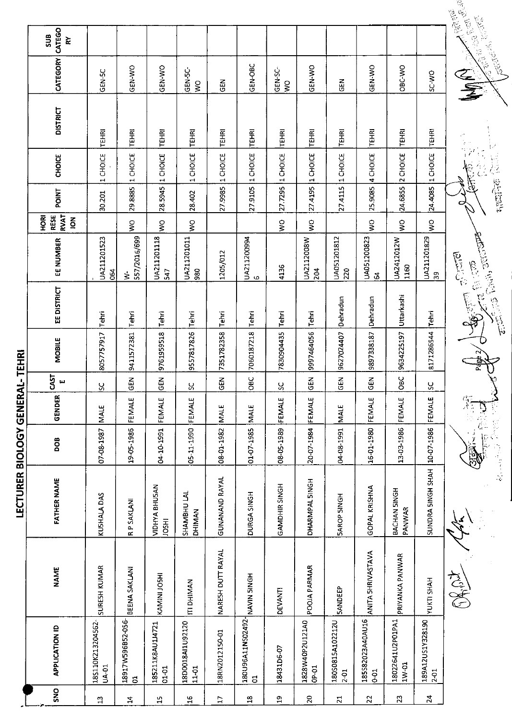|                         |                                                           |                                   |                                     |                                      |                                      |                       |                                     |                             |                            |                            |                                    |                           |                                | <b>CONTRACTOR</b><br><b>MARSIE</b>                                                                                                                                                                                                     |
|-------------------------|-----------------------------------------------------------|-----------------------------------|-------------------------------------|--------------------------------------|--------------------------------------|-----------------------|-------------------------------------|-----------------------------|----------------------------|----------------------------|------------------------------------|---------------------------|--------------------------------|----------------------------------------------------------------------------------------------------------------------------------------------------------------------------------------------------------------------------------------|
|                         | CATEGO<br>SUB<br>⋩                                        |                                   |                                     |                                      |                                      |                       |                                     |                             |                            |                            |                                    |                           |                                | <b>Carl Corporation Company Company Company Company Company Company Company Company Company Company Company Compa</b><br>Company Company Company Company Company Company Company Company Company Company Company Company Company Compa |
|                         | CATEGORY                                                  | GEN-5C                            | GEN-WO                              | GEN-WO                               | GEN-5C-<br>$\mathsf{S}^{\mathsf{O}}$ | $rac{2}{9}$           | <b>GEN-OBC</b>                      | GEN-SC-<br>$\boldsymbol{S}$ | GEN-WO                     | $\frac{z}{9}$              | GEN-WO                             | OBC-WO                    | SC-WO                          | 全事                                                                                                                                                                                                                                     |
|                         | <b>DISTRICT</b>                                           | <b>TEHRI</b>                      | TEHRI                               | TEHRI                                | <b>TEHRI</b>                         | TEHRI                 | <b>TEHRI</b>                        | <b>TEHRI</b>                | TEHRI                      | TEHRI                      | TEHRI                              | TEHRI                     | <b>TEHRI</b>                   |                                                                                                                                                                                                                                        |
|                         | <b>CHOICE</b>                                             | CHOICE<br>$\blacksquare$          | 1 CHOICE                            |                                      | 1 CHOICE                             | 1 CHOICE              | 1 CHOICE                            | 1 CHOICE                    | 1 CHOICE                   | 1 CHOICE                   | 4 CHOICE                           | CHOICE<br>$\sim$          | CHOICE<br>$\blacksquare$       | $\hat{\mathcal{F}}$                                                                                                                                                                                                                    |
|                         | POINT                                                     | 30.201                            | 29.8885                             | 28.5945  1 CHOICE                    | 28.402                               | 27.9985               | 27.9105                             | 27.7295                     | 27.4195                    | 27.4115                    | 25.9085                            | 24.6855                   | 24.4085                        | <b>HERE CONTENT</b>                                                                                                                                                                                                                    |
|                         | <b>RVAT</b><br><b>RESE</b><br><b>BOH</b><br>$\frac{2}{9}$ |                                   | $\frac{1}{2}$                       | Ş                                    | Ş                                    |                       |                                     | ş                           | ş                          |                            | š                                  | $\frac{8}{2}$             | $\sum_{i=1}^{n}$               |                                                                                                                                                                                                                                        |
|                         | EE NUMBER                                                 | UA211201523<br>064                | 557/2016/699<br>₹                   | UA211201118<br>547                   | UA211201011<br>980                   | 1205/012              | UA211200994<br>$\circ$              | 4136                        | UA2112008W<br>204          | UA051201812<br>220         | UA051200823<br>ुर                  | UA2412012W<br>1160        | UA211201829<br>$\overline{3}9$ | <b>POSTER</b>                                                                                                                                                                                                                          |
|                         | <b>EE DISTRICT</b>                                        | Tehri                             | Tehri                               | <b>Tehri</b>                         | Tehri                                | Tehri                 | Tehri                               | Tehri                       | Tehn                       | Dehradun                   | Dehradun                           | Uttarkashi                | Tehn                           | حزائقا وأنارتشها<br>海军                                                                                                                                                                                                                 |
| L-TEHRI                 | MOBILE                                                    | 8057757917                        | 9411572381                          | 9761959518                           | 9557817826                           | 7351782358            | 7060187218                          | 7830904435                  | 9997464056                 | 9627024407                 | 9897338187                         | 9634225197                | 8171286544                     | Page                                                                                                                                                                                                                                   |
|                         | CAST<br>ш                                                 | $\overline{S}$                    | 깊<br>υ                              | 롭<br><u>ଓ</u>                        | <u>S</u>                             | $\tilde{E}$<br>φ      | $rac{1}{2}$                         | $\frac{8}{2}$               | $\mathbf{r}$<br><u>ൗ</u>   | $\Xi$<br>≗                 | $\tilde{E}$<br><u>୍</u>            | Dac                       | $\frac{8}{2}$                  |                                                                                                                                                                                                                                        |
|                         | GENDER                                                    | <b>MALE</b>                       | FEMALE                              | FEMALE                               | FEMALE                               | <b>MALE</b>           | <b>MALE</b>                         | FEMALE                      | FEMALE                     | <b>MALE</b>                | FEMALE                             | FEMALE                    | FEMALE                         |                                                                                                                                                                                                                                        |
|                         | DOB                                                       | 07-08-1987                        | 19-05-1986                          | 04-10-1991                           | 05-11-1990                           | 08-01-1982            | 01-07-1985                          | 08-05-1989                  | 20-07-1984                 | 04-08-1991                 | 16-01-1980                         | 13-03-1986                | 10-07-1986                     | .<br>E                                                                                                                                                                                                                                 |
| LECTURER BIOLOGY GENERA | <b>FATHER NAME</b>                                        | KUSHALA DAS                       | <b>RP SAKLANI</b>                   | <b>VIDHYA BHUSAN</b><br><b>IRSOT</b> | SHAMBHU LAL<br>DHIMAN                | <b>GUNANAND RAYAL</b> | DURGA SINGH                         | GAMDHIR SINGH               | DHARMPAL SINGH             | <b>SAROP SINGH</b>         | GOPAL KRISHNA                      | BACHAN SINGH<br>PANWAR    | SUNDRA SINGH SHAH              |                                                                                                                                                                                                                                        |
|                         | <b>NAME</b>                                               | SURESH KUMAR                      | BEENA SAKLANI                       | KAMINI JOSHI                         | <b>ITI DHIMAN</b>                    | NARESH DUTT RAYAL     | HONIS NINAN                         | DEVANTI                     | POOJA PARMAR               | <b>SANDEEP</b>             | ANITA SHRIVASTAVA                  | PRIYANKA PANWAR           | YUKTI SHAH                     | CHECHT                                                                                                                                                                                                                                 |
|                         | <b>APPLICATION ID</b>                                     | 18S110K213204562-<br><b>UA-01</b> | 18917W596B52-056-<br>$\overline{5}$ | 185211K8AU1J4721<br>$01 - 01$        | 18D0018AI1U92120<br>$11-01$          | 18RN2012150-01        | 180U96A11NS02492-<br>$\overline{5}$ | 18431D6-07                  | 1828W40P2U121A0<br>$OP-01$ | 180S0815A102212U<br>$2-01$ | 185S82023A40AU16<br>5 <sup>1</sup> | 18022641U2P01PA1<br>1W-01 | 189A12US1Y328190<br>2-01       |                                                                                                                                                                                                                                        |
|                         | SNO                                                       | $\mathbf{u}$                      | $\overline{4}$                      | $\frac{5}{11}$                       | $\frac{9}{1}$                        | $\overline{L}$        | $\mathbf{a}$                        | 욕                           | $20$                       | $\overline{z}$             | 22                                 | 23                        | $\mathbf{z}$                   |                                                                                                                                                                                                                                        |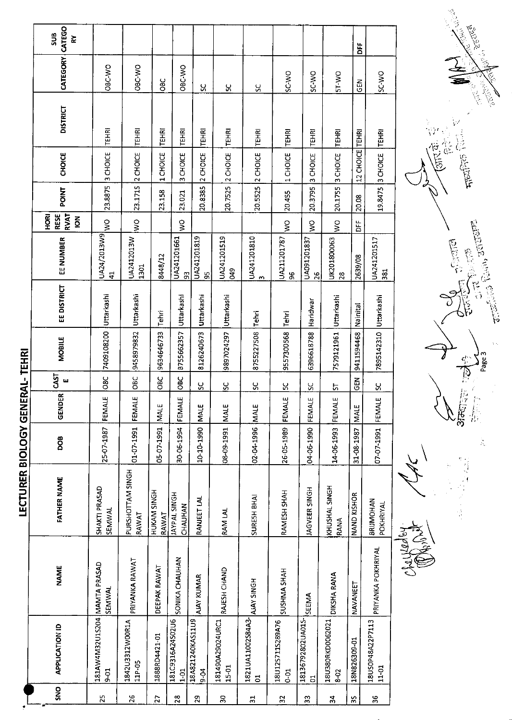|                 |                                        |                    | LECTURER BIOLOGY GENERAL-TEHRI        |                 |               |                       |            |             |                                  |                                               |         |                                    |                 |                 |                                       |
|-----------------|----------------------------------------|--------------------|---------------------------------------|-----------------|---------------|-----------------------|------------|-------------|----------------------------------|-----------------------------------------------|---------|------------------------------------|-----------------|-----------------|---------------------------------------|
| <b>ONS</b>      | <b>APPLICATION ID</b>                  | <b>NAME</b>        | <b>FATHER NAME</b>                    | <b>BOO</b>      | <b>GENDER</b> | CAST<br>ш             | MOBILE     | EE DISTRICT | EE NUMBER                        | <b>RVAT</b><br>HORI<br>RESE<br>$\overline{6}$ | POINT   | <b>CHOICE</b>                      | <b>DISTRICT</b> | <b>CATEGORY</b> | CATEGO<br>5UB<br>⋩                    |
| 25              | 181AW4M32U1S204 MAMTA PRASAD<br>$50-6$ | <b>SEMWAL</b>      | SHAKTI PRASAD<br><b>SEMWAL</b>        | 25-07-1987      | FEMALE        | O8C                   | 7409108200 | Uttarkashi  | UA24/2013W9<br>$\ddot{a}$        | $\frac{1}{2}$                                 | 23.8875 | 3 CHOICE                           | TEHRI           | ORC VO          |                                       |
| 26              | 1842U3312WOOR1A<br>11P-05              | PRIYANKA RAWAT     | PURSHOTTAM SINGH<br>RAWAT             | 01-07-1991      | FEMALE        | oec                   | 9458979832 | Uttarkashi  | UA2412013W<br>1301               | $\frac{1}{2}$                                 | 23.171S | CHOICE<br>$\sim$                   | <b>TEHRI</b>    | OBC-WO          |                                       |
| 27              | 1888RD4421-01                          | DEEPAK RAWAT       | HUKAM SINGH<br>RAWAT                  | 05-07-1991      | <b>MALE</b>   | <b>DBC</b>            | 9634646733 | Tehri       | 8448/12                          |                                               | 23.158  | 1 CHOICE                           | TEHRI           | Эас<br>Овс      |                                       |
| $\overline{2}8$ | 181C9316A24S02U6<br>$1-01$             | SONIKA CHAUHAN     | <b>HONIS TAAKYI</b><br><b>CHAUHAN</b> | 30-06-1994      | FEMALE        | <b>OBC</b>            | B755662357 | Uttarkashi  | UA241201661<br>සි                | $\frac{1}{2}$                                 | 23.021  | 3 CHOICE                           | TEHRI           | OBC-WO          |                                       |
|                 | 18A821240KAS11U9<br>$-6 - 6$           | <b>AJAY KUMAR</b>  | RANJEET LAL                           | 10-10-1990      | <b>MALE</b>   | <u>ყ</u>              | 8126240673 | Uttarkashi  | UA241201819<br>95                |                                               | 20.8385 | 2 CHOICE                           | TEHRI           | Χ,              |                                       |
|                 | 181490A29024URC1<br>15-01              | RAJESH CHAND       | <b>RAM LAL</b>                        | 08-09-1991      | <b>NALE</b>   | S.                    | 9897024297 | Uttarkashi  | UA241201519<br>849               |                                               | 20.7525 | 2 CHOICE                           | TEHRI           | ႘               |                                       |
|                 | 1821UA11002S84A3-<br>$\overline{5}$    | AJAY SINGH         | SURESH BHAI                           | 02-04-1996      | <b>MALE</b>   | ပ္ပ                   | 8755227508 | Tehri       | UA241201810<br>$\sim$            |                                               | 20.5525 | CHOICE<br>$\sim$                   | TEHRI           | ပ္တ             |                                       |
|                 | 18U12S711S289A76<br>$0 - 01$           | SUSHMA SHAH        | RAMESH SHAH                           | 26-05-1989      | FEMALE        | $\mathcal{S}$         | 9557300568 | Tehri       | UA211201787<br>96                | Š                                             | 20.455  | CHOICE<br>$\overline{\phantom{0}}$ | <b>TEHRI</b>    | <b>OWSS</b>     |                                       |
|                 | 18136792802UA01S-<br>$\overline{5}$    | SEEMA              | JAGVEER SINGH                         | 04 06-1990      | FEMALE        | <u>ყ</u>              | 6396618788 | Haridwar    | UA091201837<br>26                | ş                                             | 20.3795 | 3 CHOICE                           | TEHRI           | SC-WO           |                                       |
|                 | 18U380RKD0062021<br>8-02               | DIKSHA RANA        | KHUSHAL SINGH<br>RANA                 | 14-06-1993      | FEMALE        | 5                     | 7579121961 | Uttarkashi  | UK201800063<br>28                | ΟM                                            | 20.1755 | 3 CHOICE                           | <b>TEHRI</b>    | <b>DW-1S</b>    |                                       |
|                 | 18N826309-01                           | NAVANEET           | NAND KISHOR                           | 31-08-1987 MALE |               | $rac{1}{2}$           | 9411594468 | Nainital    | 2639/08                          | ЪË                                            | 20.08   | 12 CHOICE                          | <b>TEHRI</b>    | <b>GEN</b>      | ă                                     |
|                 | 18US0P48A22P7113<br>11-01              | PRIYANKA POKHRIYAL | <b>BRIJMOHAN</b><br>POKHRIYAL         | 07-07-1991      | FEMALE        | $\tilde{\mathcal{S}}$ | 7895142310 | Uttarkashi  | UA241201517<br>381               |                                               | 19.8475 | 3 CHOICE                           | TEHRI           | ow SS           |                                       |
|                 |                                        | Addis Call<br>190  |                                       |                 |               |                       |            |             |                                  |                                               |         |                                    |                 |                 |                                       |
|                 |                                        |                    | # 写真<br>「大人!!<br>ŀ.                   |                 | 放货的<br>春藤     |                       |            |             | <b>December</b><br><b>CANNER</b> |                                               |         | ris<br>Silici<br>$\pi$ and $\pi$   |                 |                 | <b>Barnet Barnet</b><br><b>SECTED</b> |
|                 |                                        |                    |                                       | Ä               |               |                       | Page 3     |             | erich Ran artere                 |                                               |         |                                    |                 | <b>CONSOR</b>   |                                       |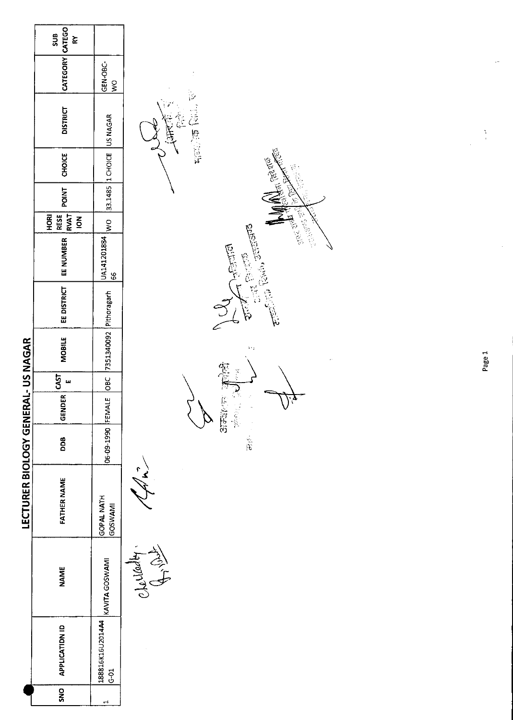| $s$ us<br>RY          |                                                                                                              |                                                                             |                                                                                                                                                                                                                                                                                                                                                                                                                                                                                                                                              |
|-----------------------|--------------------------------------------------------------------------------------------------------------|-----------------------------------------------------------------------------|----------------------------------------------------------------------------------------------------------------------------------------------------------------------------------------------------------------------------------------------------------------------------------------------------------------------------------------------------------------------------------------------------------------------------------------------------------------------------------------------------------------------------------------------|
|                       | GEN-OBC-<br>$\frac{1}{2}$                                                                                    | ĵ,                                                                          |                                                                                                                                                                                                                                                                                                                                                                                                                                                                                                                                              |
| <b>DISTRICT</b>       | US NAGAR                                                                                                     |                                                                             | $\frac{1}{2}$                                                                                                                                                                                                                                                                                                                                                                                                                                                                                                                                |
| <b>CHOICE</b>         |                                                                                                              |                                                                             |                                                                                                                                                                                                                                                                                                                                                                                                                                                                                                                                              |
| <b>POINT</b>          |                                                                                                              |                                                                             |                                                                                                                                                                                                                                                                                                                                                                                                                                                                                                                                              |
| $\overline{6}$        |                                                                                                              |                                                                             |                                                                                                                                                                                                                                                                                                                                                                                                                                                                                                                                              |
| EE NUMBER             | UA141201884<br>66                                                                                            |                                                                             |                                                                                                                                                                                                                                                                                                                                                                                                                                                                                                                                              |
| EE DISTRICT           | Pithoragarh                                                                                                  |                                                                             |                                                                                                                                                                                                                                                                                                                                                                                                                                                                                                                                              |
| <b>MOBILE</b>         | 7351340092                                                                                                   | $\mathcal{V}(\cdot)$                                                        | Page 1                                                                                                                                                                                                                                                                                                                                                                                                                                                                                                                                       |
| CAST<br>щ             | DBC                                                                                                          |                                                                             |                                                                                                                                                                                                                                                                                                                                                                                                                                                                                                                                              |
|                       |                                                                                                              | $\frac{1}{2}$                                                               |                                                                                                                                                                                                                                                                                                                                                                                                                                                                                                                                              |
| DDB                   |                                                                                                              | $\mathbf{F}_i$                                                              |                                                                                                                                                                                                                                                                                                                                                                                                                                                                                                                                              |
| <b>FATHER NAME</b>    | <b>GOPAL NATH</b><br><b>GOSWAMI</b>                                                                          |                                                                             |                                                                                                                                                                                                                                                                                                                                                                                                                                                                                                                                              |
| <b>NAME</b>           |                                                                                                              |                                                                             |                                                                                                                                                                                                                                                                                                                                                                                                                                                                                                                                              |
| <b>APPLICATION ID</b> | 188816K16U2014A4<br>$\overline{6}$ -51                                                                       |                                                                             |                                                                                                                                                                                                                                                                                                                                                                                                                                                                                                                                              |
| SNO                   | $\overline{\phantom{0}}$                                                                                     |                                                                             |                                                                                                                                                                                                                                                                                                                                                                                                                                                                                                                                              |
|                       | CATEGORY CATEGO<br><b>RVAT</b><br><b>RESE</b><br>HORI<br>LECTURER BIOLOGY GENERAL- US NAGAR<br><b>GENDER</b> | 1 CHOICE<br>33.1485<br>$\frac{1}{2}$<br>06-09-1990 FEMALE<br>KAVITA GOSWAMI | <b>Highlog</b> 1911<br>V.<br>In Free 216<br>ان المالي المالي عليه المالي.<br>منابع<br><b>Contractions</b><br>Civil Railly arranged<br><b>Elistic</b><br>$\begin{bmatrix} 1 & 1 & 1 \\ 1 & 1 & 1 \\ 1 & 1 & 1 \\ 1 & 1 & 1 \\ 1 & 1 & 1 \\ 1 & 1 & 1 \\ 1 & 1 & 1 \\ 1 & 1 & 1 \\ 1 & 1 & 1 \\ 1 & 1 & 1 \\ 1 & 1 & 1 \\ 1 & 1 & 1 \\ 1 & 1 & 1 \\ 1 & 1 & 1 \\ 1 & 1 & 1 \\ 1 & 1 & 1 \\ 1 & 1 & 1 \\ 1 & 1 & 1 \\ 1 & 1 & 1 \\ 1 & 1 & 1 \\ 1 & 1 & 1 \\ 1 & 1 & 1 \\ 1 & 1 & 1 \\ 1 & 1 & $<br>医巨<br>3551/75<br>$\sqrt{1/2}$<br>Charleston |

 $\mathbb{Z}^2$ 

 $\mathcal{A}^{\mathcal{A}}$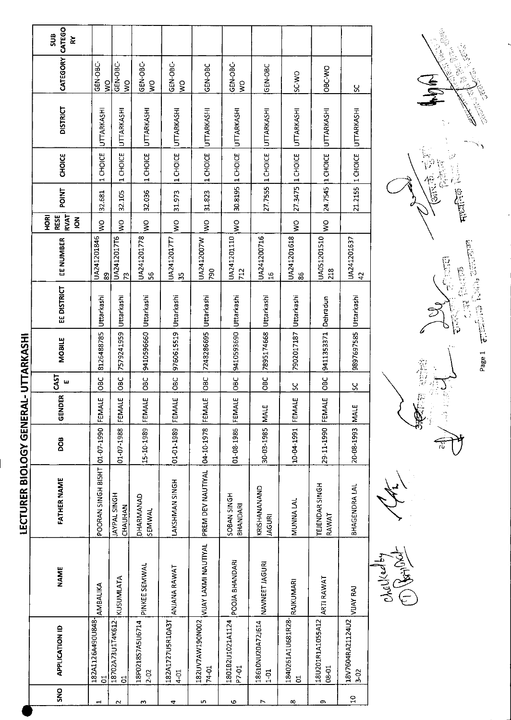|            |                                     |                      | <b>LECTURER BIOLOGY GENERAL- UTTARKASHI</b> |                 |                   |                  |                       |             |                               |                                                        |              |                    |                   |                                      |                                       |
|------------|-------------------------------------|----------------------|---------------------------------------------|-----------------|-------------------|------------------|-----------------------|-------------|-------------------------------|--------------------------------------------------------|--------------|--------------------|-------------------|--------------------------------------|---------------------------------------|
| <b>SNS</b> | <b>APPLICATION ID</b>               | <b>NAME</b>          | FATHER NAME                                 | DOB             | E<br><b>GENDI</b> | <b>GAST</b><br>ш | MOBILE                | EE DISTRICT | EE NUMBER                     | <b>RVAT</b><br><b>RESE</b><br>훈<br>오<br>$\overline{6}$ | <b>POINT</b> | <b>CHOICE</b>      | <b>DISTRICT</b>   | CATEGORY CATEGO                      | $\frac{2}{3}$<br>$\mathbf{\tilde{x}}$ |
|            | 182A1126A490U848-<br>$\overline{c}$ | <b>AMBALIKA</b>      | POORAN SINGH BISHT                          | 01-07-1990      | щ<br>FEMAL        | OBC              | 8126488785            | Uttarkashi  | UA241201846<br>89             | ş                                                      | 32.681       | 1 CHOICE           | UTTARKASHI        | GEN-OBC-<br>ş                        |                                       |
| Z          | 18702A73U1T4K612-<br>ă              | <b>KUSUMLATA</b>     | <b>JAYPAL SINGH</b><br>CHAUHAN              | 01-07-1988      | щ<br><b>FEMAI</b> | OBC              | 7579241959            | Uttarkashi  | UA2412017T6<br>73             | Š                                                      | 32.105       | 1 CHOICE           | UTTARKASHI        | GEN-OBC-<br>Ş                        |                                       |
| m          | 18P0218S7A5U6714<br>$2 - 02$        | PINKEE SEMWAL        | DHARMANAD<br>SEMWAL                         | 15-10-1989      | щ<br>FEMAL        | ප<br>පී          | 9410596660 Uttarkashi |             | UA241201778<br>56             | ş                                                      | 32.036       | 1 CHOICE           | <b>UTTARKASHI</b> | GEN-OBC-<br>$\widetilde{\mathbf{z}}$ |                                       |
| ₹          | 182A1727U5R10A3T<br>$4 - 01$        | ANJANA RAWAT         | LAKSHMAN SINGH                              | 01-01-1989      | بىر<br>FEMAL      | 9C               | 9760615519 Uttarkashi |             | UA2412017T7<br>ă,             | S)                                                     | 31.973       | 1 CHOICE           | <b>UTTARKASHI</b> | GEN-OBC-<br>Š                        |                                       |
| ъ          | 182UV7AW190N002<br>74-01            | VIJAY LAXMI NAUTIYAL | PREM DEV NAUTIYAL                           | 8<61-10-19      | FEMALE            | $rac{C}{C}$      | 7248286695 Uttarkashi |             | UA2412007W<br>790             | $\frac{1}{2}$                                          | 31.823       | 1 CHOICE           | UTTARKASHI        | GEN-OBC                              |                                       |
| G          | 1801B2U1021A1124<br>P7-01           | POOJA BHANDARI       | <b>HORAN SINGH</b><br>BHANDARI              | 01-08-1986      | FEMALE            | $rac{1}{2}$      | 9410593690 Uttarkashi |             | UA241201110<br>712            | $\geq$                                                 |              | 30.8195 1 CHOICE   | <b>UTTARKASHI</b> | GEN-OBC-<br>$\zeta$                  |                                       |
| r          | 18610NU20A72J614<br>$1-1$           | NAVNEET JAGURI       | KRISHANANAND<br><b>JAGURI</b>               | 30-03-1985 MALE |                   | OBC              | 7895174668 Uttarkashi |             | UA241200716<br>$\frac{6}{1}$  |                                                        |              | 27.7555 1 CHOICE   | <b>UTTARKASHI</b> | GEN-OBC                              |                                       |
| ∞          | 1840261A1U681R28-<br>ā              | RAJKUMARI            | MUNNA LAL                                   | 10-04-1991      | ۳<br>FEMAL        | X                | 7902017187            | lUttarkashi | UA241201618<br>86             | ş                                                      | 27.3475      | 1 CHOICE           | UTTARKASHI        | SC WO                                |                                       |
| თ          | 18U201R1A1055A12<br>08-01           | <b>ARTI RAWAT</b>    | TEJENDAR SINGH<br>RAWAT                     | 29-11-1990      | щ<br>FEMAL        | OBC              | 9411353371            | Dehradun    | UA051201510<br>218            | Š                                                      | 24.7545      | 1 CHOICE           | UTTARKASHI        | OBC-WO                               |                                       |
| $\Omega$   | 18V7604RA21124U2<br>3-02            | VUAY RAJ             | BHAGENDRA LAL                               | 20-08-1993 MALE |                   | χ                | 9897697585 Uttarkashi |             | UA241201637<br>$\overline{4}$ |                                                        |              | 21.2155   1 CHOICE | UTTARKASHI        | X                                    |                                       |

 $\frac{1}{2}$ Chellesta

E

Page 1 erreadium Noolu Services et  $\frac{1}{2\sqrt{2}}\sum_{n=1}^{\infty}\frac{1}{2\sqrt{2}}$  $\sum_{i=1}^{n}$ **SIPPER NOTE** 



MAN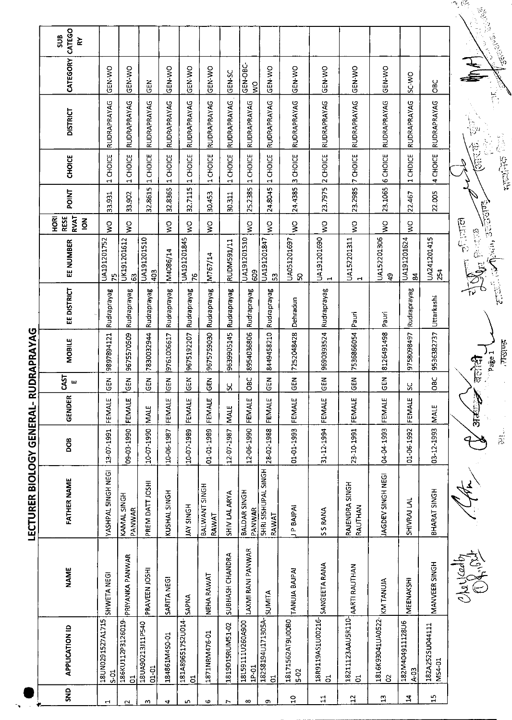|                           | CATEGO<br>SUB<br>⋩                                   |                            |                                     |                               |                           |                                   |                                    |                          |                           |                                     |                          |                                     |                                     |                               |                           |                           |                                                                |
|---------------------------|------------------------------------------------------|----------------------------|-------------------------------------|-------------------------------|---------------------------|-----------------------------------|------------------------------------|--------------------------|---------------------------|-------------------------------------|--------------------------|-------------------------------------|-------------------------------------|-------------------------------|---------------------------|---------------------------|----------------------------------------------------------------|
|                           | CATEGORY                                             | GEN-WO                     | GEN-WO                              | GEN                           | GEN-WO                    | GEN-WO                            | <b>GEN WO</b>                      | GEN-SC                   | GEN-OBC-<br>$\frac{1}{2}$ | GEN WO                              | <b>GEN WO</b>            | GEN WO                              | GEN-WO                              | GEN-WO                        | <b>OWS</b>                | <b>OBC</b>                |                                                                |
|                           | <b>DISTRICT</b>                                      | RUDRAPRAYAG                | RUDRAPRAYAG                         | RUDRAPRAYAG                   | RUDRAPRAYAG               | RUDRAPRAYAG                       | RUDRAPRAYAG                        | RUDRAPRAYAG              | <b>RUDRAPRAYAG</b>        | RUDRAPRAYAG                         | RUDRAPRAYAG              | RUDRAPRAYAG                         | RUDRAPRAYAG                         | RUDRAPRAYAG                   | RUDRAPRAYAG               | RUDRAPRAYAG               |                                                                |
|                           | CHOICE                                               | 1 CHOICE                   | 1 CHOICE                            | 1 CHOICE                      | 1 CHOICE                  | 1 CHOICE                          | CHOICE<br>$\overline{\phantom{0}}$ | CHOICE<br>$\blacksquare$ | 1 CHOICE                  | 1 CHOICE                            | 3 CHOICE                 | 2 CHOICE                            | 7 CHOICE                            | <b>6 CHOICE</b>               | CHDICE<br>$\mathbf \cdot$ | 4 CHOICE                  | 愕                                                              |
|                           | <b>POINT</b>                                         | 33.931                     | 33.902                              | 32.8615                       | 32.8365                   | 32.7115                           | 30.453                             | 30.311                   | 25.2385                   | 24.8045                             | 24.4385                  | 23.7975                             | 23.2985                             | 23.1065                       | 22.467                    | 22.005                    |                                                                |
|                           | <b>RVAT</b><br>HORI<br><b>RESE</b><br>$\overline{6}$ | $\frac{1}{2}$              | Ş                                   |                               | $\mathsf{S}^{\mathsf{O}}$ | $\frac{1}{2}$                     | $\frac{1}{2}$                      |                          | ş                         | $\zeta$                             | $\geq$                   | ş                                   | Ş                                   | $\frac{1}{2}$                 | $\frac{1}{2}$             |                           |                                                                |
|                           | EE NUMBER                                            | UA191201752<br>ŗ           | UK191201612<br>ය                    | UA191201510<br>403            | M4086/14                  | UA191201845<br>ို                 | M767/14                            | RUDM591/11               | UA191201510<br>609        | UA191201847<br>ශ                    | UA051201697<br>8         | UA191201690<br>$\mathbf{H}$         | UA152201311<br>Н                    | UA152201306<br>$\mathbf{P}$   | UA191201624<br>S,         | UA241201415<br>254        | री होती<br>$\Omega_{\rm E}$ fermine<br>$\overline{\mathbb{R}}$ |
|                           | EE DISTRICT                                          | Rudraprayag                | Rudraprayag                         | Rudraprayag                   | Rudraprayag               | Rudraprayag                       | Rudraprayag                        | Rudraprayag              | Rudraprayag               | Rudraprayag                         | Dehradun                 | Rudraprayag                         | Pauri                               | Pauri                         | Rudraprayag               | Uttarkashi                |                                                                |
| RUDRAPRAYAG               | <b>MOBILE</b>                                        | 9897894121                 | 9675570509                          | 7830032944                    | 9761006617                | 9675192207                        | 9675759030                         | 9639905145               | 8954036806                | 8449458210                          | 7252048428               | 9690393524                          | 7535866054                          | 8126491498                    | 9758098497                | 9536382737                | ्रोंडी<br>लाडी                                                 |
|                           | CAST<br>ш                                            | $\tilde{5}$                | <b>GEN</b>                          | $rac{1}{2}$                   | <b>GEN</b>                | GEN                               | <b>GEN</b>                         | χ                        | OBC                       | <b>GEN</b>                          | $rac{1}{2}$              | <b>GEN</b>                          | GEN                                 | <b>GEN</b>                    | ပ္ပ                       | OBC                       |                                                                |
|                           | <b>GENDER</b>                                        | FEMALE                     | FEMALE                              | <b>MALE</b>                   | FEMALE                    | FEMALE                            | FEMALE                             | <b>MALE</b>              | FEMALE                    | FEMALE                              | FEMALE                   | FEMALE                              | FEMALE                              | ш<br>FEMALI                   | ш<br>FEMALE               | <b>MALE</b>               | N<br>आर्ट्                                                     |
|                           | DOB                                                  | 13 07 1991                 | 09-03-1990                          | 10-07-1990                    | 10-06-1987                | 10-07-1989                        | 01-01-1989                         | 12-07-1987               | 12-06-1990                | 28-02-1988                          | $01 - 01 - 1993$         | 31-12-1994                          | 23-10-1991                          | 04-04-1993                    | 01-06-1992                | 03-12-1993                |                                                                |
| LECTURER BIOLOGY GENERAL- | <b>FATHER NAME</b>                                   | YASHPAL 5INGH NEGI         | KAMAL SINGH<br>PANWAR               | PREM DATT JOSHI               | KUSHAL SINGH              | <b>JAY SINGH</b>                  | BALWANT SINGH<br>RAWAT             | SHIV LAL ARYA            | BALDAR SINGH<br>PANWAR    | SHRI SISHUPAL SINGH<br><b>RAWAI</b> | P BAJPAI                 | <b>S RANA</b><br>S,                 | RAJENDRA SINGH<br>RAUTHAN           | JAGDEV SINGH NEGI             | SHIVRAJ LAL               | BHARAT SINGH              |                                                                |
|                           | <b>NAME</b>                                          | SHWETA NEGI                | PRIYANKA PANWAR                     | PRAVEEN JOSHI                 | SARITA NEGI               | <b>SAPNA</b>                      | NEHA RAWAT                         | SUBHASH CHANDRA          | LAXMI RANI PANWAR         | <b>SUMITA</b>                       | TANUJA BAJPAI            | SANGEETA RANA                       | AARTI RAUTHAN                       | KM TANUJA                     | MEENAKSHI                 | MANVEER SINGH             | Clairdes                                                       |
|                           | <b>APPLICATION ID</b>                                | 18UN0291527A1715<br>$5-01$ | 186KU112P3126019-<br>$\overline{c}$ | 18UA90213J11P540<br>$01 - 01$ | 184861M450-01             | 181A896517S2U014-<br>$\mathbf{S}$ | 1871NRM476-01                      | 1819D15RUM51-02          | 18L59111U260A900<br>1P-01 | 18258194U171305A-<br>E,             | 18171562AT9U00B0<br>5-02 | 18R9119AS1U00216-<br>$\overline{5}$ | 18211123AAU5R110-<br>$\overline{5}$ | 1816K93041UA0522-<br>$\delta$ | 182M404911128U6<br>A-03   | 182A252SU044111<br>MS4-01 |                                                                |
|                           | SND                                                  |                            |                                     | m                             | $\blacktriangleright$     | m                                 | <b>v</b>                           |                          | $\infty$                  | ጣ                                   | $\overline{10}$          | $\mathbf{1}$                        | $12 \text{ }$                       | $\mathfrak{a}$                | $\mathbf{z}$              | 15                        |                                                                |

**Letter Control**<br>Control Cape 1 in die 1

یستها می<br>من

رينې)<br>د سر

1. 2010年

医脂腺